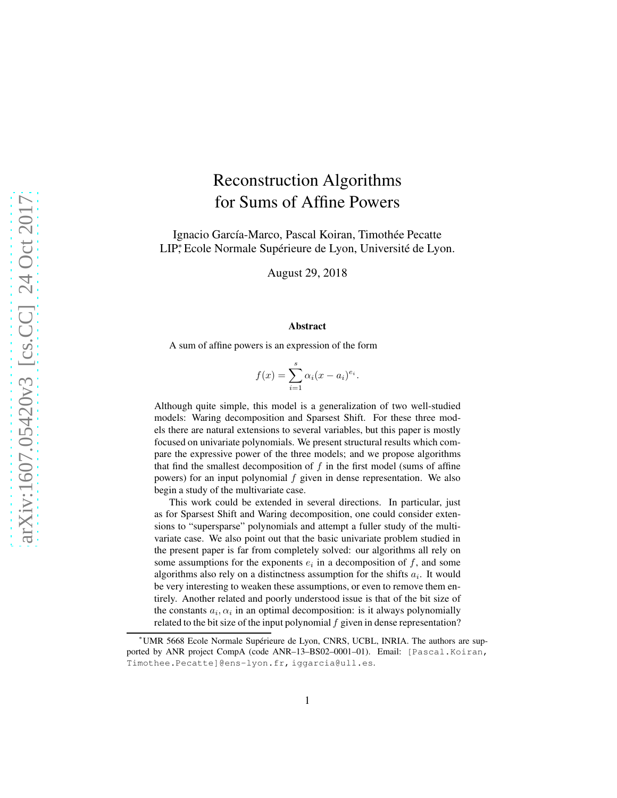# Reconstruction Algorithms for Sums of Affine Powers

Ignacio García-Marco, Pascal Koiran, Timothée Pecatte LIP<sup>∗</sup> , Ecole Normale Supérieure de Lyon, Université de Lyon.

August 29, 2018

#### Abstract

A sum of affine powers is an expression of the form

$$
f(x) = \sum_{i=1}^{s} \alpha_i (x - a_i)^{e_i}.
$$

Although quite simple, this model is a generalization of two well-studied models: Waring decomposition and Sparsest Shift. For these three models there are natural extensions to several variables, but this paper is mostly focused on univariate polynomials. We present structural results which compare the expressive power of the three models; and we propose algorithms that find the smallest decomposition of  $f$  in the first model (sums of affine powers) for an input polynomial f given in dense representation. We also begin a study of the multivariate case.

This work could be extended in several directions. In particular, just as for Sparsest Shift and Waring decomposition, one could consider extensions to "supersparse" polynomials and attempt a fuller study of the multivariate case. We also point out that the basic univariate problem studied in the present paper is far from completely solved: our algorithms all rely on some assumptions for the exponents  $e_i$  in a decomposition of  $f$ , and some algorithms also rely on a distinctness assumption for the shifts  $a_i$ . It would be very interesting to weaken these assumptions, or even to remove them entirely. Another related and poorly understood issue is that of the bit size of the constants  $a_i, \alpha_i$  in an optimal decomposition: is it always polynomially related to the bit size of the input polynomial  $f$  given in dense representation?

<sup>∗</sup>UMR 5668 Ecole Normale Supérieure de Lyon, CNRS, UCBL, INRIA. The authors are supported by ANR project CompA (code ANR–13–BS02–0001–01). Email: [Pascal.Koiran, Timothee.Pecatte]@ens-lyon.fr, iggarcia@ull.es.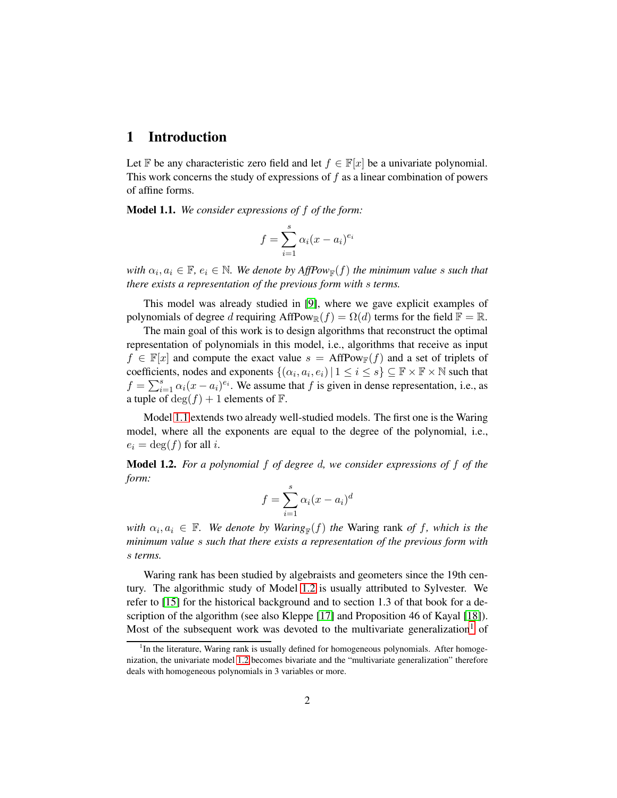### 1 Introduction

Let F be any characteristic zero field and let  $f \in \mathbb{F}[x]$  be a univariate polynomial. This work concerns the study of expressions of  $f$  as a linear combination of powers of affine forms.

<span id="page-1-0"></span>Model 1.1. *We consider expressions of* f *of the form:*

$$
f = \sum_{i=1}^{s} \alpha_i (x - a_i)^{e_i}
$$

 $\forall$  with  $\alpha_i, a_i \in \mathbb{F}$ ,  $e_i \in \mathbb{N}$ . We denote by  $AffPow_{\mathbb{F}}(f)$  the minimum value s such that *there exists a representation of the previous form with* s *terms.*

This model was already studied in [\[9\]](#page-46-0), where we gave explicit examples of polynomials of degree d requiring  $AffPow_{\mathbb{R}}(f) = \Omega(d)$  terms for the field  $\mathbb{F} = \mathbb{R}$ .

The main goal of this work is to design algorithms that reconstruct the optimal representation of polynomials in this model, i.e., algorithms that receive as input  $f \in \mathbb{F}[x]$  and compute the exact value  $s = AffPow_\mathbb{F}(f)$  and a set of triplets of coefficients, nodes and exponents  $\{(\alpha_i, a_i, e_i) | 1 \le i \le s\} \subseteq \mathbb{F} \times \mathbb{F} \times \mathbb{N}$  such that  $f = \sum_{i=1}^{s} \alpha_i (x - a_i)^{e_i}$ . We assume that f is given in dense representation, i.e., as a tuple of  $\deg(f) + 1$  elements of  $\mathbb{F}$ .

Model [1.1](#page-1-0) extends two already well-studied models. The first one is the Waring model, where all the exponents are equal to the degree of the polynomial, i.e.,  $e_i = \deg(f)$  for all i.

<span id="page-1-1"></span>Model 1.2. *For a polynomial* f *of degree* d*, we consider expressions of* f *of the form:*

$$
f = \sum_{i=1}^{s} \alpha_i (x - a_i)^d
$$

 $with \alpha_i, a_i \in \mathbb{F}$ . We denote by Waring<sub>F</sub>(f) the Waring rank of f, which is the *minimum value* s *such that there exists a representation of the previous form with* s *terms.*

Waring rank has been studied by algebraists and geometers since the 19th century. The algorithmic study of Model [1.2](#page-1-1) is usually attributed to Sylvester. We refer to [\[15\]](#page-46-1) for the historical background and to section 1.3 of that book for a description of the algorithm (see also Kleppe [\[17\]](#page-47-0) and Proposition 46 of Kayal [\[18\]](#page-47-1)). Most of the subsequent work was devoted to the multivariate generalization<sup>[1](#page-1-2)</sup> of

<span id="page-1-2"></span><sup>&</sup>lt;sup>1</sup>In the literature, Waring rank is usually defined for homogeneous polynomials. After homogenization, the univariate model [1.2](#page-1-1) becomes bivariate and the "multivariate generalization" therefore deals with homogeneous polynomials in 3 variables or more.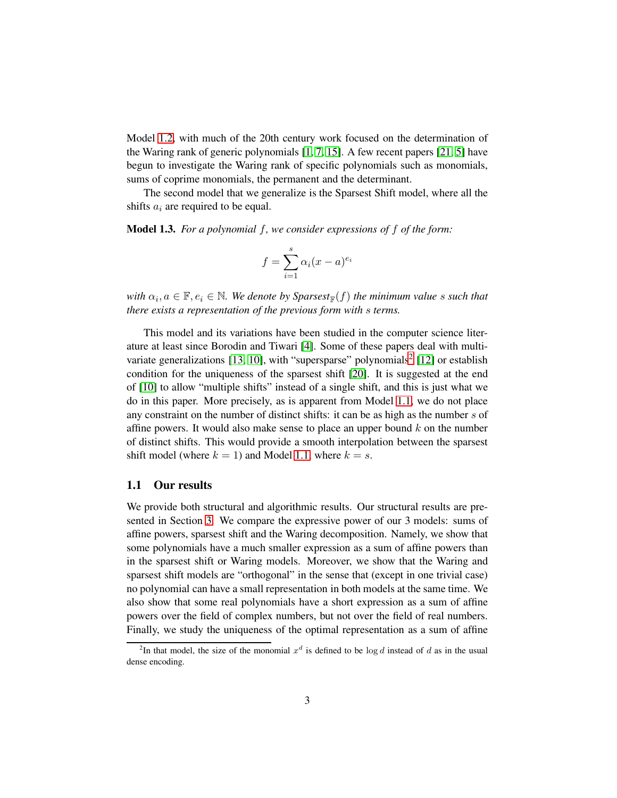Model [1.2,](#page-1-1) with much of the 20th century work focused on the determination of the Waring rank of generic polynomials [\[1,](#page-45-0) [7,](#page-46-2) [15\]](#page-46-1). A few recent papers [\[21,](#page-47-2) [5\]](#page-46-3) have begun to investigate the Waring rank of specific polynomials such as monomials, sums of coprime monomials, the permanent and the determinant.

The second model that we generalize is the Sparsest Shift model, where all the shifts  $a_i$  are required to be equal.

Model 1.3. *For a polynomial* f*, we consider expressions of* f *of the form:*

$$
f = \sum_{i=1}^{s} \alpha_i (x - a)^{e_i}
$$

 $with \alpha_i, a \in \mathbb{F}, e_i \in \mathbb{N}$ . We denote by Sparsest<sub>R</sub>(f) the minimum value s such that *there exists a representation of the previous form with* s *terms.*

This model and its variations have been studied in the computer science literature at least since Borodin and Tiwari [\[4\]](#page-46-4). Some of these papers deal with multi-variate generalizations [\[13,](#page-46-5) [10\]](#page-46-6), with "supersparse" polynomials<sup>[2](#page-2-0)</sup> [\[12\]](#page-46-7) or establish condition for the uniqueness of the sparsest shift [\[20\]](#page-47-3). It is suggested at the end of [\[10\]](#page-46-6) to allow "multiple shifts" instead of a single shift, and this is just what we do in this paper. More precisely, as is apparent from Model [1.1,](#page-1-0) we do not place any constraint on the number of distinct shifts: it can be as high as the number s of affine powers. It would also make sense to place an upper bound  $k$  on the number of distinct shifts. This would provide a smooth interpolation between the sparsest shift model (where  $k = 1$ ) and Model [1.1,](#page-1-0) where  $k = s$ .

#### 1.1 Our results

We provide both structural and algorithmic results. Our structural results are presented in Section [3.](#page-11-0) We compare the expressive power of our 3 models: sums of affine powers, sparsest shift and the Waring decomposition. Namely, we show that some polynomials have a much smaller expression as a sum of affine powers than in the sparsest shift or Waring models. Moreover, we show that the Waring and sparsest shift models are "orthogonal" in the sense that (except in one trivial case) no polynomial can have a small representation in both models at the same time. We also show that some real polynomials have a short expression as a sum of affine powers over the field of complex numbers, but not over the field of real numbers. Finally, we study the uniqueness of the optimal representation as a sum of affine

<span id="page-2-0"></span><sup>&</sup>lt;sup>2</sup>In that model, the size of the monomial  $x^d$  is defined to be log *d* instead of *d* as in the usual dense encoding.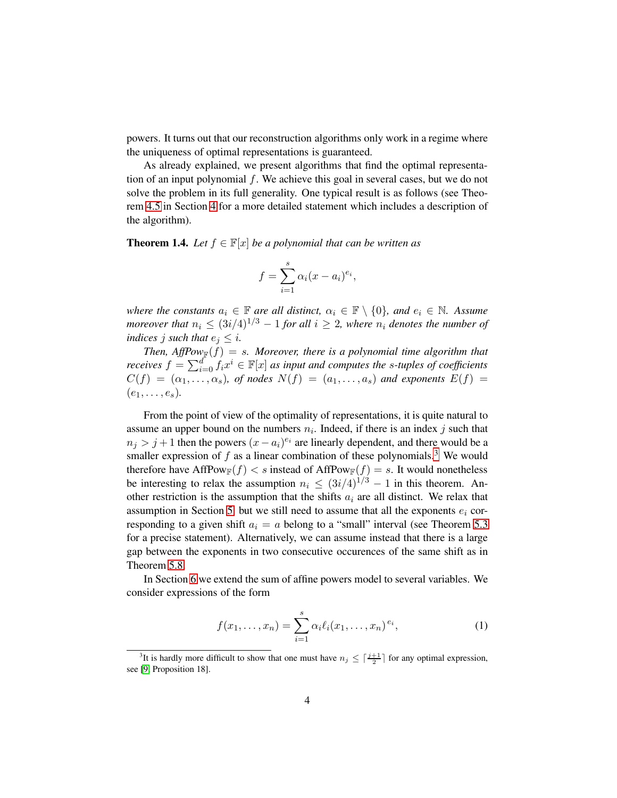powers. It turns out that our reconstruction algorithms only work in a regime where the uniqueness of optimal representations is guaranteed.

As already explained, we present algorithms that find the optimal representation of an input polynomial f. We achieve this goal in several cases, but we do not solve the problem in its full generality. One typical result is as follows (see Theorem [4.5](#page-27-0) in Section [4](#page-22-0) for a more detailed statement which includes a description of the algorithm).

<span id="page-3-2"></span>**Theorem 1.4.** *Let*  $f \in \mathbb{F}[x]$  *be a polynomial that can be written as* 

$$
f = \sum_{i=1}^{s} \alpha_i (x - a_i)^{e_i},
$$

*where the constants*  $a_i \in \mathbb{F}$  *are all distinct,*  $\alpha_i \in \mathbb{F} \setminus \{0\}$ *, and*  $e_i \in \mathbb{N}$ *. Assume moreover that*  $n_i \leq (3i/4)^{1/3} - 1$  *for all*  $i \geq 2$ *, where*  $n_i$  *denotes the number of indices j such that*  $e_i \leq i$ *.* 

Then,  $AffPow_{\mathbb{F}}(f) = s$ . Moreover, there is a polynomial time algorithm that *receives*  $f = \sum_{i=0}^{d} f_i x^i \in \mathbb{F}[x]$  *as input and computes the s-tuples of coefficients*  $C(f) = (\alpha_1, \ldots, \alpha_s)$ , of nodes  $N(f) = (a_1, \ldots, a_s)$  and exponents  $E(f) =$  $(e_1, \ldots, e_s)$ .

From the point of view of the optimality of representations, it is quite natural to assume an upper bound on the numbers  $n_i$ . Indeed, if there is an index j such that  $n_j > j+1$  then the powers  $(x - a_i)^{e_i}$  are linearly dependent, and there would be a smaller expression of  $f$  as a linear combination of these polynomials.<sup>[3](#page-3-0)</sup> We would therefore have AffPow<sub>F</sub> $(f) < s$  instead of AffPow<sub>F</sub> $(f) = s$ . It would nonetheless be interesting to relax the assumption  $n_i \leq (3i/4)^{1/3} - 1$  in this theorem. Another restriction is the assumption that the shifts  $a_i$  are all distinct. We relax that assumption in Section [5](#page-31-0) but we still need to assume that all the exponents  $e_i$  corresponding to a given shift  $a_i = a$  belong to a "small" interval (see Theorem [5.3](#page-34-0) for a precise statement). Alternatively, we can assume instead that there is a large gap between the exponents in two consecutive occurences of the same shift as in Theorem [5.8.](#page-39-0)

In Section [6](#page-40-0) we extend the sum of affine powers model to several variables. We consider expressions of the form

<span id="page-3-1"></span>
$$
f(x_1, ..., x_n) = \sum_{i=1}^{s} \alpha_i \ell_i(x_1, ..., x_n)^{e_i},
$$
 (1)

<span id="page-3-0"></span><sup>&</sup>lt;sup>3</sup>It is hardly more difficult to show that one must have  $n_j \leq \lceil \frac{j+1}{2} \rceil$  for any optimal expression, see [\[9,](#page-46-0) Proposition 18].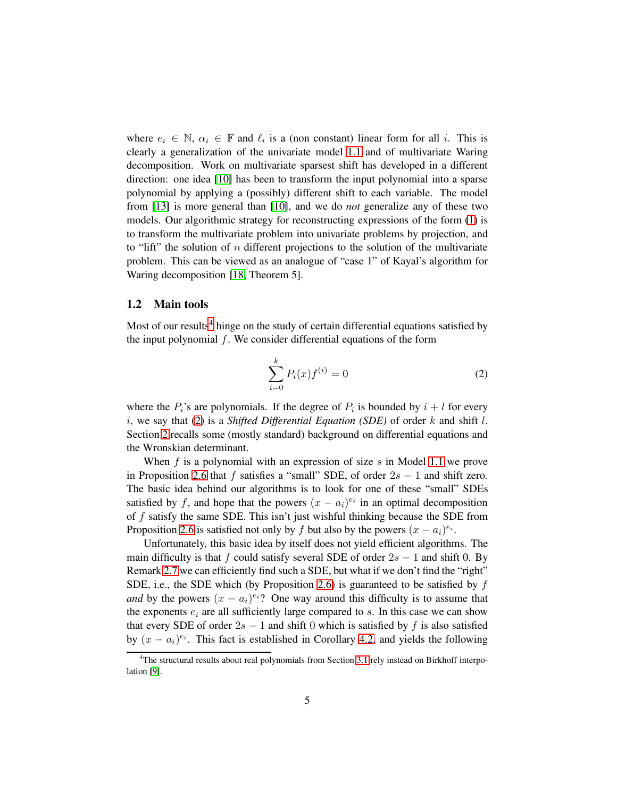where  $e_i \in \mathbb{N}$ ,  $\alpha_i \in \mathbb{F}$  and  $\ell_i$  is a (non constant) linear form for all i. This is clearly a generalization of the univariate model [1.1](#page-1-0) and of multivariate Waring decomposition. Work on multivariate sparsest shift has developed in a different direction: one idea [\[10\]](#page-46-6) has been to transform the input polynomial into a sparse polynomial by applying a (possibly) different shift to each variable. The model from [\[13\]](#page-46-5) is more general than [\[10\]](#page-46-6), and we do *not* generalize any of these two models. Our algorithmic strategy for reconstructing expressions of the form [\(1\)](#page-3-1) is to transform the multivariate problem into univariate problems by projection, and to "lift" the solution of n different projections to the solution of the multivariate problem. This can be viewed as an analogue of "case 1" of Kayal's algorithm for Waring decomposition [\[18,](#page-47-1) Theorem 5].

#### <span id="page-4-2"></span>1.2 Main tools

Most of our results<sup>[4](#page-4-0)</sup> hinge on the study of certain differential equations satisfied by the input polynomial  $f$ . We consider differential equations of the form

<span id="page-4-1"></span>
$$
\sum_{i=0}^{k} P_i(x) f^{(i)} = 0
$$
 (2)

where the  $P_i$ 's are polynomials. If the degree of  $P_i$  is bounded by  $i + l$  for every i, we say that [\(2\)](#page-4-1) is a *Shifted Differential Equation (SDE)* of order k and shift l. Section [2](#page-8-0) recalls some (mostly standard) background on differential equations and the Wronskian determinant.

When f is a polynomial with an expression of size  $s$  in Model [1.1](#page-1-0) we prove in Proposition [2.6](#page-10-0) that f satisfies a "small" SDE, of order  $2s - 1$  and shift zero. The basic idea behind our algorithms is to look for one of these "small" SDEs satisfied by f, and hope that the powers  $(x - a_i)^{e_i}$  in an optimal decomposition of  $f$  satisfy the same SDE. This isn't just wishful thinking because the SDE from Proposition [2.6](#page-10-0) is satisfied not only by f but also by the powers  $(x - a_i)^{e_i}$ .

Unfortunately, this basic idea by itself does not yield efficient algorithms. The main difficulty is that f could satisfy several SDE of order  $2s - 1$  and shift 0. By Remark [2.7](#page-10-1) we can efficiently find such a SDE, but what if we don't find the "right" SDE, i.e., the SDE which (by Proposition [2.6\)](#page-10-0) is guaranteed to be satisfied by  $f$ *and* by the powers  $(x - a_i)^{e_i}$ ? One way around this difficulty is to assume that the exponents  $e_i$  are all sufficiently large compared to  $s$ . In this case we can show that every SDE of order  $2s - 1$  and shift 0 which is satisfied by f is also satisfied by  $(x - a_i)^{e_i}$ . This fact is established in Corollary [4.2,](#page-23-0) and yields the following

<span id="page-4-0"></span><sup>&</sup>lt;sup>4</sup>The structural results about real polynomials from Section [3.1](#page-12-0) rely instead on Birkhoff interpolation [\[9\]](#page-46-0).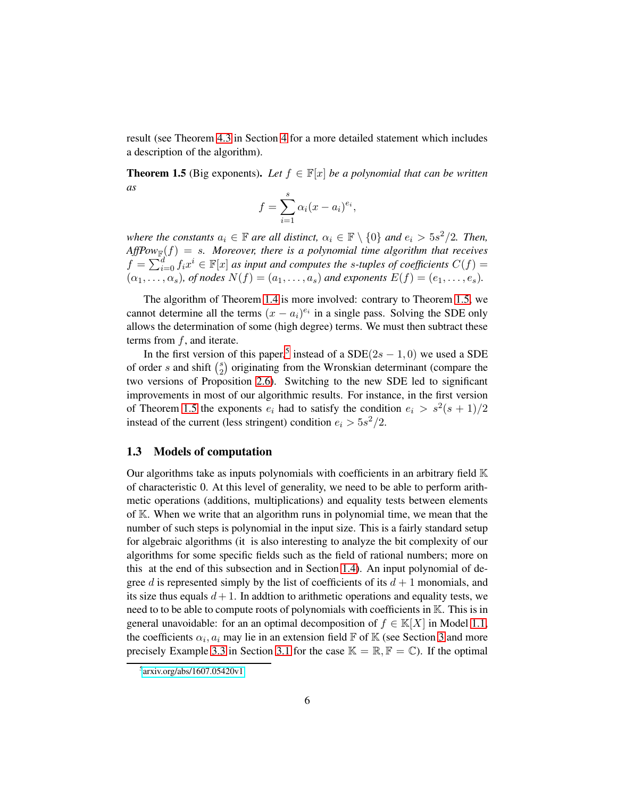result (see Theorem [4.3](#page-24-0) in Section [4](#page-22-0) for a more detailed statement which includes a description of the algorithm).

<span id="page-5-0"></span>**Theorem 1.5** (Big exponents). Let  $f \in \mathbb{F}[x]$  *be a polynomial that can be written as*

$$
f = \sum_{i=1}^{s} \alpha_i (x - a_i)^{e_i},
$$

*where the constants*  $a_i \in \mathbb{F}$  *are all distinct,*  $\alpha_i \in \mathbb{F} \setminus \{0\}$  *and*  $e_i > 5s^2/2$ *. Then,*  $AffPow_{\mathbb{F}}(f) = s$ . Moreover, there is a polynomial time algorithm that receives  $f = \sum_{i=0}^{d} f_i x^i \in \mathbb{F}[x]$  *as input and computes the s-tuples of coefficients*  $C(f)$  =  $(\alpha_1, \ldots, \alpha_s)$ , of nodes  $N(f) = (a_1, \ldots, a_s)$  and exponents  $E(f) = (e_1, \ldots, e_s)$ .

The algorithm of Theorem [1.4](#page-3-2) is more involved: contrary to Theorem [1.5,](#page-5-0) we cannot determine all the terms  $(x - a_i)^{e_i}$  in a single pass. Solving the SDE only allows the determination of some (high degree) terms. We must then subtract these terms from  $f$ , and iterate.

In the first version of this paper,<sup>[5](#page-5-1)</sup> instead of a  $SDE(2s - 1, 0)$  we used a SDE of order s and shift  $\binom{s}{2}$  $_2^s$ ) originating from the Wronskian determinant (compare the two versions of Proposition [2.6\)](#page-10-0). Switching to the new SDE led to significant improvements in most of our algorithmic results. For instance, in the first version of Theorem [1.5](#page-5-0) the exponents  $e_i$  had to satisfy the condition  $e_i > s^2(s+1)/2$ instead of the current (less stringent) condition  $e_i > 5s^2/2$ .

#### <span id="page-5-2"></span>1.3 Models of computation

Our algorithms take as inputs polynomials with coefficients in an arbitrary field  $\mathbb K$ of characteristic 0. At this level of generality, we need to be able to perform arithmetic operations (additions, multiplications) and equality tests between elements of K. When we write that an algorithm runs in polynomial time, we mean that the number of such steps is polynomial in the input size. This is a fairly standard setup for algebraic algorithms (it is also interesting to analyze the bit complexity of our algorithms for some specific fields such as the field of rational numbers; more on this at the end of this subsection and in Section [1.4\)](#page-6-0). An input polynomial of degree d is represented simply by the list of coefficients of its  $d+1$  monomials, and its size thus equals  $d+1$ . In addtion to arithmetic operations and equality tests, we need to to be able to compute roots of polynomials with coefficients in K. This is in general unavoidable: for an an optimal decomposition of  $f \in K[X]$  in Model [1.1,](#page-1-0) the coefficients  $\alpha_i$ ,  $a_i$  may lie in an extension field  $\mathbb F$  of  $\mathbb K$  (see Section [3](#page-11-0) and more precisely Example [3.3](#page-14-0) in Section [3.1](#page-12-0) for the case  $\mathbb{K} = \mathbb{R}, \mathbb{F} = \mathbb{C}$ ). If the optimal

<span id="page-5-1"></span><sup>5</sup> [arxiv.org/abs/1607.05420v1](http://arxiv.org/abs/1607.05420v1)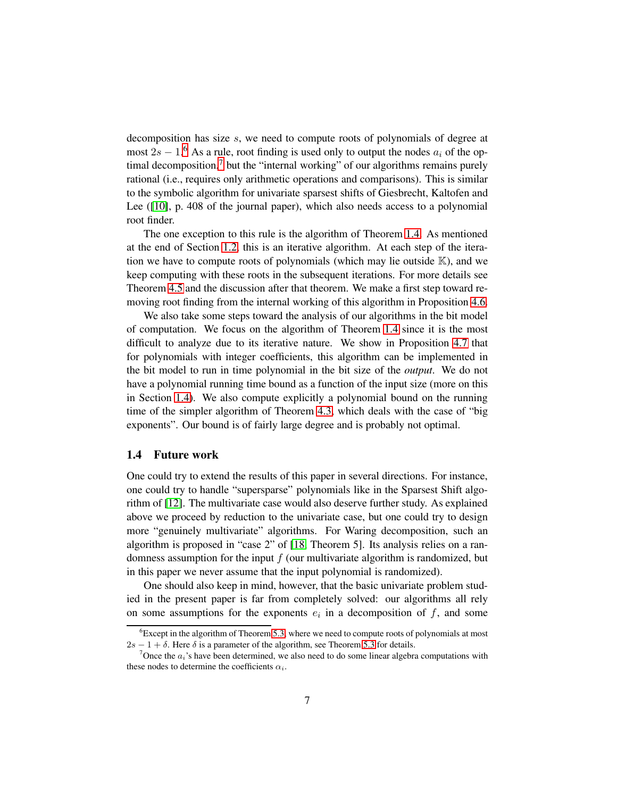decomposition has size s, we need to compute roots of polynomials of degree at most  $2s - 1$ .<sup>[6](#page-6-1)</sup> As a rule, root finding is used only to output the nodes  $a_i$  of the optimal decomposition, $7$  but the "internal working" of our algorithms remains purely rational (i.e., requires only arithmetic operations and comparisons). This is similar to the symbolic algorithm for univariate sparsest shifts of Giesbrecht, Kaltofen and Lee ([\[10\]](#page-46-6), p. 408 of the journal paper), which also needs access to a polynomial root finder.

The one exception to this rule is the algorithm of Theorem [1.4.](#page-3-2) As mentioned at the end of Section [1.2,](#page-4-2) this is an iterative algorithm. At each step of the iteration we have to compute roots of polynomials (which may lie outside  $K$ ), and we keep computing with these roots in the subsequent iterations. For more details see Theorem [4.5](#page-27-0) and the discussion after that theorem. We make a first step toward removing root finding from the internal working of this algorithm in Proposition [4.6.](#page-29-0)

We also take some steps toward the analysis of our algorithms in the bit model of computation. We focus on the algorithm of Theorem [1.4](#page-3-2) since it is the most difficult to analyze due to its iterative nature. We show in Proposition [4.7](#page-30-0) that for polynomials with integer coefficients, this algorithm can be implemented in the bit model to run in time polynomial in the bit size of the *output*. We do not have a polynomial running time bound as a function of the input size (more on this in Section [1.4\)](#page-6-0). We also compute explicitly a polynomial bound on the running time of the simpler algorithm of Theorem [4.3,](#page-24-0) which deals with the case of "big exponents". Our bound is of fairly large degree and is probably not optimal.

#### <span id="page-6-0"></span>1.4 Future work

One could try to extend the results of this paper in several directions. For instance, one could try to handle "supersparse" polynomials like in the Sparsest Shift algorithm of [\[12\]](#page-46-7). The multivariate case would also deserve further study. As explained above we proceed by reduction to the univariate case, but one could try to design more "genuinely multivariate" algorithms. For Waring decomposition, such an algorithm is proposed in "case 2" of [\[18,](#page-47-1) Theorem 5]. Its analysis relies on a randomness assumption for the input  $f$  (our multivariate algorithm is randomized, but in this paper we never assume that the input polynomial is randomized).

One should also keep in mind, however, that the basic univariate problem studied in the present paper is far from completely solved: our algorithms all rely on some assumptions for the exponents  $e_i$  in a decomposition of  $f$ , and some

<span id="page-6-1"></span> $6E$  Except in the algorithm of Theorem [5.3,](#page-34-0) where we need to compute roots of polynomials at most  $2s - 1 + \delta$ . Here  $\delta$  is a parameter of the algorithm, see Theorem [5.3](#page-34-0) for details.

<span id="page-6-2"></span><sup>&</sup>lt;sup>7</sup>Once the  $a_i$ 's have been determined, we also need to do some linear algebra computations with these nodes to determine the coefficients  $\alpha_i$ .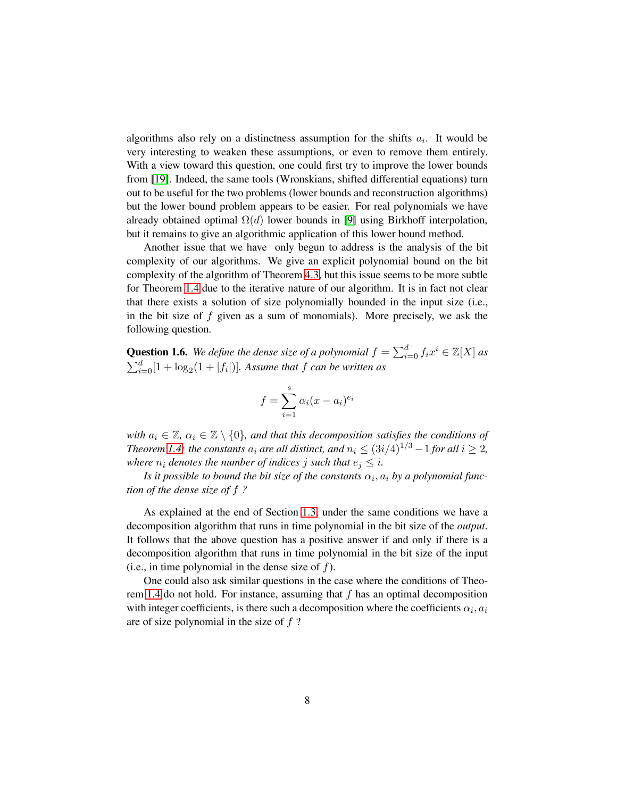algorithms also rely on a distinctness assumption for the shifts  $a_i$ . It would be very interesting to weaken these assumptions, or even to remove them entirely. With a view toward this question, one could first try to improve the lower bounds from [\[19\]](#page-47-4). Indeed, the same tools (Wronskians, shifted differential equations) turn out to be useful for the two problems (lower bounds and reconstruction algorithms) but the lower bound problem appears to be easier. For real polynomials we have already obtained optimal  $\Omega(d)$  lower bounds in [\[9\]](#page-46-0) using Birkhoff interpolation, but it remains to give an algorithmic application of this lower bound method.

Another issue that we have only begun to address is the analysis of the bit complexity of our algorithms. We give an explicit polynomial bound on the bit complexity of the algorithm of Theorem [4.3,](#page-24-0) but this issue seems to be more subtle for Theorem [1.4](#page-3-2) due to the iterative nature of our algorithm. It is in fact not clear that there exists a solution of size polynomially bounded in the input size (i.e., in the bit size of  $f$  given as a sum of monomials). More precisely, we ask the following question.

<span id="page-7-0"></span>**Question 1.6.** We define the dense size of a polynomial  $f = \sum_{i=0}^{d} f_i x^i \in \mathbb{Z}[X]$  as  $\sum_{i=0}^{d} [1 + \log_2(1 + |f_i|)]$ *. Assume that*  $f$  *can be written as* 

$$
f = \sum_{i=1}^{s} \alpha_i (x - a_i)^{e_i}
$$

*with*  $a_i \in \mathbb{Z}$ ,  $\alpha_i \in \mathbb{Z} \setminus \{0\}$ , and that this decomposition satisfies the conditions of *Theorem* [1.4:](#page-3-2) *the constants*  $a_i$  *are all distinct, and*  $n_i \leq (3i/4)^{1/3} - 1$  *for all*  $i \geq 2$ *, where*  $n_i$  *denotes the number of indices j such that*  $e_j \leq i$ *.* 

Is it possible to bound the bit size of the constants  $\alpha_i, a_i$  by a polynomial func*tion of the dense size of* f *?*

As explained at the end of Section [1.3,](#page-5-2) under the same conditions we have a decomposition algorithm that runs in time polynomial in the bit size of the *output*. It follows that the above question has a positive answer if and only if there is a decomposition algorithm that runs in time polynomial in the bit size of the input (i.e., in time polynomial in the dense size of  $f$ ).

One could also ask similar questions in the case where the conditions of Theorem [1.4](#page-3-2) do not hold. For instance, assuming that f has an optimal decomposition with integer coefficients, is there such a decomposition where the coefficients  $\alpha_i$ ,  $a_i$ are of size polynomial in the size of f ?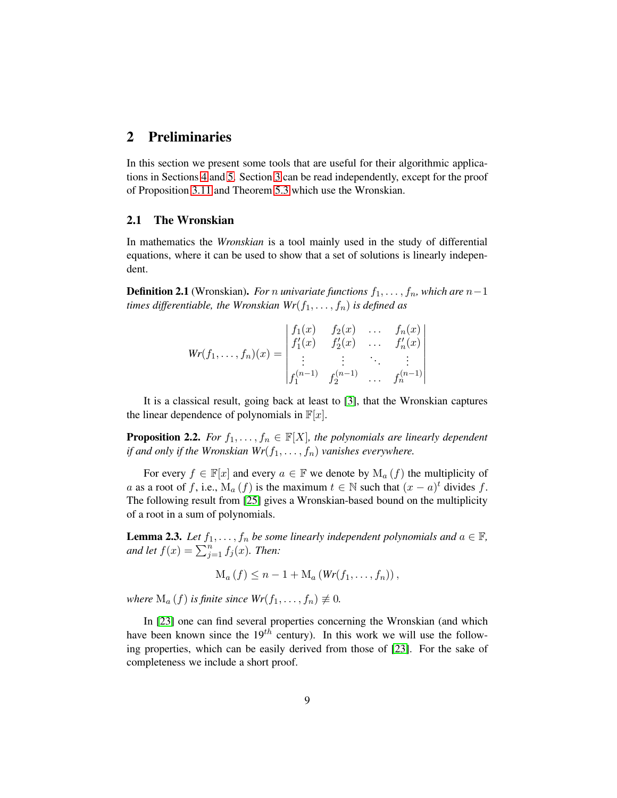### <span id="page-8-0"></span>2 Preliminaries

In this section we present some tools that are useful for their algorithmic applications in Sections [4](#page-22-0) and [5.](#page-31-0) Section [3](#page-11-0) can be read independently, except for the proof of Proposition [3.11](#page-17-0) and Theorem [5.3](#page-34-0) which use the Wronskian.

#### 2.1 The Wronskian

In mathematics the *Wronskian* is a tool mainly used in the study of differential equations, where it can be used to show that a set of solutions is linearly independent.

**Definition 2.1** (Wronskian). *For n univariate functions*  $f_1, \ldots, f_n$ , which are  $n-1$ *times differentiable, the Wronskian*  $Wr(f_1, \ldots, f_n)$  *is defined as* 

$$
Wr(f_1, ..., f_n)(x) = \begin{vmatrix} f_1(x) & f_2(x) & \dots & f_n(x) \\ f'_1(x) & f'_2(x) & \dots & f'_n(x) \\ \vdots & \vdots & \ddots & \vdots \\ f_1^{(n-1)} & f_2^{(n-1)} & \dots & f_n^{(n-1)} \end{vmatrix}
$$

It is a classical result, going back at least to [\[3\]](#page-46-8), that the Wronskian captures the linear dependence of polynomials in  $\mathbb{F}[x]$ .

**Proposition 2.2.** *For*  $f_1, \ldots, f_n \in \mathbb{F}[X]$ *, the polynomials are linearly dependent if and only if the Wronskian*  $Wr(f_1, \ldots, f_n)$  *vanishes everywhere.* 

For every  $f \in \mathbb{F}[x]$  and every  $a \in \mathbb{F}$  we denote by  $M_a(f)$  the multiplicity of a as a root of f, i.e.,  $\mathbf{M}_a(f)$  is the maximum  $t \in \mathbb{N}$  such that  $(x - a)^t$  divides f. The following result from [\[25\]](#page-47-5) gives a Wronskian-based bound on the multiplicity of a root in a sum of polynomials.

<span id="page-8-1"></span>**Lemma 2.3.** *Let*  $f_1, \ldots, f_n$  *be some linearly independent polynomials and*  $a \in \mathbb{F}$ *, and let*  $f(x) = \sum_{j=1}^{n} f_j(x)$ *. Then:* 

$$
\mathrm{M}_{a}\left(f\right)\leq n-1+\mathrm{M}_{a}\left(Wr(f_{1},\ldots,f_{n})\right),
$$

*where*  $M_a(f)$  *is finite since*  $Wr(f_1, \ldots, f_n) \neq 0$ *.* 

In [\[23\]](#page-47-6) one can find several properties concerning the Wronskian (and which have been known since the  $19^{th}$  century). In this work we will use the following properties, which can be easily derived from those of [\[23\]](#page-47-6). For the sake of completeness we include a short proof.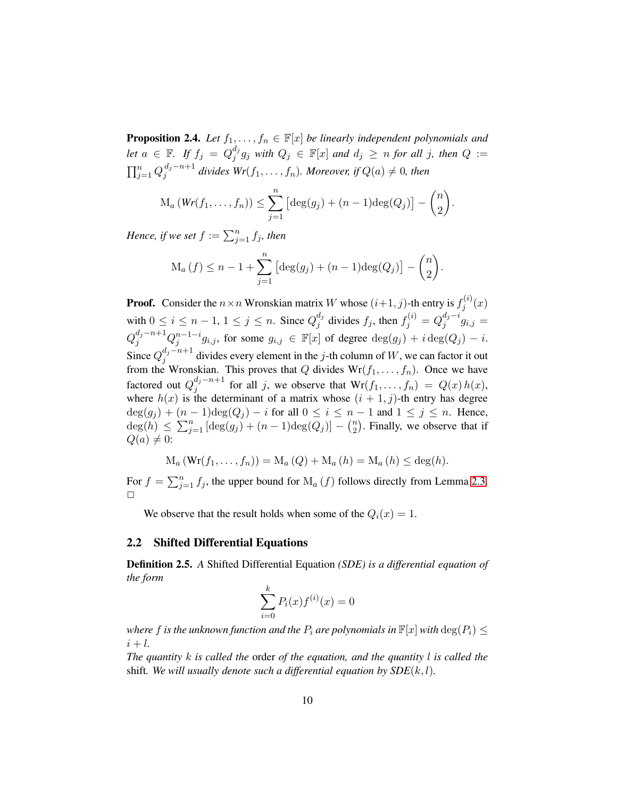<span id="page-9-0"></span>**Proposition 2.4.** *Let*  $f_1, \ldots, f_n \in \mathbb{F}[x]$  *be linearly independent polynomials and let*  $a \in \mathbb{F}$ . If  $f_j = Q_j^{d_j}$  $j^d_j g_j$  with  $Q_j \in \mathbb{F}[x]$  and  $d_j \ge n$  for all j, then  $Q :=$  $\prod_{j=1}^n Q_j^{d_j-n+1}$  $j_j^{a_j-n+1}$  divides  $Wr(f_1, \ldots, f_n)$ . Moreover, if  $Q(a) \neq 0$ , then

$$
\mathrm{M}_a\left(\mathit{Wr}(f_1,\ldots,f_n)\right) \leq \sum_{j=1}^n \left[\deg(g_j) + (n-1)\deg(Q_j)\right] - \binom{n}{2}.
$$

*Hence, if we set*  $f := \sum_{j=1}^n f_j$ *, then* 

$$
M_a(f) \le n - 1 + \sum_{j=1}^n \left[ \deg(g_j) + (n-1) \deg(Q_j) \right] - {n \choose 2}.
$$

**Proof.** Consider the  $n \times n$  Wronskian matrix W whose  $(i+1, j)$ -th entry is  $f_j^{(i)}$  $j^{(\iota)}(x)$ with  $0 \le i \le n-1, 1 \le j \le n$ . Since  $Q_j^{d_j}$  $j_j^{d_j}$  divides  $f_j$ , then  $f_j^{(i)} = Q_j^{d_j - i}$  $\int_j^{\alpha_j-\iota} g_{i,j} =$  $Q_j^{d_j-n+1}Q_j^{n-1-i}g_{i,j},$  for some  $g_{i,j} \in \mathbb{F}[x]$  of degree  $\deg(g_j)+i\deg(Q_j)-i.$ Since  $Q_j^{d_j-n+1}$  $j^{a_j-n+1}_j$  divides every element in the j-th column of W, we can factor it out from the Wronskian. This proves that Q divides  $Wr(f_1, \ldots, f_n)$ . Once we have factored out  $Q_i^{d_j-n+1}$  $j_j^{a_j-n+1}$  for all j, we observe that  $Wr(f_1, \ldots, f_n) = Q(x)h(x)$ , where  $h(x)$  is the determinant of a matrix whose  $(i + 1, j)$ -th entry has degree  $deg(g_j) + (n-1)deg(Q_j) - i$  for all  $0 \le i \le n-1$  and  $1 \le j \le n$ . Hence,  $deg(h) \leq \sum_{j=1}^{n} [deg(g_j) + (n-1)deg(Q_j)] - {n \choose 2}$  $\binom{n}{2}$ . Finally, we observe that if  $Q(a) \neq 0$ :

$$
M_a(Wr(f_1,...,f_n)) = M_a(Q) + M_a(h) = M_a(h) \leq deg(h).
$$

For  $f = \sum_{j=1}^{n} f_j$ , the upper bound for  $M_a(f)$  follows directly from Lemma [2.3.](#page-8-1)  $\Box$ 

We observe that the result holds when some of the  $Q_i(x) = 1$ .

#### 2.2 Shifted Differential Equations

Definition 2.5. *A* Shifted Differential Equation *(SDE) is a differential equation of the form*

$$
\sum_{i=0}^{k} P_i(x) f^{(i)}(x) = 0
$$

*where* f is the unknown function and the  $P_i$  are polynomials in  $\mathbb{F}[x]$  with  $\deg(P_i) \leq$  $i + l$ .

*The quantity* k *is called the* order *of the equation, and the quantity* l *is called the* shift. We will usually denote such a differential equation by  $SDE(k, l)$ .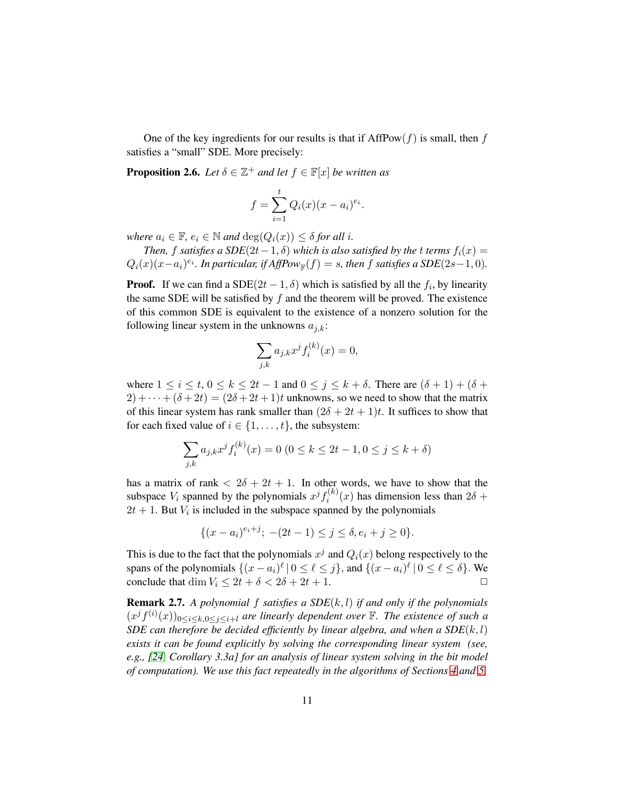One of the key ingredients for our results is that if  $AffPow(f)$  is small, then f satisfies a "small" SDE. More precisely:

<span id="page-10-0"></span>**Proposition 2.6.** *Let*  $\delta \in \mathbb{Z}^+$  *and let*  $f \in \mathbb{F}[x]$  *be written as* 

$$
f = \sum_{i=1}^{t} Q_i(x)(x - a_i)^{e_i}.
$$

*where*  $a_i \in \mathbb{F}$ ,  $e_i \in \mathbb{N}$  *and*  $\deg(Q_i(x)) \leq \delta$  *for all i.* 

*Then,* f satisfies a  $SDE(2t-1, \delta)$  which is also satisfied by the t terms  $f_i(x) =$  $Q_i(x)(x-a_i)^{e_i}$ . In particular, if AffPow<sub>F</sub>(f) = s, then f satisfies a SDE(2s-1,0).

**Proof.** If we can find a SDE $(2t - 1, \delta)$  which is satisfied by all the  $f_i$ , by linearity the same SDE will be satisfied by  $f$  and the theorem will be proved. The existence of this common SDE is equivalent to the existence of a nonzero solution for the following linear system in the unknowns  $a_{j,k}$ :

$$
\sum_{j,k} a_{j,k} x^j f_i^{(k)}(x) = 0,
$$

where  $1 \leq i \leq t$ ,  $0 \leq k \leq 2t - 1$  and  $0 \leq j \leq k + \delta$ . There are  $(\delta + 1) + (\delta + 1)$  $2) + \cdots + (\delta + 2t) = (2\delta + 2t + 1)t$  unknowns, so we need to show that the matrix of this linear system has rank smaller than  $(2\delta + 2t + 1)t$ . It suffices to show that for each fixed value of  $i \in \{1, \ldots, t\}$ , the subsystem:

$$
\sum_{j,k} a_{j,k} x^j f_i^{(k)}(x) = 0 \ (0 \le k \le 2t - 1, 0 \le j \le k + \delta)
$$

has a matrix of rank  $\langle 2\delta + 2t + 1$ . In other words, we have to show that the subspace  $V_i$  spanned by the polynomials  $x^j f_i^{(k)}$  $i^{(k)}(x)$  has dimension less than  $2\delta +$  $2t + 1$ . But  $V_i$  is included in the subspace spanned by the polynomials

$$
\{(x-a_i)^{e_i+j}; -(2t-1) \le j \le \delta, e_i+j \ge 0\}.
$$

This is due to the fact that the polynomials  $x^j$  and  $Q_i(x)$  belong respectively to the spans of the polynomials  $\{(x-a_i)^{\ell} | 0 \leq \ell \leq j\}$ , and  $\{(x-a_i)^{\ell} | 0 \leq \ell \leq \delta\}$ . We conclude that dim  $V_i \leq 2t + \delta < 2\delta + 2t + 1$ .

<span id="page-10-1"></span>Remark 2.7. *A polynomial* f *satisfies a SDE*(k, l) *if and only if the polynomials*  $(x^{j} f^{(i)}(x))_{0 \leq i \leq k, 0 \leq j \leq i+l}$  are linearly dependent over  $\mathbb{F}$ . The existence of such a *SDE can therefore be decided efficiently by linear algebra, and when a SDE* $(k, l)$ *exists it can be found explicitly by solving the corresponding linear system (see, e.g., [\[24,](#page-47-7) Corollary 3.3a] for an analysis of linear system solving in the bit model of computation). We use this fact repeatedly in the algorithms of Sections [4](#page-22-0) and [5.](#page-31-0)*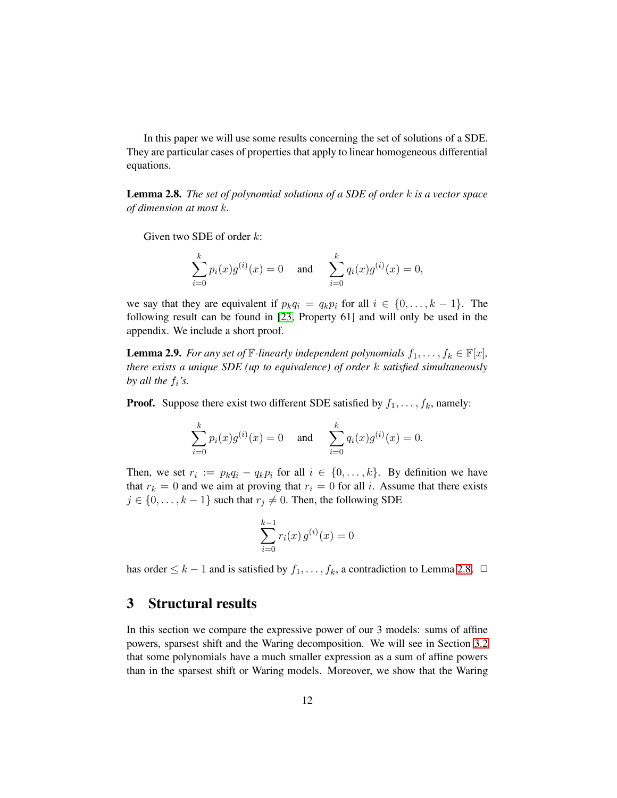In this paper we will use some results concerning the set of solutions of a SDE. They are particular cases of properties that apply to linear homogeneous differential equations.

<span id="page-11-1"></span>Lemma 2.8. *The set of polynomial solutions of a SDE of order* k *is a vector space of dimension at most* k*.*

Given two SDE of order  $k$ :

$$
\sum_{i=0}^{k} p_i(x)g^{(i)}(x) = 0 \quad \text{and} \quad \sum_{i=0}^{k} q_i(x)g^{(i)}(x) = 0,
$$

we say that they are equivalent if  $p_kq_i = q_kp_i$  for all  $i \in \{0, \ldots, k-1\}$ . The following result can be found in [\[23,](#page-47-6) Property 61] and will only be used in the appendix. We include a short proof.

<span id="page-11-2"></span>**Lemma 2.9.** *For any set of*  $\mathbb{F}$ *-linearly independent polynomials*  $f_1, \ldots, f_k \in \mathbb{F}[x]$ *, there exists a unique SDE (up to equivalence) of order* k *satisfied simultaneously by all the*  $f_i$ *'s.* 

**Proof.** Suppose there exist two different SDE satisfied by  $f_1, \ldots, f_k$ , namely:

$$
\sum_{i=0}^{k} p_i(x)g^{(i)}(x) = 0 \quad \text{and} \quad \sum_{i=0}^{k} q_i(x)g^{(i)}(x) = 0.
$$

Then, we set  $r_i := p_k q_i - q_k p_i$  for all  $i \in \{0, ..., k\}$ . By definition we have that  $r_k = 0$  and we aim at proving that  $r_i = 0$  for all i. Assume that there exists  $j \in \{0, \ldots, k-1\}$  such that  $r_j \neq 0$ . Then, the following SDE

$$
\sum_{i=0}^{k-1} r_i(x) g^{(i)}(x) = 0
$$

has order  $\leq k - 1$  and is satisfied by  $f_1, \ldots, f_k$ , a contradiction to Lemma [2.8.](#page-11-1)  $\Box$ 

### <span id="page-11-0"></span>3 Structural results

In this section we compare the expressive power of our 3 models: sums of affine powers, sparsest shift and the Waring decomposition. We will see in Section [3.2](#page-15-0) that some polynomials have a much smaller expression as a sum of affine powers than in the sparsest shift or Waring models. Moreover, we show that the Waring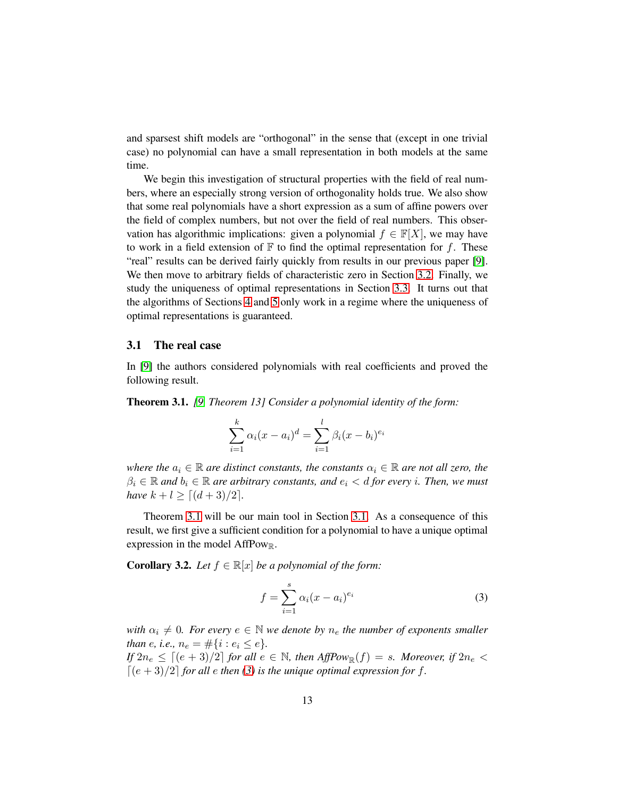and sparsest shift models are "orthogonal" in the sense that (except in one trivial case) no polynomial can have a small representation in both models at the same time.

We begin this investigation of structural properties with the field of real numbers, where an especially strong version of orthogonality holds true. We also show that some real polynomials have a short expression as a sum of affine powers over the field of complex numbers, but not over the field of real numbers. This observation has algorithmic implications: given a polynomial  $f \in \mathbb{F}[X]$ , we may have to work in a field extension of  $\mathbb F$  to find the optimal representation for f. These "real" results can be derived fairly quickly from results in our previous paper [\[9\]](#page-46-0). We then move to arbitrary fields of characteristic zero in Section [3.2.](#page-15-0) Finally, we study the uniqueness of optimal representations in Section [3.3.](#page-17-1) It turns out that the algorithms of Sections [4](#page-22-0) and [5](#page-31-0) only work in a regime where the uniqueness of optimal representations is guaranteed.

#### <span id="page-12-0"></span>3.1 The real case

In [\[9\]](#page-46-0) the authors considered polynomials with real coefficients and proved the following result.

<span id="page-12-1"></span>Theorem 3.1. *[\[9,](#page-46-0) Theorem 13] Consider a polynomial identity of the form:*

$$
\sum_{i=1}^{k} \alpha_i (x - a_i)^d = \sum_{i=1}^{l} \beta_i (x - b_i)^{e_i}
$$

*where the*  $a_i \in \mathbb{R}$  *are distinct constants, the constants*  $\alpha_i \in \mathbb{R}$  *are not all zero, the*  $\beta_i \in \mathbb{R}$  and  $b_i \in \mathbb{R}$  are arbitrary constants, and  $e_i < d$  for every *i*. Then, we must *have*  $k + l \geq [(d+3)/2]$ *.* 

Theorem [3.1](#page-12-1) will be our main tool in Section [3.1.](#page-12-0) As a consequence of this result, we first give a sufficient condition for a polynomial to have a unique optimal expression in the model AffPowR.

<span id="page-12-3"></span>**Corollary 3.2.** *Let*  $f \in \mathbb{R}[x]$  *be a polynomial of the form:* 

<span id="page-12-2"></span>
$$
f = \sum_{i=1}^{s} \alpha_i (x - a_i)^{e_i} \tag{3}
$$

*with*  $\alpha_i \neq 0$ *. For every*  $e \in \mathbb{N}$  *we denote by*  $n_e$  *the number of exponents smaller than e, i.e.,*  $n_e = \#\{i : e_i \leq e\}.$ 

*If*  $2n_e \leq [(e+3)/2]$  *for all*  $e \in \mathbb{N}$ *, then*  $AffPow_{\mathbb{R}}(f) = s$ *. Moreover, if*  $2n_e <$  $[(e+3)/2]$  *for all e then* [\(3\)](#page-12-2) *is the unique optimal expression for f.*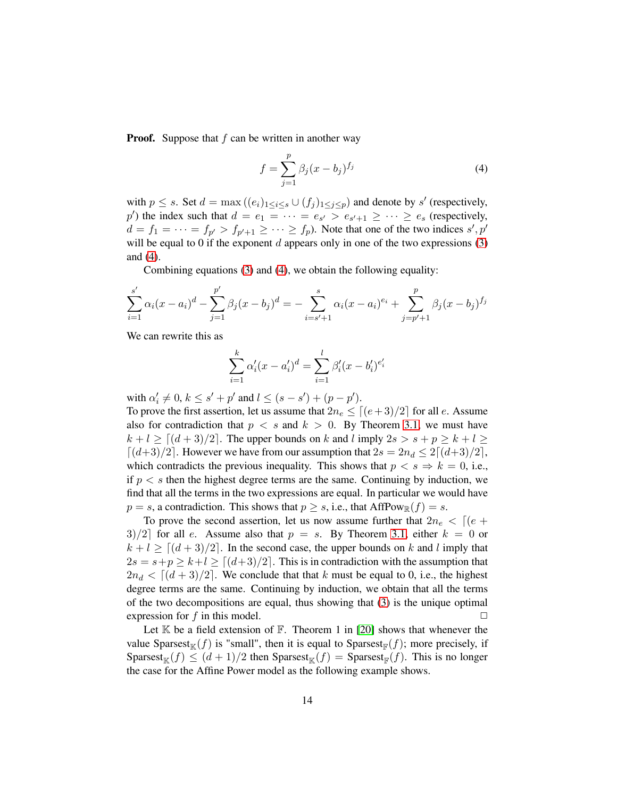**Proof.** Suppose that  $f$  can be written in another way

<span id="page-13-0"></span>
$$
f = \sum_{j=1}^{p} \beta_j (x - b_j)^{f_j}
$$
 (4)

with  $p \leq s$ . Set  $d = \max((e_i)_{1 \leq i \leq s} \cup (f_j)_{1 \leq j \leq p})$  and denote by s' (respectively,  $p'$ ) the index such that  $d = e_1 = \cdots = e_{s'} > e_{s'+1} \geq \cdots \geq e_s$  (respectively,  $d = f_1 = \cdots = f_{p'} > f_{p'+1} \geq \cdots \geq f_p$ ). Note that one of the two indices  $s', p'$ will be equal to 0 if the exponent  $d$  appears only in one of the two expressions  $(3)$ and [\(4\)](#page-13-0).

Combining equations [\(3\)](#page-12-2) and [\(4\)](#page-13-0), we obtain the following equality:

$$
\sum_{i=1}^{s'} \alpha_i (x - a_i)^d - \sum_{j=1}^{p'} \beta_j (x - b_j)^d = - \sum_{i=s'+1}^{s} \alpha_i (x - a_i)^{e_i} + \sum_{j=p'+1}^{p} \beta_j (x - b_j)^{f_j}
$$

We can rewrite this as

$$
\sum_{i=1}^{k} \alpha'_i (x - a'_i)^d = \sum_{i=1}^{l} \beta'_i (x - b'_i)^{e'_i}
$$

with  $\alpha'_i \neq 0, k \leq s' + p'$  and  $l \leq (s - s') + (p - p')$ .

To prove the first assertion, let us assume that  $2n_e \le [(e+3)/2]$  for all e. Assume also for contradiction that  $p \leq s$  and  $k > 0$ . By Theorem [3.1,](#page-12-1) we must have  $k + l \geq [(d+3)/2]$ . The upper bounds on k and l imply  $2s > s + p \geq k + l \geq$  $\lceil (d+3)/2 \rceil$ . However we have from our assumption that  $2s = 2n_d \leq 2\lceil (d+3)/2 \rceil$ , which contradicts the previous inequality. This shows that  $p < s \Rightarrow k = 0$ , i.e., if  $p < s$  then the highest degree terms are the same. Continuing by induction, we find that all the terms in the two expressions are equal. In particular we would have  $p = s$ , a contradiction. This shows that  $p \geq s$ , i.e., that AffPow<sub>R</sub> $(f) = s$ .

To prove the second assertion, let us now assume further that  $2n_e < |(e +$  $3/2$  for all e. Assume also that  $p = s$ . By Theorem [3.1,](#page-12-1) either  $k = 0$  or  $k + l \ge [(d + 3)/2]$ . In the second case, the upper bounds on k and l imply that  $2s = s+p \ge k+l \ge [(d+3)/2]$ . This is in contradiction with the assumption that  $2n_d < [(d+3)/2]$ . We conclude that that k must be equal to 0, i.e., the highest degree terms are the same. Continuing by induction, we obtain that all the terms of the two decompositions are equal, thus showing that [\(3\)](#page-12-2) is the unique optimal expression for f in this model.  $\Box$ 

Let  $K$  be a field extension of  $F$ . Theorem 1 in [\[20\]](#page-47-3) shows that whenever the value Sparsest<sub>K</sub> $(f)$  is "small", then it is equal to Sparsest<sub>F</sub> $(f)$ ; more precisely, if Sparsest<sub>K</sub> $(f) \leq (d+1)/2$  then Sparsest<sub>K</sub> $(f)$  = Sparsest<sub>F</sub> $(f)$ . This is no longer the case for the Affine Power model as the following example shows.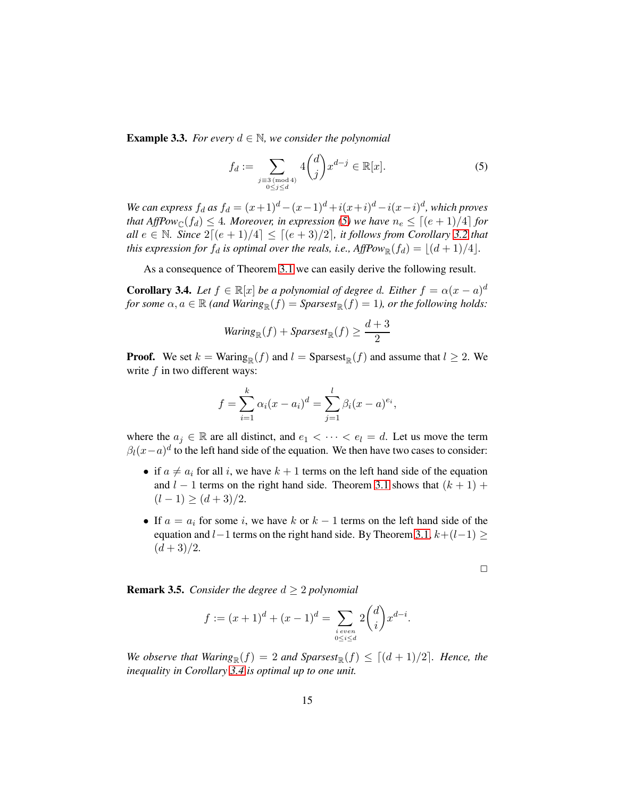<span id="page-14-0"></span>**Example 3.3.** *For every*  $d \in \mathbb{N}$ *, we consider the polynomial* 

<span id="page-14-1"></span>
$$
f_d := \sum_{\substack{j \equiv 3 \pmod{4} \\ 0 \le j \le d}} 4 \binom{d}{j} x^{d-j} \in \mathbb{R}[x].\tag{5}
$$

*We can express*  $f_d$  *as*  $f_d = (x+1)^d - (x-1)^d + i(x+i)^d - i(x-i)^d$ , which proves *that AffPow*<sub>C</sub> $(f_d) \leq 4$ *. Moreover, in expression* [\(5\)](#page-14-1) we have  $n_e \leq [(e+1)/4]$  *for all*  $e \in \mathbb{N}$ *. Since*  $2[(e+1)/4] \leq [(e+3)/2]$ *, it follows from Corollary* [3.2](#page-12-3) *that this expression for*  $f_d$  *is optimal over the reals, i.e., AffPow* $_{\mathbb{R}}(f_d) = \lfloor (d+1)/4 \rfloor$ *.* 

As a consequence of Theorem [3.1](#page-12-1) we can easily derive the following result.

<span id="page-14-2"></span>**Corollary 3.4.** *Let*  $f \in \mathbb{R}[x]$  *be a polynomial of degree d. Either*  $f = \alpha(x - a)^d$ *for some*  $\alpha, a \in \mathbb{R}$  *(and Waring*<sub>R</sub> $(f) =$  *Sparsest*<sub>R</sub> $(f) = 1$ *), or the following holds:* 

$$
Warning_{\mathbb{R}}(f) + Sparsest_{\mathbb{R}}(f) \ge \frac{d+3}{2}
$$

**Proof.** We set  $k = \text{Waring}_{\mathbb{R}}(f)$  and  $l = \text{Sparsest}_{\mathbb{R}}(f)$  and assume that  $l \geq 2$ . We write  $f$  in two different ways:

$$
f = \sum_{i=1}^{k} \alpha_i (x - a_i)^d = \sum_{j=1}^{l} \beta_i (x - a)^{e_i},
$$

where the  $a_j \in \mathbb{R}$  are all distinct, and  $e_1 < \cdots < e_l = d$ . Let us move the term  $\beta_l(x-a)^d$  to the left hand side of the equation. We then have two cases to consider:

- if  $a \neq a_i$  for all i, we have  $k + 1$  terms on the left hand side of the equation and  $l - 1$  terms on the right hand side. Theorem [3.1](#page-12-1) shows that  $(k + 1)$  +  $(l-1) \geq (d+3)/2.$
- If  $a = a_i$  for some i, we have k or  $k 1$  terms on the left hand side of the equation and  $l-1$  terms on the right hand side. By Theorem [3.1,](#page-12-1)  $k+(l-1) \ge$  $(d+3)/2.$

 $\Box$ 

**Remark 3.5.** *Consider the degree*  $d \geq 2$  *polynomial* 

$$
f := (x+1)^d + (x-1)^d = \sum_{\substack{i \text{ even} \\ 0 \le i \le d}} 2\binom{d}{i} x^{d-i}.
$$

*We observe that Waring*<sub>R</sub> $(f) = 2$  *and Sparsest*<sub>R</sub> $(f) \leq [(d+1)/2]$ *. Hence, the inequality in Corollary [3.4](#page-14-2) is optimal up to one unit.*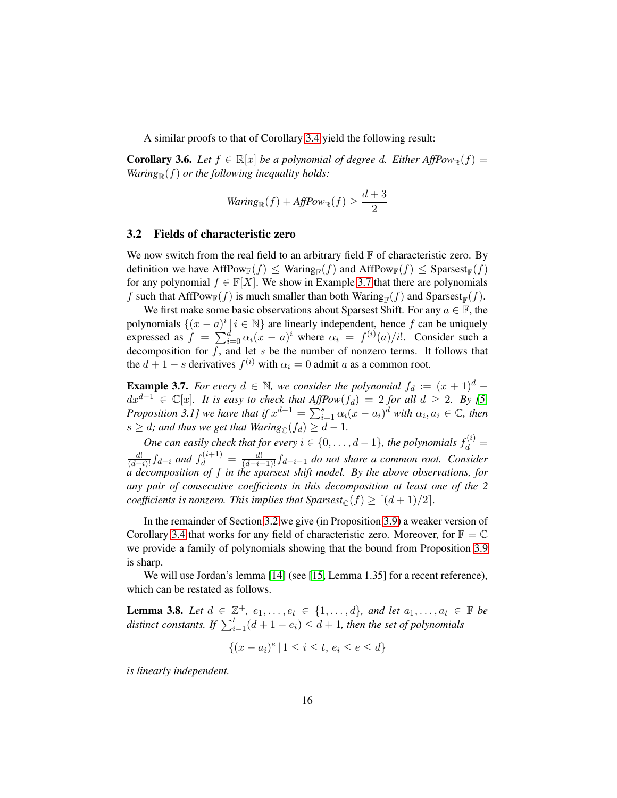A similar proofs to that of Corollary [3.4](#page-14-2) yield the following result:

**Corollary 3.6.** *Let*  $f \in \mathbb{R}[x]$  *be a polynomial of degree d. Either AffPow* $_{\mathbb{R}}(f)$  = *Waring*<sub> $\mathbb{R}(f)$  *or the following inequality holds:*</sub>

$$
Warning_{\mathbb{R}}(f) + AffPow_{\mathbb{R}}(f) \ge \frac{d+3}{2}
$$

#### <span id="page-15-0"></span>3.2 Fields of characteristic zero

We now switch from the real field to an arbitrary field  $F$  of characteristic zero. By definition we have  $AffPow_{\mathbb{F}}(f) \leq Waring_{\mathbb{F}}(f)$  and  $AffPow_{\mathbb{F}}(f) \leq Sparsest_{\mathbb{F}}(f)$ for any polynomial  $f \in \mathbb{F}[X]$ . We show in Example [3.7](#page-15-1) that there are polynomials f such that AffPow $_{\mathbb{F}}(f)$  is much smaller than both Waring $_{\mathbb{F}}(f)$  and Sparsest $_{\mathbb{F}}(f)$ .

We first make some basic observations about Sparsest Shift. For any  $a \in \mathbb{F}$ , the polynomials  $\{(x - a)^i | i \in \mathbb{N}\}\$ are linearly independent, hence f can be uniquely expressed as  $f = \sum_{i=0}^{d} \alpha_i (x - a)^i$  where  $\alpha_i = f^{(i)}(a)/i!$ . Consider such a decomposition for  $f$ , and let s be the number of nonzero terms. It follows that the  $d + 1 - s$  derivatives  $f^{(i)}$  with  $\alpha_i = 0$  admit a as a common root.

<span id="page-15-1"></span>**Example 3.7.** *For every*  $d \in \mathbb{N}$ *, we consider the polynomial*  $f_d := (x + 1)^d$  −  $dx^{d-1}$  ∈  $\mathbb{C}[x]$ *. It is easy to check that AffPow*( $f_d$ ) = 2 *for all*  $d \geq 2$ *. By* [5*, Proposition 3.1]* we have that if  $x^{d-1} = \sum_{i=1}^{s} \alpha_i (x - a_i)^d$  with  $\alpha_i, a_i \in \mathbb{C}$ , then  $s \geq d$ *; and thus we get that Waring*<sub> $\mathcal{C}(f_d) \geq d - 1$ *.*</sub>

*One can easily check that for every*  $i \in \{0, ..., d-1\}$ , the polynomials  $f_d^{(i)}$  =  $\frac{d!}{(d-i)!}f_{d-i}$  and  $f_d^{(i+1)} = \frac{d!}{(d-i-1)!}f_{d-i-1}$  do not share a common root. Consider *a decomposition of* f *in the sparsest shift model. By the above observations, for any pair of consecutive coefficients in this decomposition at least one of the 2 coefficients is nonzero. This implies that*  $Sparsest_{\mathbb{C}}(f) \geq [(d+1)/2]$ *.* 

In the remainder of Section [3.2](#page-15-0) we give (in Proposition [3.9\)](#page-16-0) a weaker version of Corollary [3.4](#page-14-2) that works for any field of characteristic zero. Moreover, for  $\mathbb{F} = \mathbb{C}$ we provide a family of polynomials showing that the bound from Proposition [3.9](#page-16-0) is sharp.

We will use Jordan's lemma [\[14\]](#page-46-9) (see [\[15,](#page-46-1) Lemma 1.35] for a recent reference), which can be restated as follows.

**Lemma 3.8.** Let  $d \in \mathbb{Z}^+, e_1, \ldots, e_t \in \{1, \ldots, d\}$ *, and let*  $a_1, \ldots, a_t \in \mathbb{F}$  be *distinct constants.* If  $\sum_{i=1}^{t} (d + 1 - e_i) \leq d + 1$ *, then the set of polynomials* 

$$
\{(x - a_i)^e \mid 1 \le i \le t, \, e_i \le e \le d\}
$$

*is linearly independent.*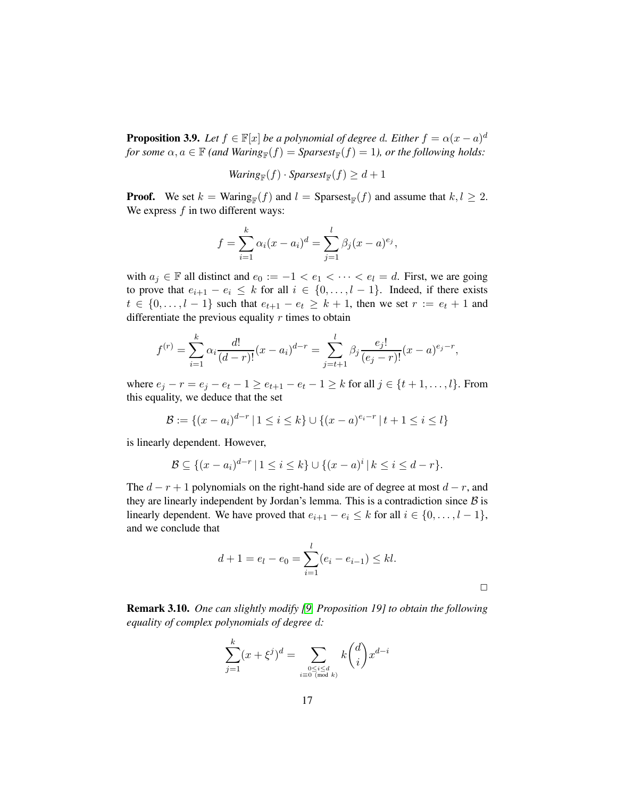<span id="page-16-0"></span>**Proposition 3.9.** *Let*  $f \in \mathbb{F}[x]$  *be a polynomial of degree d. Either*  $f = \alpha(x - a)^d$  $for some \alpha, a \in \mathbb{F}$  (and  $Waring_{\mathbb{F}}(f) = Sparsest_{\mathbb{F}}(f) = 1$ ), or the following holds:

$$
Warning_{\mathbb{F}}(f) \cdot Spaces_{\mathbb{F}}(f) \geq d+1
$$

**Proof.** We set  $k = \text{Waring}_{\mathbb{F}}(f)$  and  $l = \text{Sparsest}_{\mathbb{F}}(f)$  and assume that  $k, l \geq 2$ . We express  $f$  in two different ways:

$$
f = \sum_{i=1}^{k} \alpha_i (x - a_i)^d = \sum_{j=1}^{l} \beta_j (x - a)^{e_j},
$$

with  $a_j \in \mathbb{F}$  all distinct and  $e_0 := -1 < e_1 < \cdots < e_l = d$ . First, we are going to prove that  $e_{i+1} - e_i \leq k$  for all  $i \in \{0, \ldots, l-1\}$ . Indeed, if there exists  $t \in \{0, \ldots, l-1\}$  such that  $e_{t+1} - e_t \geq k+1$ , then we set  $r := e_t + 1$  and differentiate the previous equality  $r$  times to obtain

$$
f^{(r)} = \sum_{i=1}^{k} \alpha_i \frac{d!}{(d-r)!} (x - a_i)^{d-r} = \sum_{j=t+1}^{l} \beta_j \frac{e_j!}{(e_j - r)!} (x - a)^{e_j - r},
$$

where  $e_j - r = e_j - e_t - 1 \ge e_{t+1} - e_t - 1 \ge k$  for all  $j \in \{t+1, ..., l\}$ . From this equality, we deduce that the set

$$
\mathcal{B} := \{(x - a_i)^{d-r} \mid 1 \le i \le k\} \cup \{(x - a)^{e_i - r} \mid t + 1 \le i \le l\}
$$

is linearly dependent. However,

$$
\mathcal{B} \subseteq \{(x-a_i)^{d-r} \mid 1 \le i \le k\} \cup \{(x-a)^i \mid k \le i \le d-r\}.
$$

The  $d - r + 1$  polynomials on the right-hand side are of degree at most  $d - r$ , and they are linearly independent by Jordan's lemma. This is a contradiction since  $\beta$  is linearly dependent. We have proved that  $e_{i+1} - e_i \leq k$  for all  $i \in \{0, \ldots, l-1\}$ , and we conclude that

$$
d + 1 = e_l - e_0 = \sum_{i=1}^{l} (e_i - e_{i-1}) \le kl.
$$

<span id="page-16-1"></span>Remark 3.10. *One can slightly modify [\[9,](#page-46-0) Proposition 19] to obtain the following equality of complex polynomials of degree* d*:*

$$
\sum_{j=1}^k (x+\xi^j)^d = \sum_{\substack{0 \le i \le d \\ i \equiv 0 \pmod k}} k\binom{d}{i} x^{d-i}
$$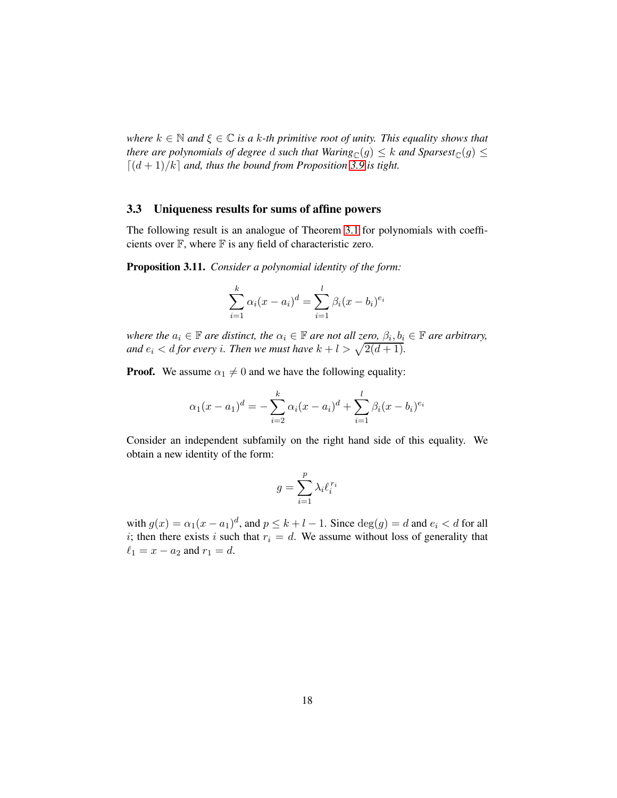*where*  $k \in \mathbb{N}$  *and*  $\xi \in \mathbb{C}$  *is a* k-th primitive root of unity. This equality shows that *there are polynomials of degree d such that Waring*<sub>C</sub>(g)  $\leq$  *k and Sparsest*<sub>C</sub>(g)  $\leq$  $\left[\frac{d+1}{k}\right]$  *and, thus the bound from Proposition* [3.9](#page-16-0) *is tight.* 

#### <span id="page-17-1"></span>3.3 Uniqueness results for sums of affine powers

The following result is an analogue of Theorem [3.1](#page-12-1) for polynomials with coefficients over  $\mathbb F$ , where  $\mathbb F$  is any field of characteristic zero.

<span id="page-17-0"></span>Proposition 3.11. *Consider a polynomial identity of the form:*

$$
\sum_{i=1}^{k} \alpha_i (x - a_i)^d = \sum_{i=1}^{l} \beta_i (x - b_i)^{e_i}
$$

*where the*  $a_i \in \mathbb{F}$  *are distinct, the*  $\alpha_i \in \mathbb{F}$  *are not all zero,*  $\beta_i, b_i \in \mathbb{F}$  *are arbitrary,* and  $e_i < d$  for every *i*. Then we must have  $k + l > \sqrt{2(d+1)}$ .

**Proof.** We assume  $\alpha_1 \neq 0$  and we have the following equality:

$$
\alpha_1(x-a_1)^d = -\sum_{i=2}^k \alpha_i (x-a_i)^d + \sum_{i=1}^l \beta_i (x-b_i)^{e_i}
$$

Consider an independent subfamily on the right hand side of this equality. We obtain a new identity of the form:

$$
g=\sum_{i=1}^p\lambda_i\ell_i^{r_i}
$$

with  $g(x) = \alpha_1(x - a_1)^d$ , and  $p \le k + l - 1$ . Since  $\deg(g) = d$  and  $e_i < d$  for all i; then there exists i such that  $r_i = d$ . We assume without loss of generality that  $\ell_1 = x - a_2$  and  $r_1 = d$ .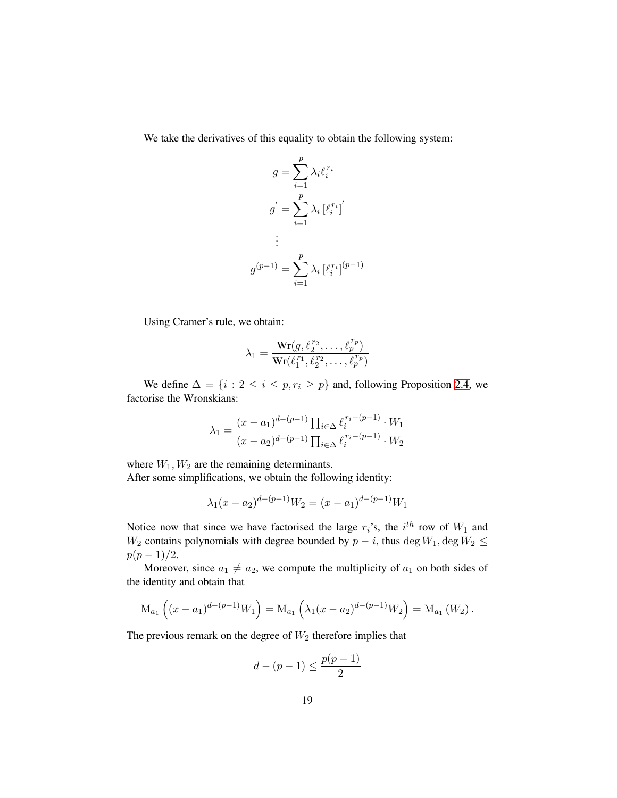We take the derivatives of this equality to obtain the following system:

$$
g = \sum_{i=1}^{p} \lambda_i \ell_i^{r_i}
$$

$$
g' = \sum_{i=1}^{p} \lambda_i [\ell_i^{r_i}]'
$$

$$
\vdots
$$

$$
g^{(p-1)} = \sum_{i=1}^{p} \lambda_i [\ell_i^{r_i}]^{(p-1)}
$$

Using Cramer's rule, we obtain:

$$
\lambda_1 = \frac{\mathrm{Wr}(g, \ell_2^{r_2}, \dots, \ell_p^{r_p})}{\mathrm{Wr}(\ell_1^{r_1}, \ell_2^{r_2}, \dots, \ell_p^{r_p})}
$$

We define  $\Delta = \{i : 2 \le i \le p, r_i \ge p\}$  and, following Proposition [2.4,](#page-9-0) we factorise the Wronskians:

$$
\lambda_1 = \frac{(x - a_1)^{d - (p-1)} \prod_{i \in \Delta} \ell_i^{r_i - (p-1)} \cdot W_1}{(x - a_2)^{d - (p-1)} \prod_{i \in \Delta} \ell_i^{r_i - (p-1)} \cdot W_2}
$$

where  $W_1, W_2$  are the remaining determinants. After some simplifications, we obtain the following identity:

$$
\lambda_1(x - a_2)^{d - (p-1)} W_2 = (x - a_1)^{d - (p-1)} W_1
$$

Notice now that since we have factorised the large  $r_i$ 's, the  $i^{th}$  row of  $W_1$  and W<sub>2</sub> contains polynomials with degree bounded by  $p - i$ , thus deg  $W_1$ , deg  $W_2 \le$  $p(p-1)/2$ .

Moreover, since  $a_1 \neq a_2$ , we compute the multiplicity of  $a_1$  on both sides of the identity and obtain that

$$
\mathrm{M}_{a_1}\left( (x-a_1)^{d-(p-1)}W_1 \right) = \mathrm{M}_{a_1}\left( \lambda_1(x-a_2)^{d-(p-1)}W_2 \right) = \mathrm{M}_{a_1}\left( W_2 \right).
$$

The previous remark on the degree of  $W_2$  therefore implies that

$$
d - (p - 1) \le \frac{p(p - 1)}{2}
$$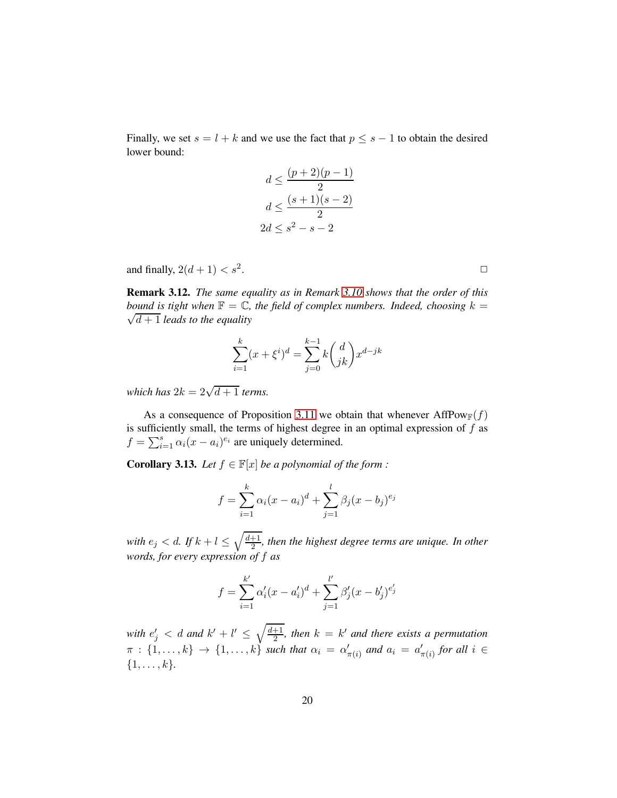Finally, we set  $s = l + k$  and we use the fact that  $p \leq s - 1$  to obtain the desired lower bound:

$$
d \le \frac{(p+2)(p-1)}{2}
$$

$$
d \le \frac{(s+1)(s-2)}{2}
$$

$$
2d \le s^2 - s - 2
$$

and finally,  $2(d+1) < s^2$ .

Remark 3.12. *The same equality as in Remark [3.10](#page-16-1) shows that the order of this bound is tight when*  $\mathbb{F} = \mathbb{C}$ *, the field of complex numbers. Indeed, choosing*  $k =$  $\sqrt{d+1}$  *leads to the equality* 

$$
\sum_{i=1}^{k} (x + \xi^{i})^{d} = \sum_{j=0}^{k-1} k {d \choose jk} x^{d-jk}
$$

*which has*  $2k = 2\sqrt{d+1}$  *terms.* 

As a consequence of Proposition [3.11](#page-17-0) we obtain that whenever AffPow $_F(f)$ is sufficiently small, the terms of highest degree in an optimal expression of  $f$  as  $f = \sum_{i=1}^{s} \alpha_i (x - a_i)^{e_i}$  are uniquely determined.

<span id="page-19-0"></span>**Corollary 3.13.** *Let*  $f \in \mathbb{F}[x]$  *be a polynomial of the form :* 

$$
f = \sum_{i=1}^{k} \alpha_i (x - a_i)^d + \sum_{j=1}^{l} \beta_j (x - b_j)^{e_j}
$$

*with*  $e_j < d$ *. If*  $k + l \leq \sqrt{\frac{d+1}{2}}$  $\frac{+1}{2}$ , then the highest degree terms are unique. In other *words, for every expression of* f *as*

$$
f = \sum_{i=1}^{k'} \alpha'_i (x - a'_i)^d + \sum_{j=1}^{l'} \beta'_j (x - b'_j)^{e'_j}
$$

with  $e'_{j} < d$  and  $k' + l' \leq \sqrt{\frac{d+1}{2}}$  $\frac{+1}{2}$ , then  $k = k'$  and there exists a permutation  $\pi$  :  $\{1,\ldots,k\}$   $\rightarrow$   $\{1,\ldots,k\}$  *such that*  $\alpha_i = \alpha'_i$  $n'_{\pi(i)}$  and  $a_i = a'_i$  $'_{\pi(i)}$  for all  $i \in$  $\{1, \ldots, k\}.$ 

.  $\Box$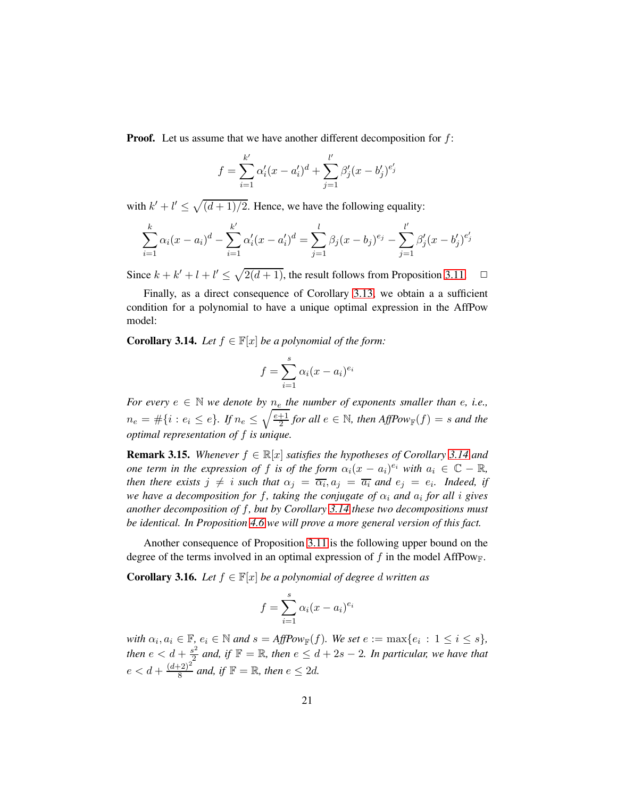**Proof.** Let us assume that we have another different decomposition for  $f$ :

$$
f = \sum_{i=1}^{k'} \alpha'_i (x - a'_i)^d + \sum_{j=1}^{l'} \beta'_j (x - b'_j)^{e'_j}
$$

with  $k' + l' \le \sqrt{\frac{d+1}{2}}$ . Hence, we have the following equality:

$$
\sum_{i=1}^{k} \alpha_i (x - a_i)^d - \sum_{i=1}^{k'} \alpha'_i (x - a'_i)^d = \sum_{j=1}^{l} \beta_j (x - b_j)^{e_j} - \sum_{j=1}^{l'} \beta'_j (x - b'_j)^{e'_j}
$$

Since  $k + k' + l + l' \leq \sqrt{2(d+1)}$ , the result follows from Proposition [3.11.](#page-17-0)  $\Box$ 

Finally, as a direct consequence of Corollary [3.13,](#page-19-0) we obtain a a sufficient condition for a polynomial to have a unique optimal expression in the AffPow model:

<span id="page-20-0"></span>**Corollary 3.14.** *Let*  $f \in \mathbb{F}[x]$  *be a polynomial of the form:* 

$$
f = \sum_{i=1}^{s} \alpha_i (x - a_i)^{e_i}
$$

*For every*  $e \in \mathbb{N}$  *we denote by*  $n_e$  *the number of exponents smaller than e, i.e.,*  $n_e = #\{i : e_i \leq e\}$ . If  $n_e \leq \sqrt{\frac{e+1}{2}}$  $\frac{+1}{2}$  for all  $e \in \mathbb{N}$ , then  $AffPow_{\mathbb{F}}(f) = s$  and the *optimal representation of* f *is unique.*

**Remark 3.15.** *Whenever*  $f \in \mathbb{R}[x]$  *satisfies the hypotheses of Corollary* [3.14](#page-20-0) *and one term in the expression of* f *is of the form*  $\alpha_i(x - a_i)^{e_i}$  *with*  $a_i \in \mathbb{C} - \mathbb{R}$ , *then there exists*  $j \neq i$  *such that*  $\alpha_j = \overline{\alpha_i}$ ,  $a_j = \overline{a_i}$  and  $e_j = e_i$ . Indeed, if *we have a decomposition for f, taking the conjugate of*  $\alpha_i$  *and*  $a_i$  *for all i gives another decomposition of* f*, but by Corollary [3.14](#page-20-0) these two decompositions must be identical. In Proposition [4.6](#page-29-0) we will prove a more general version of this fact.*

Another consequence of Proposition [3.11](#page-17-0) is the following upper bound on the degree of the terms involved in an optimal expression of f in the model AffPow<sub>F</sub>.

<span id="page-20-1"></span>**Corollary 3.16.** *Let*  $f \in \mathbb{F}[x]$  *be a polynomial of degree d written as* 

$$
f = \sum_{i=1}^{s} \alpha_i (x - a_i)^{e_i}
$$

with  $\alpha_i, a_i \in \mathbb{F}$ ,  $e_i \in \mathbb{N}$  and  $s = AffPow_{\mathbb{F}}(f)$ *. We set*  $e := \max\{e_i : 1 \le i \le s\}$ *, then*  $e < d + \frac{s^2}{2}$  $\frac{a^2}{2}$  and, if  $\mathbb{F} = \mathbb{R}$ , then  $e \leq d + 2s - 2$ . In particular, we have that  $e < d + \frac{(d+2)^2}{8}$  $\frac{(n+2)^2}{8}$  and, if  $\mathbb{F} = \mathbb{R}$ , then  $e \leq 2d$ .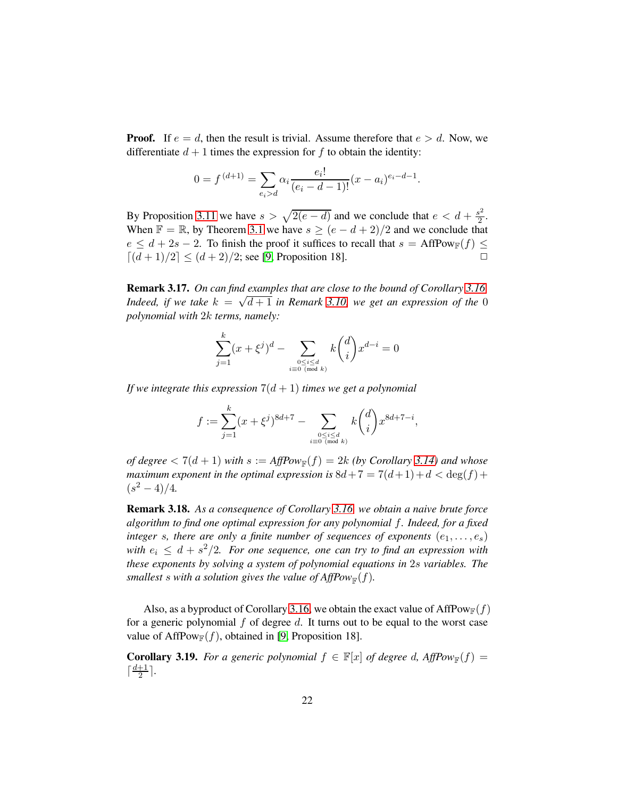**Proof.** If  $e = d$ , then the result is trivial. Assume therefore that  $e > d$ . Now, we differentiate  $d + 1$  times the expression for f to obtain the identity:

$$
0 = f^{(d+1)} = \sum_{e_i > d} \alpha_i \frac{e_i!}{(e_i - d - 1)!} (x - a_i)^{e_i - d - 1}.
$$

By Proposition [3.11](#page-17-0) we have  $s > \sqrt{2(e - d)}$  and we conclude that  $e < d + \frac{s^2}{2}$  $rac{3^2}{2}$ . When  $\mathbb{F} = \mathbb{R}$ , by Theorem [3.1](#page-12-1) we have  $s \ge (e - d + 2)/2$  and we conclude that  $e \le d + 2s - 2$ . To finish the proof it suffices to recall that  $s = AffPow_\mathbb{F}(f) \le \lfloor (d+1)/2 \rfloor \le (d+2)/2$ : see [9. Proposition 18].  $\lceil (d+1)/2 \rceil \leq (d+2)/2$ ; see [\[9,](#page-46-0) Proposition 18].

Remark 3.17. *On can find examples that are close to the bound of Corollary [3.16.](#page-20-1) Indeed, if we take*  $k = \sqrt{d+1}$  *in Remark* [3.10,](#page-16-1) we get an expression of the 0 *polynomial with* 2k *terms, namely:*

$$
\sum_{j=1}^k(x+\xi^j)^d-\sum_{\stackrel{0\le i\le d}{i\equiv 0\,\,(\text{mod}\,\,k)}}k\binom{d}{i}x^{d-i}=0
$$

*If we integrate this expression*  $7(d+1)$  *times we get a polynomial* 

$$
f:=\sum_{j=1}^k(x+\xi^j)^{8d+7}-\sum_{0\leq i\leq d\atop i\equiv 0\;(\text{mod }k)}k\binom{d}{i}x^{8d+7-i},
$$

*of degree*  $< 7(d + 1)$  *with*  $s := AffPow_{\mathbb{F}}(f) = 2k$  (by Corollary [3.14\)](#page-20-0) and whose *maximum exponent in the optimal expression is*  $8d+7 = 7(d+1)+d < deg(f)+$  $(s^2-4)/4.$ 

Remark 3.18. *As a consequence of Corollary [3.16,](#page-20-1) we obtain a naive brute force algorithm to find one optimal expression for any polynomial* f*. Indeed, for a fixed integer* s, there are only a finite number of sequences of exponents  $(e_1, \ldots, e_s)$ with  $e_i \leq d + s^2/2$ . For one sequence, one can try to find an expression with *these exponents by solving a system of polynomial equations in* 2s *variables. The smallest s* with a solution gives the value of  $AffPow_{\mathbb{F}}(f)$ .

Also, as a byproduct of Corollary [3.16,](#page-20-1) we obtain the exact value of AffPow<sub>F</sub>(f) for a generic polynomial  $f$  of degree  $d$ . It turns out to be equal to the worst case value of AffPow<sub>F</sub> $(f)$ , obtained in [\[9,](#page-46-0) Proposition 18].

**Corollary 3.19.** For a generic polynomial  $f \in \mathbb{F}[x]$  of degree d,  $AffPow_{\mathbb{F}}(f) =$  $\lceil \frac{d+1}{2} \rceil$  $\frac{+1}{2}$ .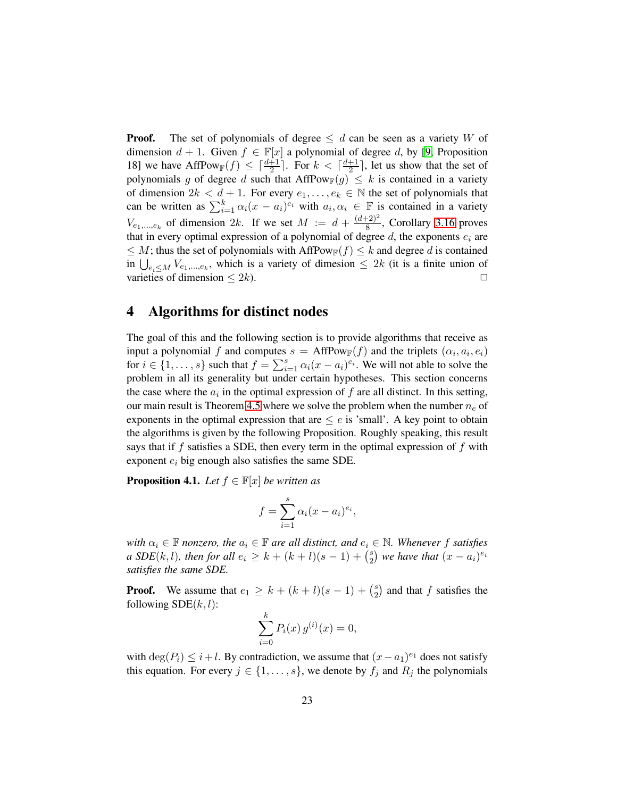**Proof.** The set of polynomials of degree  $\leq d$  can be seen as a variety W of dimension  $d + 1$ . Given  $f \in \mathbb{F}[x]$  a polynomial of degree d, by [\[9,](#page-46-0) Proposition 18] we have AffPow $f(x) \leq \lceil \frac{d+1}{2} \rceil$ . For  $k < \lceil \frac{d+1}{2} \rceil$  $\frac{+1}{2}$ , let us show that the set of polynomials g of degree d such that  $AffPow_F(g) \leq k$  is contained in a variety of dimension  $2k < d+1$ . For every  $e_1, \ldots, e_k \in \mathbb{N}$  the set of polynomials that can be written as  $\sum_{i=1}^{k} \alpha_i (x - a_i)^{e_i}$  with  $a_i, \alpha_i \in \mathbb{F}$  is contained in a variety  $V_{e_1,...,e_k}$  of dimension 2k. If we set  $M := d + \frac{(d+2)^2}{8}$  $\frac{(-2)^2}{8}$ , Corollary [3.16](#page-20-1) proves that in every optimal expression of a polynomial of degree  $d$ , the exponents  $e_i$  are  $\leq M$ ; thus the set of polynomials with AffPow<sub>F</sub>( $f$ )  $\leq k$  and degree d is contained in  $\bigcup_{e_i\leq M} V_{e_1,\dots,e_k}$ , which is a variety of dimesion  $\leq 2k$  (it is a finite union of varieties of dimension  $\leq 2k$ ).

### <span id="page-22-0"></span>4 Algorithms for distinct nodes

The goal of this and the following section is to provide algorithms that receive as input a polynomial f and computes  $s = AffPow_\mathbb{F}(f)$  and the triplets  $(\alpha_i, a_i, e_i)$ for  $i \in \{1, \ldots, s\}$  such that  $f = \sum_{i=1}^{s} \alpha_i (x - a_i)^{e_i}$ . We will not able to solve the problem in all its generality but under certain hypotheses. This section concerns the case where the  $a_i$  in the optimal expression of  $f$  are all distinct. In this setting, our main result is Theorem [4.5](#page-27-0) where we solve the problem when the number  $n_e$  of exponents in the optimal expression that are  $\leq e$  is 'small'. A key point to obtain the algorithms is given by the following Proposition. Roughly speaking, this result says that if  $f$  satisfies a SDE, then every term in the optimal expression of  $f$  with exponent  $e_i$  big enough also satisfies the same SDE.

<span id="page-22-1"></span>**Proposition 4.1.** *Let*  $f \in \mathbb{F}[x]$  *be written as* 

$$
f = \sum_{i=1}^{s} \alpha_i (x - a_i)^{e_i},
$$

*with*  $\alpha_i \in \mathbb{F}$  *nonzero, the*  $a_i \in \mathbb{F}$  *are all distinct, and*  $e_i \in \mathbb{N}$ *. Whenever* f *satisfies a*  $SDE(k, l)$ *, then for all*  $e_i \geq k + (k + l)(s - 1) + {s \choose 2}$  $\binom{s}{2}$  we have that  $(x - a_i)^{e_i}$ *satisfies the same SDE.*

**Proof.** We assume that  $e_1 \ge k + (k+l)(s-1) + {s \choose 2}$  $_2^s$ ) and that f satisfies the following  $SDE(k, l)$ :

$$
\sum_{i=0}^{k} P_i(x) g^{(i)}(x) = 0,
$$

with  $\deg(P_i) \leq i + l$ . By contradiction, we assume that  $(x - a_1)^{e_1}$  does not satisfy this equation. For every  $j \in \{1, \ldots, s\}$ , we denote by  $f_j$  and  $R_j$  the polynomials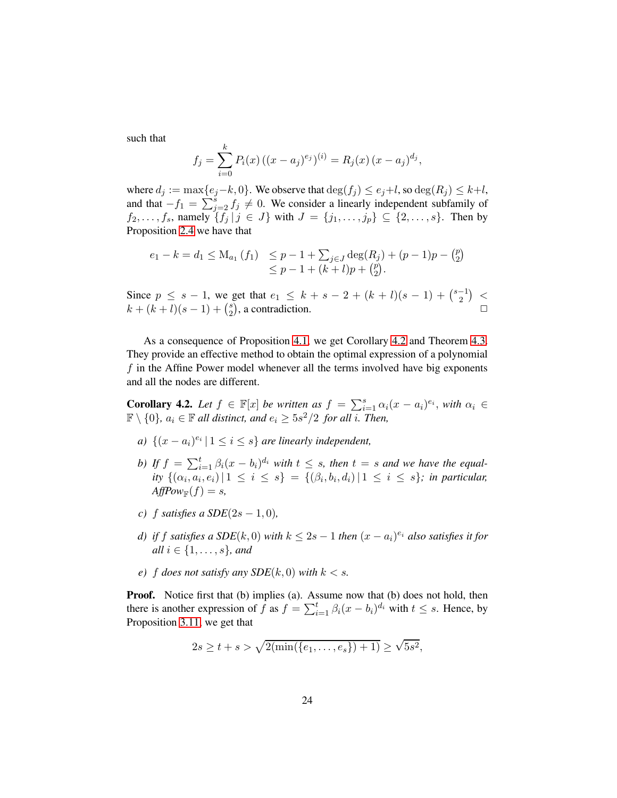such that

$$
f_j = \sum_{i=0}^k P_i(x) ((x - a_j)^{e_j})^{(i)} = R_j(x) (x - a_j)^{d_j},
$$

where  $d_j := \max\{e_j - k, 0\}$ . We observe that  $\deg(f_j) \leq e_j + l$ , so  $\deg(R_j) \leq k+l$ , and that  $-f_1 = \sum_{j=2}^{s} f_j \neq 0$ . We consider a linearly independent subfamily of  $f_2, \ldots, f_s$ , namely  $\{f_j | j \in J\}$  with  $J = \{j_1, \ldots, j_p\} \subseteq \{2, \ldots, s\}$ . Then by Proposition [2.4](#page-9-0) we have that

$$
e_1 - k = d_1 \le M_{a_1}(f_1) \le p - 1 + \sum_{j \in J} \deg(R_j) + (p - 1)p - {p \choose 2} \le p - 1 + (k + l)p + {p \choose 2}.
$$

Since  $p \leq s - 1$ , we get that  $e_1 \leq k + s - 2 + (k + l)(s - 1) + \binom{s-1}{2}$  $\binom{-1}{2}$  <  $k + (k+l)(s-1) + {s \choose 2}$  $\left(\begin{matrix} s \\ 2 \end{matrix}\right)$ , a contradiction.  $\Box$ 

As a consequence of Proposition [4.1,](#page-22-1) we get Corollary [4.2](#page-23-0) and Theorem [4.3.](#page-24-0) They provide an effective method to obtain the optimal expression of a polynomial f in the Affine Power model whenever all the terms involved have big exponents and all the nodes are different.

<span id="page-23-0"></span>**Corollary 4.2.** Let  $f \in \mathbb{F}[x]$  be written as  $f = \sum_{i=1}^{s} \alpha_i (x - a_i)^{e_i}$ , with  $\alpha_i \in$  $\mathbb{F} \setminus \{0\}$ ,  $a_i \in \mathbb{F}$  all distinct, and  $e_i \geq 5s^2/2$  for all i. Then,

- *a*)  $\{(x a_i)^{e_i} | 1 \leq i \leq s\}$  *are linearly independent,*
- *b)* If  $f = \sum_{i=1}^{t} \beta_i (x b_i)^{d_i}$  with  $t \leq s$ , then  $t = s$  and we have the equal*ity*  $\{(\alpha_i, a_i, e_i) | 1 \leq i \leq s\} = \{(\beta_i, b_i, d_i) | 1 \leq i \leq s\}$ ; *in particular*,  $AffPow_{\mathbb{F}}(f) = s$ ,
- *c*) f satisfies a  $SDE(2s 1, 0)$ ,
- *d)* if f satisfies a SDE(k, 0) with  $k \leq 2s 1$  then  $(x a_i)^{e_i}$  also satisfies it for *all*  $i \in \{1, \ldots, s\}$ *, and*
- *e*) *f does not satisfy any SDE*( $k$ , 0) *with*  $k < s$ .

**Proof.** Notice first that (b) implies (a). Assume now that (b) does not hold, then there is another expression of f as  $f = \sum_{i=1}^{t} \beta_i (x - b_i)^{d_i}$  with  $t \leq s$ . Hence, by Proposition [3.11,](#page-17-0) we get that

$$
2s \ge t + s > \sqrt{2(\min(\{e_1, \ldots, e_s\}) + 1)} \ge \sqrt{5s^2},
$$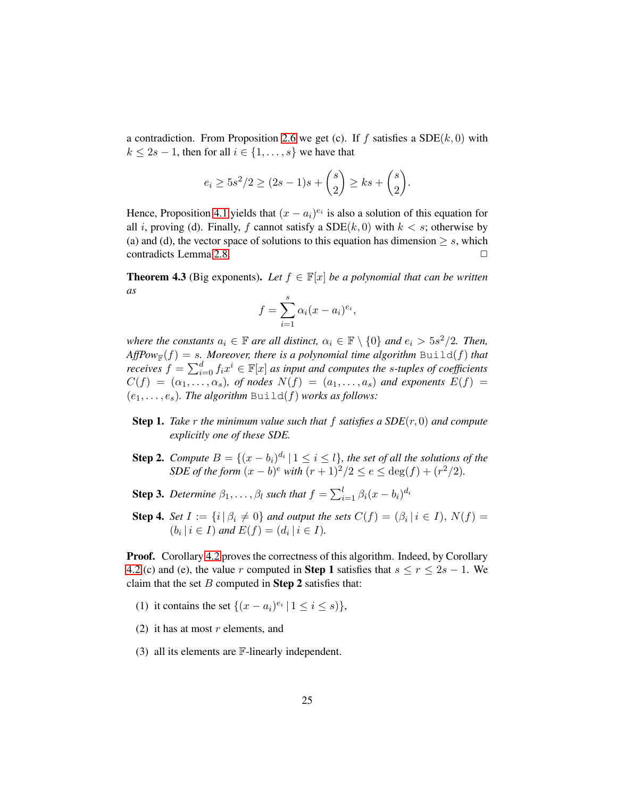a contradiction. From Proposition [2.6](#page-10-0) we get (c). If f satisfies a  $SDE(k, 0)$  with  $k \le 2s - 1$ , then for all  $i \in \{1, \ldots, s\}$  we have that

$$
e_i \ge 5s^2/2 \ge (2s - 1)s + {s \choose 2} \ge ks + {s \choose 2}.
$$

Hence, Proposition [4.1](#page-22-1) yields that  $(x - a_i)^{e_i}$  is also a solution of this equation for all i, proving (d). Finally, f cannot satisfy a  $SDE(k, 0)$  with  $k < s$ ; otherwise by (a) and (d), the vector space of solutions to this equation has dimension  $\geq s$ , which contradicts Lemma 2.8. contradicts Lemma [2.8.](#page-11-1)

<span id="page-24-0"></span>**Theorem 4.3** (Big exponents). Let  $f \in \mathbb{F}[x]$  be a polynomial that can be written *as*

$$
f = \sum_{i=1}^{s} \alpha_i (x - a_i)^{e_i},
$$

*where the constants*  $a_i \in \mathbb{F}$  *are all distinct,*  $\alpha_i \in \mathbb{F} \setminus \{0\}$  *and*  $e_i > 5s^2/2$ *. Then,*  $AffPow_{\mathbb{F}}(f) = s$ . Moreover, there is a polynomial time algorithm  $\text{Build}(f)$  that *receives*  $f = \sum_{i=0}^{d} f_i x^i \in \mathbb{F}[x]$  *as input and computes the s-tuples of coefficients*  $C(f) = (\alpha_1, \ldots, \alpha_s)$ , of nodes  $N(f) = (a_1, \ldots, a_s)$  and exponents  $E(f) =$  $(e_1, \ldots, e_s)$ *. The algorithm* Build(*f*) *works as follows:* 

- **Step 1.** *Take*  $r$  *the minimum value such that*  $f$  *satisfies a SDE* $(r, 0)$  *and compute explicitly one of these SDE.*
- **Step 2.** *Compute*  $B = \{(x b_i)^{d_i} | 1 \leq i \leq l\}$ , the set of all the solutions of the *SDE of the form*  $(x - b)^e$  *with*  $(r + 1)^2/2 \le e \le deg(f) + (r^2/2)$ *.*
- **Step 3.** *Determine*  $\beta_1, \ldots, \beta_l$  *such that*  $f = \sum_{i=1}^l \beta_i (x b_i)^{d_i}$
- **Step 4.** *Set*  $I := \{i \mid \beta_i \neq 0\}$  *and output the sets*  $C(f) = (\beta_i \mid i \in I)$ ,  $N(f) =$  $(b_i | i \in I)$  and  $E(f) = (d_i | i \in I)$ .

Proof. Corollary [4.2](#page-23-0) proves the correctness of this algorithm. Indeed, by Corollary [4.2.](#page-23-0)(c) and (e), the value r computed in **Step 1** satisfies that  $s \le r \le 2s - 1$ . We claim that the set  $B$  computed in **Step 2** satisfies that:

- (1) it contains the set  $\{(x-a_i)^{e_i} \mid 1 \le i \le s)\}\,$ ,
- (2) it has at most  $r$  elements, and
- (3) all its elements are F-linearly independent.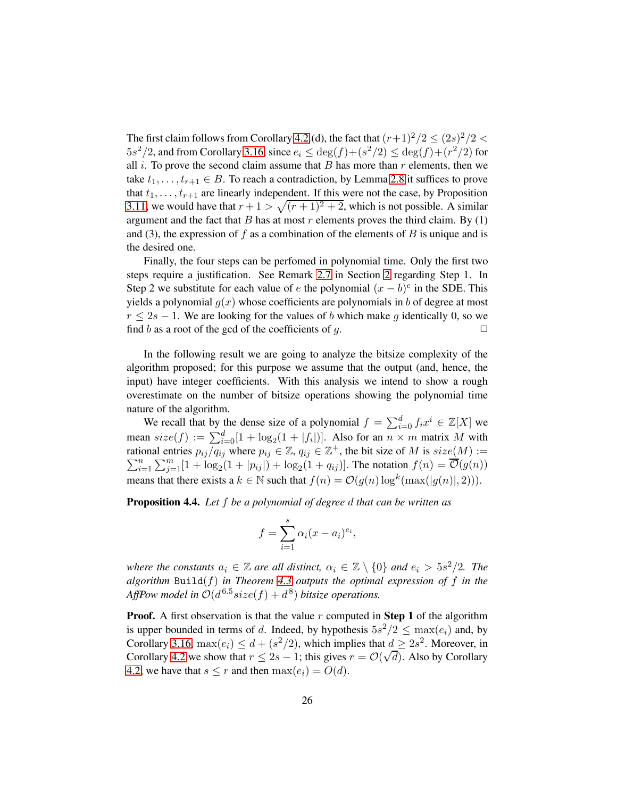The first claim follows from Corollary [4.2.](#page-23-0)(d), the fact that  $(r+1)^2/2 \leq (2s)^2/2 <$  $5s^2/2$ , and from Corollary [3.16,](#page-20-1) since  $e_i \le \deg(f) + (s^2/2) \le \deg(f) + (r^2/2)$  for all  $i$ . To prove the second claim assume that  $B$  has more than  $r$  elements, then we take  $t_1, \ldots, t_{r+1} \in B$ . To reach a contradiction, by Lemma [2.8](#page-11-1) it suffices to prove that  $t_1, \ldots, t_{r+1}$  are linearly independent. If this were not the case, by Proposition [3.11,](#page-17-0) we would have that  $r + 1 > \sqrt{(r + 1)^2 + 2}$ , which is not possible. A similar argument and the fact that B has at most r elements proves the third claim. By  $(1)$ and (3), the expression of f as a combination of the elements of B is unique and is the desired one.

Finally, the four steps can be perfomed in polynomial time. Only the first two steps require a justification. See Remark [2.7](#page-10-1) in Section [2](#page-8-0) regarding Step 1. In Step 2 we substitute for each value of e the polynomial  $(x - b)^e$  in the SDE. This yields a polynomial  $g(x)$  whose coefficients are polynomials in b of degree at most  $r \leq 2s - 1$ . We are looking for the values of b which make g identically 0, so we find b as a root of the gcd of the coefficients of a. find b as a root of the gcd of the coefficients of  $q$ .

In the following result we are going to analyze the bitsize complexity of the algorithm proposed; for this purpose we assume that the output (and, hence, the input) have integer coefficients. With this analysis we intend to show a rough overestimate on the number of bitsize operations showing the polynomial time nature of the algorithm.

We recall that by the dense size of a polynomial  $f = \sum_{i=0}^{d} f_i x^i \in \mathbb{Z}[X]$  we mean  $size(f) := \sum_{i=0}^{d} [1 + \log_2(1 + |f_i|)].$  Also for an  $n \times m$  matrix M with rational entries  $p_{ij}/q_{ij}$  where  $p_{ij} \in \mathbb{Z}$ ,  $q_{ij} \in \mathbb{Z}^+$ , the bit size of M is  $size(M) :=$  $\sum_{i=1}^{n}$  $\sum_{i=1}^{n} \sum_{j=1}^{m} [1 + \log_2(1 + |p_{ij}|) + \log_2(1 + q_{ij})]$ . The notation  $f(n) = \overline{\mathcal{O}}(g(n))$ means that there exists a  $k \in \mathbb{N}$  such that  $f(n) = \mathcal{O}(g(n) \log^k(\max(|g(n)|, 2))).$ 

Proposition 4.4. *Let* f *be a polynomial of degree* d *that can be written as*

$$
f = \sum_{i=1}^{s} \alpha_i (x - a_i)^{e_i},
$$

*where the constants*  $a_i \in \mathbb{Z}$  *are all distinct,*  $\alpha_i \in \mathbb{Z} \setminus \{0\}$  *and*  $e_i > 5s^2/2$ *. The algorithm* Build(f) *in Theorem [4.3](#page-24-0) outputs the optimal expression of* f *in the* AffPow model in  $O(d^{6.5} size(f) + d^8)$  bitsize operations.

**Proof.** A first observation is that the value  $r$  computed in **Step 1** of the algorithm is upper bounded in terms of d. Indeed, by hypothesis  $5s^2/2 \le \max(e_i)$  and, by Corollary [3.16,](#page-20-1)  $\max(e_i) \leq d + (s^2/2)$ , which implies that  $d \geq 2s^2$ . Moreover, in Corollary [4.2](#page-23-0) we show that  $r \le 2s - 1$ ; this gives  $r = \mathcal{O}(\sqrt{d})$ . Also by Corollary [4.2,](#page-23-0) we have that  $s \leq r$  and then  $\max(e_i) = O(d)$ .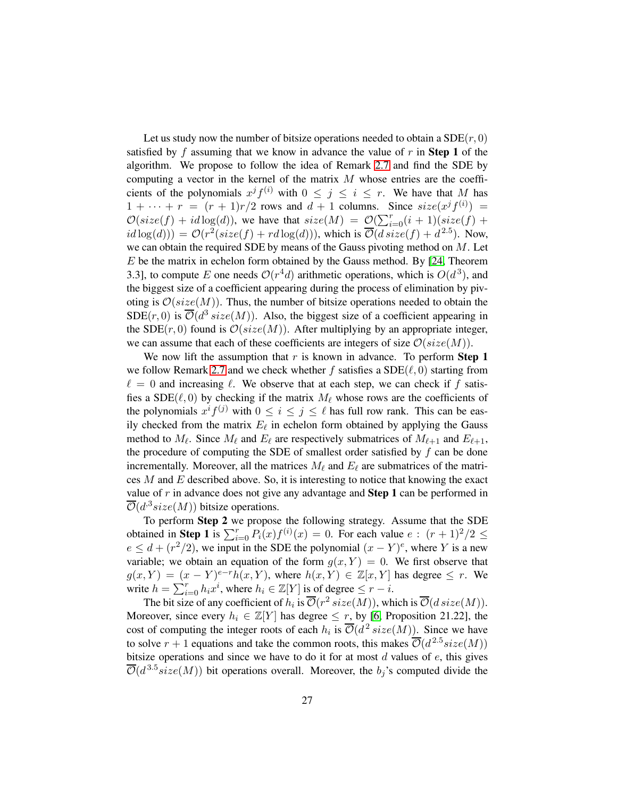Let us study now the number of bitsize operations needed to obtain a  $SDE(r, 0)$ satisfied by f assuming that we know in advance the value of r in **Step 1** of the algorithm. We propose to follow the idea of Remark [2.7](#page-10-1) and find the SDE by computing a vector in the kernel of the matrix  $M$  whose entries are the coefficients of the polynomials  $x^j f^{(i)}$  with  $0 \leq j \leq i \leq r$ . We have that M has  $1 + \cdots + r = (r + 1)r/2$  rows and  $d + 1$  columns. Since  $size(x^{j} f^{(i)})$  =  $\mathcal{O}(size(f) + id \log(d))$ , we have that  $size(M) = \mathcal{O}(\sum_{i=0}^{r} (i+1)(size(f) +$  $id \log(d)) = \mathcal{O}(r^2(size(f) + rd \log(d))),$  which is  $\overline{\mathcal{O}}(disize(f) + d^{2.5}).$  Now, we can obtain the required SDE by means of the Gauss pivoting method on  $M$ . Let  $E$  be the matrix in echelon form obtained by the Gauss method. By [\[24,](#page-47-7) Theorem 3.3], to compute E one needs  $O(r^4d)$  arithmetic operations, which is  $O(d^3)$ , and the biggest size of a coefficient appearing during the process of elimination by pivoting is  $\mathcal{O}(size(M))$ . Thus, the number of bitsize operations needed to obtain the SDE(r, 0) is  $\overline{\mathcal{O}}(d^3 \text{ size}(M))$ . Also, the biggest size of a coefficient appearing in the SDE( $r$ , 0) found is  $\mathcal{O}(size(M))$ . After multiplying by an appropriate integer, we can assume that each of these coefficients are integers of size  $\mathcal{O}(size(M)).$ 

We now lift the assumption that  $r$  is known in advance. To perform **Step 1** we follow Remark [2.7](#page-10-1) and we check whether f satisfies a  $SDE(\ell, 0)$  starting from  $\ell = 0$  and increasing  $\ell$ . We observe that at each step, we can check if f satisfies a SDE( $\ell$ , 0) by checking if the matrix  $M_{\ell}$  whose rows are the coefficients of the polynomials  $x^i f^{(j)}$  with  $0 \le i \le j \le \ell$  has full row rank. This can be easily checked from the matrix  $E_{\ell}$  in echelon form obtained by applying the Gauss method to  $M_{\ell}$ . Since  $M_{\ell}$  and  $E_{\ell}$  are respectively submatrices of  $M_{\ell+1}$  and  $E_{\ell+1}$ , the procedure of computing the SDE of smallest order satisfied by  $f$  can be done incrementally. Moreover, all the matrices  $M_{\ell}$  and  $E_{\ell}$  are submatrices of the matrices  $M$  and  $E$  described above. So, it is interesting to notice that knowing the exact value of  $r$  in advance does not give any advantage and **Step 1** can be performed in  $\overline{\mathcal{O}}(d^3size(M))$  bitsize operations.

To perform Step 2 we propose the following strategy. Assume that the SDE obtained in **Step 1** is  $\sum_{i=0}^{r} P_i(x) f^{(i)}(x) = 0$ . For each value  $e : (r+1)^2/2 \leq$  $e \leq d + (r^2/2)$ , we input in the SDE the polynomial  $(x - Y)^e$ , where Y is a new variable; we obtain an equation of the form  $g(x, Y) = 0$ . We first observe that  $g(x,Y) = (x - Y)^{e-r} h(x,Y)$ , where  $h(x,Y) \in \mathbb{Z}[x,Y]$  has degree  $\leq r$ . We write  $h = \sum_{i=0}^{r} h_i x^i$ , where  $h_i \in \mathbb{Z}[Y]$  is of degree  $\leq r - i$ .

The bit size of any coefficient of  $h_i$  is  $\overline{\mathcal{O}}(r^2 \text{ size}(M))$ , which is  $\overline{\mathcal{O}}(d \text{ size}(M))$ . Moreover, since every  $h_i \in \mathbb{Z}[Y]$  has degree  $\leq r$ , by [\[6,](#page-46-10) Proposition 21.22], the cost of computing the integer roots of each  $h_i$  is  $\overline{\mathcal{O}}(d^2 \text{ size}(M))$ . Since we have to solve  $r + 1$  equations and take the common roots, this makes  $\overline{\mathcal{O}}(d^{2.5} size(M))$ bitsize operations and since we have to do it for at most  $d$  values of  $e$ , this gives  $\overline{\mathcal{O}}(d^{3.5} size(M))$  bit operations overall. Moreover, the  $b_j$ 's computed divide the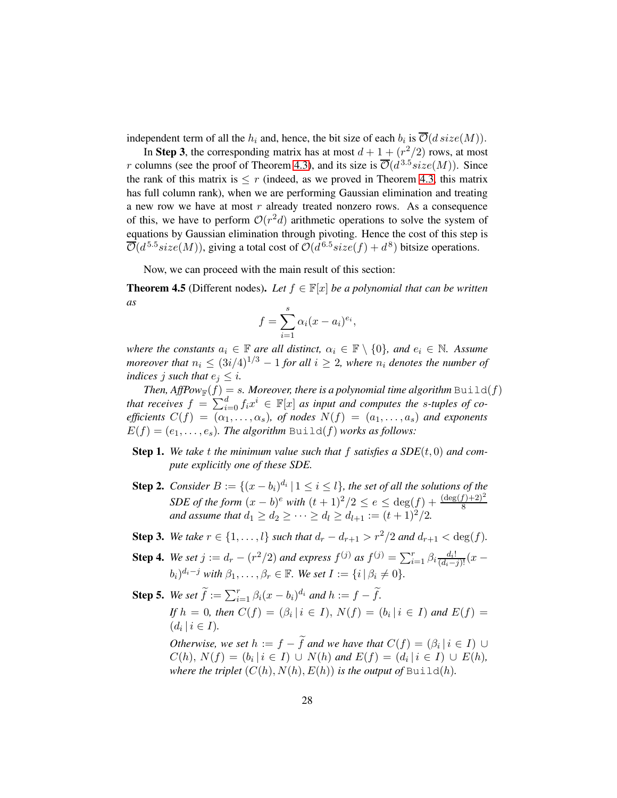independent term of all the  $h_i$  and, hence, the bit size of each  $b_i$  is  $\overline{\mathcal{O}}(d \, size(M)).$ 

In Step 3, the corresponding matrix has at most  $d + 1 + (r^2/2)$  rows, at most r columns (see the proof of Theorem [4.3\)](#page-24-0), and its size is  $\overline{\mathcal{O}}(d^{3.5} size(M))$ . Since the rank of this matrix is  $\leq r$  (indeed, as we proved in Theorem [4.3,](#page-24-0) this matrix has full column rank), when we are performing Gaussian elimination and treating a new row we have at most r already treated nonzero rows. As a consequence of this, we have to perform  $O(r^2d)$  arithmetic operations to solve the system of equations by Gaussian elimination through pivoting. Hence the cost of this step is  $\overline{\mathcal{O}}(d^{5.5} size(M))$ , giving a total cost of  $\mathcal{O}(d^{6.5} size(f) + d^8)$  bitsize operations.

Now, we can proceed with the main result of this section:

<span id="page-27-0"></span>**Theorem 4.5** (Different nodes). Let  $f \in \mathbb{F}[x]$  *be a polynomial that can be written as*

$$
f = \sum_{i=1}^{s} \alpha_i (x - a_i)^{e_i},
$$

*where the constants*  $a_i \in \mathbb{F}$  *are all distinct,*  $\alpha_i \in \mathbb{F} \setminus \{0\}$ *, and*  $e_i \in \mathbb{N}$ *. Assume moreover that*  $n_i \leq (3i/4)^{1/3} - 1$  *for all*  $i \geq 2$ *, where*  $n_i$  *denotes the number of indices j such that*  $e_j \leq i$ *.* 

*Then, Aff* $\text{Pow}_\mathbb{F}(f) = s$ *. Moreover, there is a polynomial time algorithm*  $\text{Build}(f)$ *that receives*  $f = \sum_{i=0}^{d} f_i x^i \in \mathbb{F}[x]$  *as input and computes the s-tuples of coefficients*  $C(f) = (\alpha_1, \ldots, \alpha_s)$ *, of nodes*  $N(f) = (a_1, \ldots, a_s)$  *and exponents*  $E(f) = (e_1, \ldots, e_s)$ . The algorithm  $\text{Build}(f)$  works as follows:

- **Step 1.** We take t the minimum value such that f satisfies a  $SDE(t, 0)$  and com*pute explicitly one of these SDE.*
- **Step 2.** *Consider*  $B := \{(x b_i)^{d_i} \mid 1 \leq i \leq l\}$ , the set of all the solutions of the *SDE of the form*  $(x - b)^e$  *with*  $(t + 1)^2/2 \le e \le \deg(f) + \frac{(\deg(f) + 2)^2}{8}$ <br>*and assume that*  $d_1 \ge d_2 \ge \dots \ge d_l \ge d_{l+1} := (t + 1)^2/2$ *.*
- Step 3. We take  $r \in \{1, ..., l\}$  *such that*  $d_r d_{r+1} > r^2/2$  *and*  $d_{r+1} < \deg(f)$ *.*
- **Step 4.** We set  $j := d_r (r^2/2)$  and express  $f^{(j)}$  as  $f^{(j)} = \sum_{i=1}^r \beta_i \frac{d_i!}{(d_i-j)!} (x (b_i)^{d_i-j}$  with  $\beta_1,\ldots,\beta_r\in\mathbb{F}$ . We set  $I:=\{i\,|\,\beta_i\neq 0\}.$

**Step 5.** We set  $\widetilde{f} := \sum_{i=1}^r \beta_i (x - b_i)^{d_i}$  and  $h := f - \widetilde{f}$ . *If*  $h = 0$ , then  $C(f) = (\beta_i | i \in I)$ ,  $N(f) = (b_i | i \in I)$  and  $E(f) =$  $(d_i \, | \, i \in I).$ *Otherwise, we set*  $h := f - f$  *and we have that*  $C(f) = (\beta_i | i \in I) \cup$ 

 $C(h), N(f) = (b_i | i \in I) \cup N(h)$  and  $E(f) = (d_i | i \in I) \cup E(h)$ , *where the triplet*  $(C(h), N(h), E(h))$  *is the output of* Build(*h*).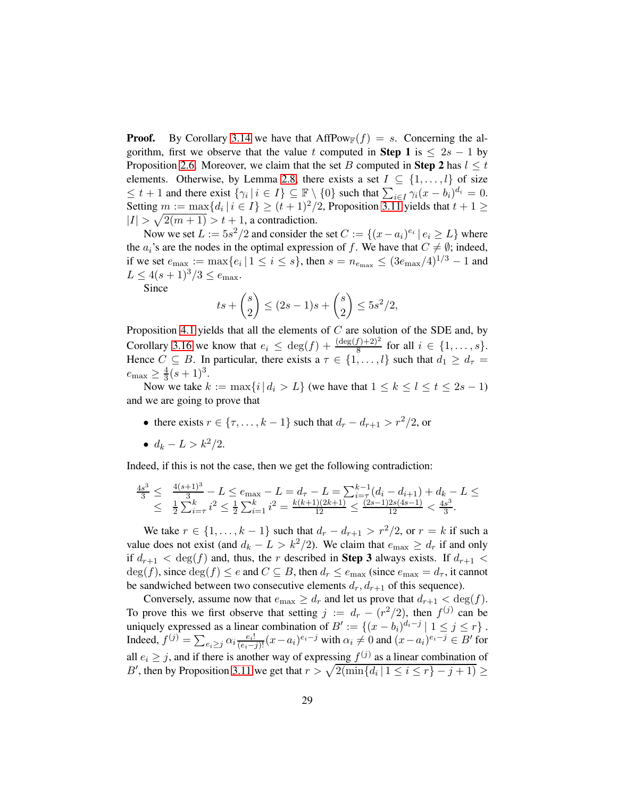**Proof.** By Corollary [3.14](#page-20-0) we have that  $AffPow_\mathbb{F}(f) = s$ . Concerning the algorithm, first we observe that the value t computed in **Step 1** is  $\leq 2s - 1$  by Proposition [2.6.](#page-10-0) Moreover, we claim that the set B computed in Step 2 has  $l \leq t$ elements. Otherwise, by Lemma [2.8,](#page-11-1) there exists a set  $I \subseteq \{1, \ldots, l\}$  of size  $\leq t+1$  and there exist  $\{\gamma_i \mid i \in I\} \subseteq \mathbb{F} \setminus \{0\}$  such that  $\sum_{i \in I} \gamma_i (x - b_i)^{d_i} = 0$ . Setting  $m := \max\{d_i \mid i \in I\} \ge (t+1)^2/2$ , Proposition [3.11](#page-17-0) yields that  $t+1 \ge$  $|I| > \sqrt{2(m+1)} > t+1$ , a contradiction.

Now we set  $L := 5s^2/2$  and consider the set  $C := \{(x - a_i)^{e_i} | e_i \ge L\}$  where the  $a_i$ 's are the nodes in the optimal expression of f. We have that  $C \neq \emptyset$ ; indeed, if we set  $e_{\text{max}} := \max\{e_i | 1 \le i \le s\}$ , then  $s = n_{e_{\text{max}}} \le (3e_{\text{max}}/4)^{1/3} - 1$  and  $L \leq 4(s+1)^3/3 \leq e_{\text{max}}.$ 

Since

$$
ts + {s \choose 2} \le (2s - 1)s + {s \choose 2} \le 5s^2/2,
$$

Proposition [4.1](#page-22-1) yields that all the elements of  $C$  are solution of the SDE and, by Corollary [3.16](#page-20-1) we know that  $e_i \n\t\leq \deg(f) + \frac{(\deg(f) + 2)^2}{8}$  for all  $i \in \{1, \ldots, s\}.$ Hence  $C \subseteq B$ . In particular, there exists a  $\tau \in \{1, \ldots, l\}$  such that  $d_1 \geq d_{\tau} =$  $e_{\text{max}} \geq \frac{4}{3}$  $\frac{4}{3}(s+1)^3$ .

Now we take  $k := \max\{i \mid d_i > L\}$  (we have that  $1 \leq k \leq l \leq t \leq 2s - 1$ ) and we are going to prove that

- there exists  $r \in \{\tau, \ldots, k-1\}$  such that  $d_r d_{r+1} > r^2/2$ , or
- $d_k L > k^2/2$ .

Indeed, if this is not the case, then we get the following contradiction:

$$
\frac{4s^3}{3} \leq \frac{4(s+1)^3}{3} - L \leq e_{\max} - L = d_{\tau} - L = \sum_{i=\tau}^{k-1} (d_i - d_{i+1}) + d_k - L \leq
$$
  

$$
\leq \frac{1}{2} \sum_{i=\tau}^{k} i^2 \leq \frac{1}{2} \sum_{i=1}^{k} i^2 = \frac{k(k+1)(2k+1)}{12} \leq \frac{(2s-1)2s(4s-1)}{12} < \frac{4s^3}{3}.
$$

We take  $r \in \{1, \ldots, k-1\}$  such that  $d_r - d_{r+1} > r^2/2$ , or  $r = k$  if such a value does not exist (and  $d_k - L > k^2/2$ ). We claim that  $e_{\text{max}} \ge d_r$  if and only if  $d_{r+1} < \deg(f)$  and, thus, the r described in **Step 3** always exists. If  $d_{r+1} <$  $deg(f)$ , since  $deg(f) \le e$  and  $C \subseteq B$ , then  $d_r \le e_{\text{max}}$  (since  $e_{\text{max}} = d_\tau$ , it cannot be sandwiched between two consecutive elements  $d_r, d_{r+1}$  of this sequence).

Conversely, assume now that  $e_{\text{max}} \geq d_r$  and let us prove that  $d_{r+1} < \deg(f)$ . To prove this we first observe that setting  $j := d_r - (r^2/2)$ , then  $f^{(j)}$  can be uniquely expressed as a linear combination of  $B' := \{(x - b_i)^{d_i - j} | 1 \le j \le r\}$ . Indeed,  $f^{(j)} = \sum_{e_i \geq j} \alpha_i \frac{e_i!}{(e_i-j)!} (x-a_i)^{e_i-j}$  with  $\alpha_i \neq 0$  and  $(x-a_i)^{e_i-j} \in B'$  for all  $e_i \geq j$ , and if there is another way of expressing  $f^{(j)}$  as a linear combination of B', then by Proposition [3.11](#page-17-0) we get that  $r > \sqrt{2(\min\{d_i \mid 1 \le i \le r\} - j + 1)} \ge$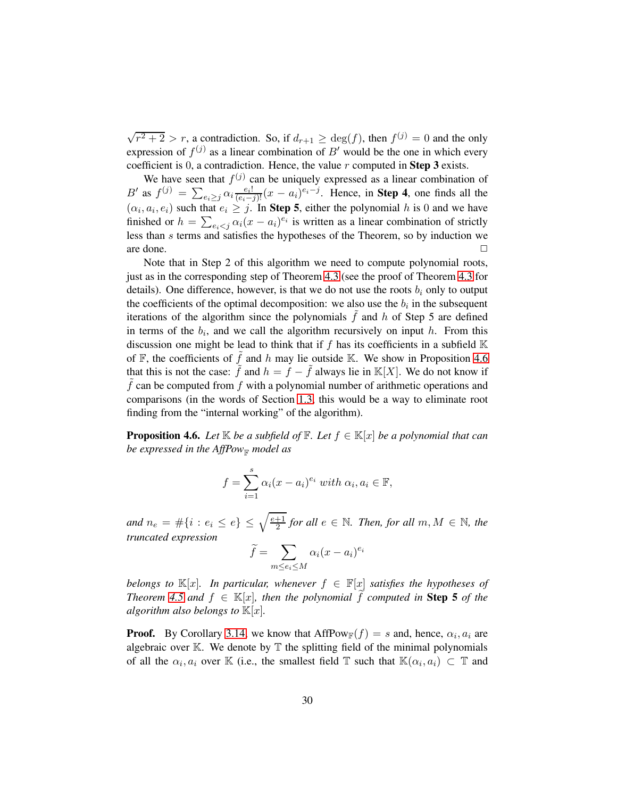$\sqrt{r^2+2} > r$ , a contradiction. So, if  $d_{r+1} \ge \deg(f)$ , then  $f^{(j)} = 0$  and the only expression of  $f^{(j)}$  as a linear combination of B' would be the one in which every coefficient is  $0$ , a contradiction. Hence, the value  $r$  computed in **Step 3** exists.

We have seen that  $f^{(j)}$  can be uniquely expressed as a linear combination of B' as  $f^{(j)} = \sum_{e_i \geq j} \alpha_i \frac{e_i!}{(e_i-j)!} (x-a_i)^{e_i-j}$ . Hence, in **Step 4**, one finds all the  $(\alpha_i, a_i, e_i)$  such that  $e_i \geq j$ . In Step 5, either the polynomial h is 0 and we have finished or  $h = \sum_{e_i < j} \alpha_i (x - a_i)^{e_i}$  is written as a linear combination of strictly less than s terms and satisfies the hypotheses of the Theorem, so by induction we  $\Box$  are done.  $\Box$ 

Note that in Step 2 of this algorithm we need to compute polynomial roots, just as in the corresponding step of Theorem [4.3](#page-24-0) (see the proof of Theorem [4.3](#page-24-0) for details). One difference, however, is that we do not use the roots  $b_i$  only to output the coefficients of the optimal decomposition: we also use the  $b_i$  in the subsequent iterations of the algorithm since the polynomials  $\hat{f}$  and  $\hat{h}$  of Step 5 are defined in terms of the  $b_i$ , and we call the algorithm recursively on input h. From this discussion one might be lead to think that if  $f$  has its coefficients in a subfield  $K$ of  $\mathbb F$ , the coefficients of  $\tilde f$  and h may lie outside K. We show in Proposition [4.6](#page-29-0) that this is not the case:  $\tilde{f}$  and  $h = f - \tilde{f}$  always lie in K[X]. We do not know if  $f$  can be computed from  $f$  with a polynomial number of arithmetic operations and comparisons (in the words of Section [1.3,](#page-5-2) this would be a way to eliminate root finding from the "internal working" of the algorithm).

<span id="page-29-0"></span>**Proposition 4.6.** Let  $\mathbb{K}$  be a subfield of  $\mathbb{F}$ . Let  $f \in \mathbb{K}[x]$  be a polynomial that can *be expressed in the AffPow<sub>F</sub> model as* 

$$
f = \sum_{i=1}^{s} \alpha_i (x - a_i)^{e_i} \text{ with } \alpha_i, a_i \in \mathbb{F},
$$

*and*  $n_e = #\{i : e_i \leq e\} \leq \sqrt{\frac{e+1}{2}}$  $\frac{+1}{2}$  for all  $e \in \mathbb{N}$ . Then, for all  $m, M \in \mathbb{N}$ , the *truncated expression*

$$
\widetilde{f} = \sum_{m \le e_i \le M} \alpha_i (x - a_i)^{e_i}
$$

*belongs to*  $\mathbb{K}[x]$ *. In particular, whenever*  $f \in \mathbb{F}[x]$  *satisfies the hypotheses of Theorem* [4.5](#page-27-0) and  $f \in \mathbb{K}[x]$ , then the polynomial f computed in **Step 5** of the *algorithm also belongs to*  $\mathbb{K}[x]$ *.* 

**Proof.** By Corollary [3.14,](#page-20-0) we know that  $AffPow_{\mathbb{F}}(f) = s$  and, hence,  $\alpha_i, a_i$  are algebraic over  $K$ . We denote by  $T$  the splitting field of the minimal polynomials of all the  $\alpha_i, a_i$  over K (i.e., the smallest field  $\mathbb T$  such that  $\mathbb K(\alpha_i, a_i) \subset \mathbb T$  and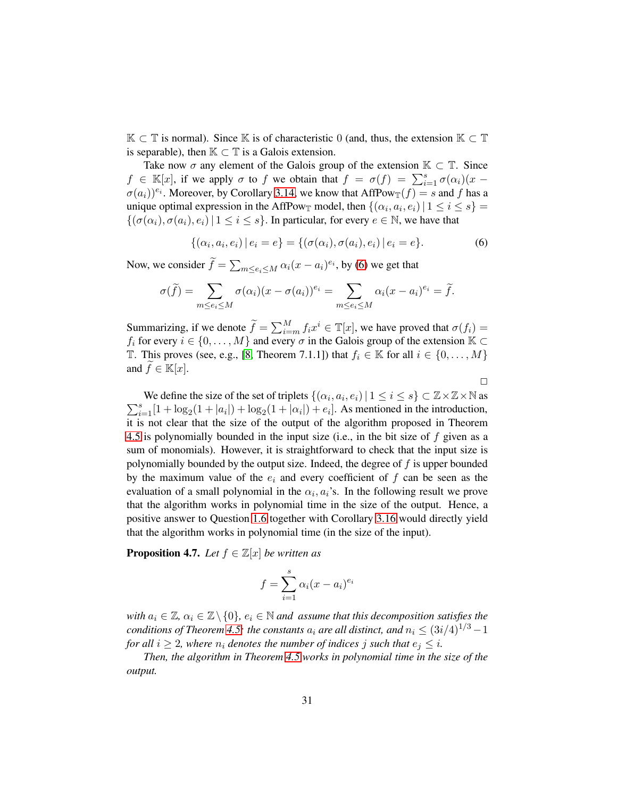$\mathbb{K} \subset \mathbb{T}$  is normal). Since K is of characteristic 0 (and, thus, the extension  $\mathbb{K} \subset \mathbb{T}$ is separable), then  $K \subset T$  is a Galois extension.

Take now  $\sigma$  any element of the Galois group of the extension  $\mathbb{K} \subset \mathbb{T}$ . Since  $f \in \mathbb{K}[x]$ , if we apply  $\sigma$  to f we obtain that  $f = \sigma(f) = \sum_{i=1}^{s} \sigma(\alpha_i)(x \sigma(a_i))^{e_i}$ . Moreover, by Corollary [3.14,](#page-20-0) we know that AffPow $_{\mathbb{T}}(f) = s$  and f has a unique optimal expression in the AffPow<sub>T</sub> model, then  $\{(\alpha_i, a_i, e_i) | 1 \le i \le s\}$  $\{(\sigma(\alpha_i), \sigma(a_i), e_i) | 1 \leq i \leq s\}$ . In particular, for every  $e \in \mathbb{N}$ , we have that

<span id="page-30-1"></span>
$$
\{(\alpha_i, a_i, e_i) | e_i = e\} = \{(\sigma(\alpha_i), \sigma(a_i), e_i) | e_i = e\}.
$$
 (6)

 $\Box$ 

Now, we consider  $\widetilde{f} = \sum_{m \leq e_i \leq M} \alpha_i (x - a_i)^{e_i}$ , by [\(6\)](#page-30-1) we get that

$$
\sigma(\widetilde{f}) = \sum_{m \leq e_i \leq M} \sigma(\alpha_i)(x - \sigma(a_i))^{e_i} = \sum_{m \leq e_i \leq M} \alpha_i(x - a_i)^{e_i} = \widetilde{f}.
$$

Summarizing, if we denote  $\tilde{f} = \sum_{i=m}^{M} f_i x^i \in \mathbb{T}[x]$ , we have proved that  $\sigma(f_i) =$  $f_i$  for every  $i \in \{0, \ldots, M\}$  and every  $\sigma$  in the Galois group of the extension  $\mathbb{K} \subset$ T. This proves (see, e.g., [\[8,](#page-46-11) Theorem 7.1.1]) that  $f_i \in \mathbb{K}$  for all  $i \in \{0, \ldots, M\}$ and  $f \in \mathbb{K}[x]$ .

We define the size of the set of triplets  $\{(\alpha_i, a_i, e_i) | 1 \le i \le s\} \subset \mathbb{Z} \times \mathbb{Z} \times \mathbb{N}$  as  $\sum_{i=1}^{s} [1 + \log_2(1 + |a_i|) + \log_2(1 + |\alpha_i|) + e_i]$ . As mentioned in the introduction, it is not clear that the size of the output of the algorithm proposed in Theorem [4.5](#page-27-0) is polynomially bounded in the input size (i.e., in the bit size of f given as a sum of monomials). However, it is straightforward to check that the input size is polynomially bounded by the output size. Indeed, the degree of  $f$  is upper bounded by the maximum value of the  $e_i$  and every coefficient of f can be seen as the evaluation of a small polynomial in the  $\alpha_i$ ,  $a_i$ 's. In the following result we prove that the algorithm works in polynomial time in the size of the output. Hence, a positive answer to Question [1.6](#page-7-0) together with Corollary [3.16](#page-20-1) would directly yield that the algorithm works in polynomial time (in the size of the input).

<span id="page-30-0"></span>**Proposition 4.7.** *Let*  $f \in \mathbb{Z}[x]$  *be written as* 

$$
f = \sum_{i=1}^{s} \alpha_i (x - a_i)^{e_i}
$$

*with*  $a_i \in \mathbb{Z}$ ,  $\alpha_i \in \mathbb{Z} \setminus \{0\}$ ,  $e_i \in \mathbb{N}$  *and assume that this decomposition satisfies the conditions of Theorem* [4.5:](#page-27-0) *the constants*  $a_i$  *are all distinct, and*  $n_i \leq (3i/4)^{1/3} - 1$ *for all*  $i \geq 2$ *, where*  $n_i$  *denotes the number of indices j such that*  $e_i \leq i$ *.* 

*Then, the algorithm in Theorem [4.5](#page-27-0) works in polynomial time in the size of the output.*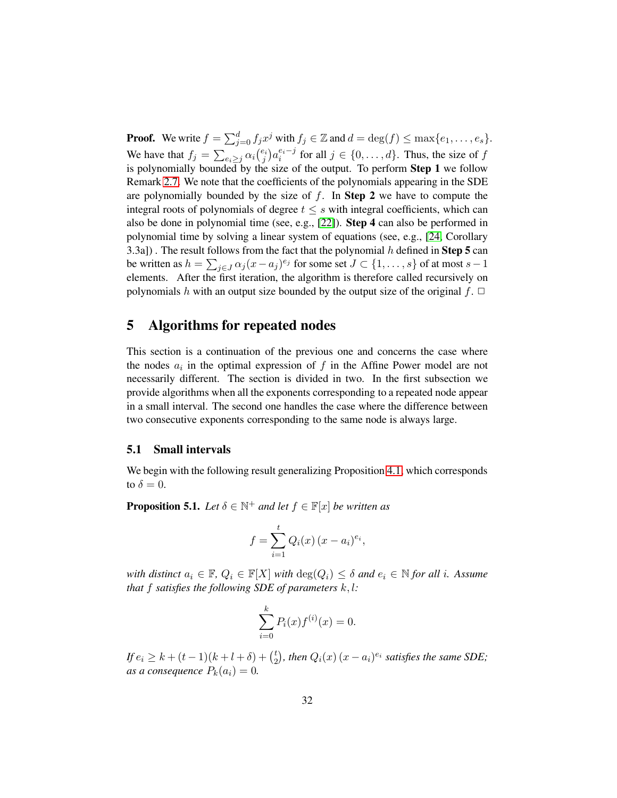**Proof.** We write  $f = \sum_{j=0}^{d} f_j x^j$  with  $f_j \in \mathbb{Z}$  and  $d = \deg(f) \le \max\{e_1, \dots, e_s\}$ . We have that  $f_j = \sum_{e_i \geq j} \alpha_i \binom{e_i}{j} a_i^{e_i-j}$  for all  $j \in \{0, ..., d\}$ . Thus, the size of f is polynomially bounded by the size of the output. To perform **Step 1** we follow Remark [2.7.](#page-10-1) We note that the coefficients of the polynomials appearing in the SDE are polynomially bounded by the size of  $f$ . In **Step 2** we have to compute the integral roots of polynomials of degree  $t \leq s$  with integral coefficients, which can also be done in polynomial time (see, e.g., [\[22\]](#page-47-8)). Step 4 can also be performed in polynomial time by solving a linear system of equations (see, e.g., [\[24,](#page-47-7) Corollary 3.3a]). The result follows from the fact that the polynomial  $h$  defined in Step 5 can be written as  $h = \sum_{j \in J} \alpha_j (x - a_j)^{e_j}$  for some set  $J \subset \{1, \ldots, s\}$  of at most  $s - 1$ elements. After the first iteration, the algorithm is therefore called recursively on polynomials h with an output size bounded by the output size of the original  $f$ .  $\Box$ 

### <span id="page-31-0"></span>5 Algorithms for repeated nodes

This section is a continuation of the previous one and concerns the case where the nodes  $a_i$  in the optimal expression of f in the Affine Power model are not necessarily different. The section is divided in two. In the first subsection we provide algorithms when all the exponents corresponding to a repeated node appear in a small interval. The second one handles the case where the difference between two consecutive exponents corresponding to the same node is always large.

#### <span id="page-31-2"></span>5.1 Small intervals

We begin with the following result generalizing Proposition [4.1,](#page-22-1) which corresponds to  $\delta = 0$ .

<span id="page-31-1"></span>**Proposition 5.1.** *Let*  $\delta \in \mathbb{N}^+$  *and let*  $f \in \mathbb{F}[x]$  *be written as* 

$$
f = \sum_{i=1}^{t} Q_i(x) (x - a_i)^{e_i},
$$

*with distinct*  $a_i \in \mathbb{F}$ ,  $Q_i \in \mathbb{F}[X]$  *with*  $\deg(Q_i) \leq \delta$  *and*  $e_i \in \mathbb{N}$  *for all i. Assume that* f *satisfies the following SDE of parameters* k, l*:*

$$
\sum_{i=0}^{k} P_i(x) f^{(i)}(x) = 0.
$$

*If*  $e_i \geq k + (t-1)(k+l+\delta) + {t \choose 2}$  $\binom{t}{2}$ , then  $Q_i(x)$   $(x-a_i)^{e_i}$  satisfies the same SDE; *as a consequence*  $P_k(a_i) = 0$ .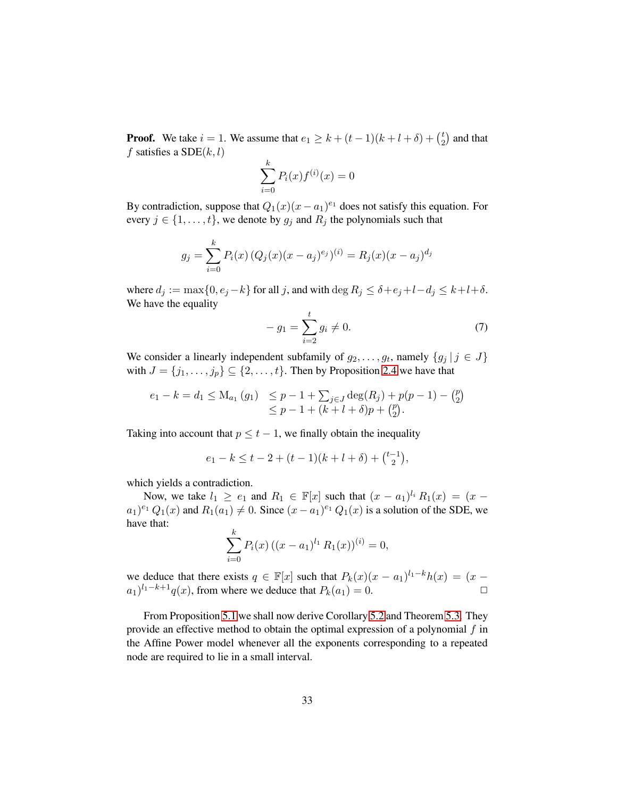**Proof.** We take  $i = 1$ . We assume that  $e_1 \ge k + (t - 1)(k + l + \delta) + \binom{t}{2}$  $\binom{t}{2}$  and that f satisfies a  $SDE(k, l)$ 

$$
\sum_{i=0}^{k} P_i(x) f^{(i)}(x) = 0
$$

By contradiction, suppose that  $Q_1(x)(x-a_1)^{e_1}$  does not satisfy this equation. For every  $j \in \{1, \ldots, t\}$ , we denote by  $g_j$  and  $R_j$  the polynomials such that

$$
g_j = \sum_{i=0}^{k} P_i(x) (Q_j(x)(x - a_j)^{e_j})^{(i)} = R_j(x)(x - a_j)^{d_j}
$$

where  $d_j := \max\{0, e_j - k\}$  for all j, and with  $\deg R_j \leq \delta + e_j + l - d_j \leq k + l + \delta$ . We have the equality

$$
- g_1 = \sum_{i=2}^{t} g_i \neq 0.
$$
 (7)

We consider a linearly independent subfamily of  $g_2, \ldots, g_t$ , namely  $\{g_j | j \in J\}$ with  $J = \{j_1, \ldots, j_p\} \subseteq \{2, \ldots, t\}$ . Then by Proposition [2.4](#page-9-0) we have that

$$
e_1 - k = d_1 \le M_{a_1}(g_1) \le p - 1 + \sum_{j \in J} \deg(R_j) + p(p - 1) - {p \choose 2} \le p - 1 + (k + l + \delta)p + {p \choose 2}.
$$

Taking into account that  $p \le t - 1$ , we finally obtain the inequality

$$
e_1 - k \le t - 2 + (t - 1)(k + l + \delta) + {\binom{t - 1}{2}},
$$

which yields a contradiction.

Now, we take  $l_1 \ge e_1$  and  $R_1 \in \mathbb{F}[x]$  such that  $(x - a_1)^{l_i} R_1(x) = (x - a_1)^{l_i} R_1(x)$  $(a_1)^{e_1} Q_1(x)$  and  $R_1(a_1) \neq 0$ . Since  $(x - a_1)^{e_1} Q_1(x)$  is a solution of the SDE, we have that:

$$
\sum_{i=0}^{k} P_i(x) ((x - a_1)^{l_1} R_1(x))^{(i)} = 0,
$$

we deduce that there exists  $q \in \mathbb{F}[x]$  such that  $P_k(x)(x - a_1)^{l_1 - k}h(x) = (x - a_1)^{l_1 - k}h(x)$  $(a_1)^{l_1-k+1}q(x)$ , from where we deduce that  $P_k(a_1) = 0$ .

From Proposition [5.1](#page-31-1) we shall now derive Corollary [5.2](#page-33-0) and Theorem [5.3.](#page-34-0) They provide an effective method to obtain the optimal expression of a polynomial  $f$  in the Affine Power model whenever all the exponents corresponding to a repeated node are required to lie in a small interval.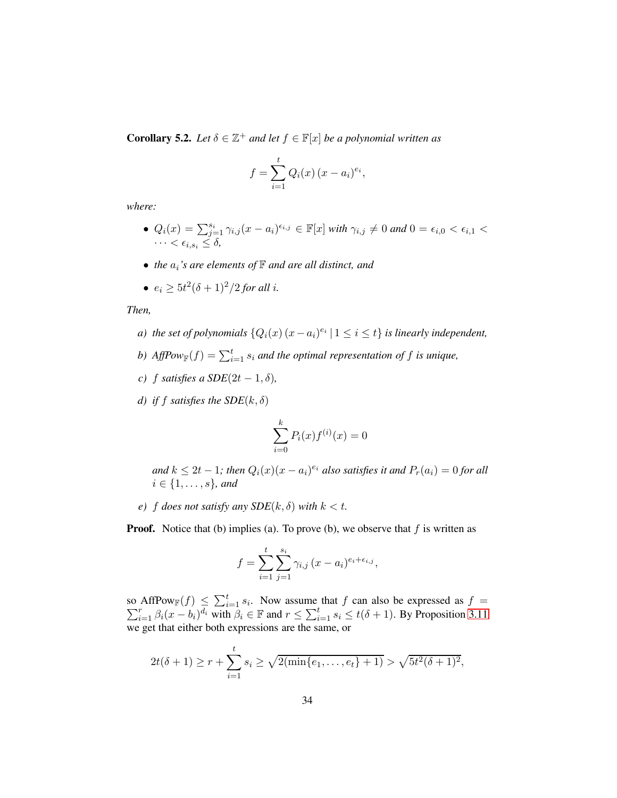<span id="page-33-0"></span>**Corollary 5.2.** *Let*  $\delta \in \mathbb{Z}^+$  *and let*  $f \in \mathbb{F}[x]$  *be a polynomial written as* 

$$
f = \sum_{i=1}^{t} Q_i(x) (x - a_i)^{e_i},
$$

*where:*

- $Q_i(x) = \sum_{j=1}^{s_i} \gamma_{i,j} (x a_i)^{\epsilon_{i,j}} \in \mathbb{F}[x]$  *with*  $\gamma_{i,j} \neq 0$  *and*  $0 = \epsilon_{i,0} < \epsilon_{i,1} <$  $\cdots < \epsilon_{i,s_i} \leq \delta$ ,
- *the*  $a_i$ *'s are elements of*  $\mathbb F$  *and are all distinct, and*
- $e_i \ge 5t^2(\delta+1)^2/2$  *for all i*.

*Then,*

- *a*) the set of polynomials  $\{Q_i(x) (x a_i)^{e_i} | 1 \leq i \leq t\}$  is linearly independent,
- *b*) AffPo $w_{\mathbb{F}}(f) = \sum_{i=1}^{t} s_i$  and the optimal representation of f is unique,
- *c*) f *satisfies a SDE*( $2t 1, \delta$ ),
- *d)* if f satisfies the  $SDE(k, \delta)$

$$
\sum_{i=0}^{k} P_i(x) f^{(i)}(x) = 0
$$

and  $k \leq 2t - 1$ ; then  $Q_i(x)(x - a_i)^{e_i}$  also satisfies it and  $P_r(a_i) = 0$  for all  $i \in \{1, \ldots, s\}$ *, and* 

*e*) *f does not satisfy any SDE*( $k, \delta$ ) *with*  $k < t$ .

**Proof.** Notice that (b) implies (a). To prove (b), we observe that  $f$  is written as

$$
f = \sum_{i=1}^{t} \sum_{j=1}^{s_i} \gamma_{i,j} (x - a_i)^{e_i + \epsilon_{i,j}},
$$

so AffPow<sub>F</sub> $(f) \leq \sum_{i=1}^t s_i$  $\sum$ AffPow<sub>F</sub> $(f) \le \sum_{i=1}^t s_i$ . Now assume that f can also be expressed as  $f = \sum_{i=1}^r \beta_i (x - b_i)^{d_i}$  with  $\beta_i \in \mathbb{F}$  and  $r \le \sum_{i=1}^t s_i \le t(\delta + 1)$ . By Proposition [3.11](#page-17-0) we get that either both expressions are the same, or

$$
2t(\delta+1) \ge r + \sum_{i=1}^t s_i \ge \sqrt{2(\min\{e_1,\ldots,e_t\}+1)} > \sqrt{5t^2(\delta+1)^2},
$$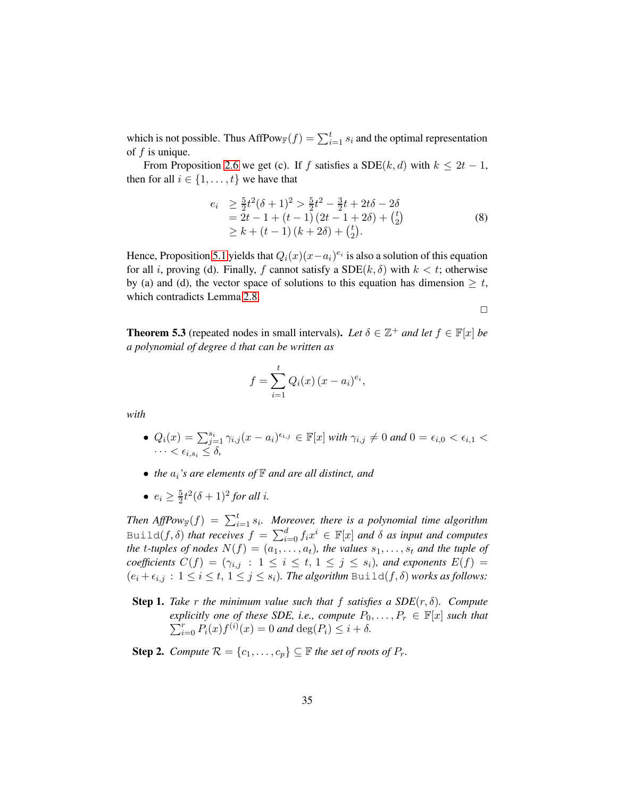which is not possible. Thus AffPow $_{\mathbb{F}}(f) = \sum_{i=1}^{t} s_i$  and the optimal representation of  $f$  is unique.

From Proposition [2.6](#page-10-0) we get (c). If f satisfies a SDE(k, d) with  $k \le 2t - 1$ , then for all  $i \in \{1, \ldots, t\}$  we have that

$$
e_i \ge \frac{5}{2}t^2(\delta+1)^2 > \frac{5}{2}t^2 - \frac{3}{2}t + 2t\delta - 2\delta
$$
  
= 2t - 1 + (t - 1)(2t - 1 + 2\delta) + {t \choose 2}  
\ge k + (t - 1)(k + 2\delta) + {t \choose 2}. (8)

Hence, Proposition [5.1](#page-31-1) yields that  $Q_i(x)(x-a_i)^{e_i}$  is also a solution of this equation for all i, proving (d). Finally, f cannot satisfy a  $SDE(k, \delta)$  with  $k < t$ ; otherwise by (a) and (d), the vector space of solutions to this equation has dimension  $\geq t$ , which contradicts Lemma [2.8.](#page-11-1)

 $\Box$ 

<span id="page-34-0"></span>**Theorem 5.3** (repeated nodes in small intervals). Let  $\delta \in \mathbb{Z}^+$  *and let*  $f \in \mathbb{F}[x]$  *be a polynomial of degree* d *that can be written as*

$$
f = \sum_{i=1}^{t} Q_i(x) (x - a_i)^{e_i},
$$

*with*

- $Q_i(x) = \sum_{j=1}^{s_i} \gamma_{i,j} (x a_i)^{\epsilon_{i,j}} \in \mathbb{F}[x]$  *with*  $\gamma_{i,j} \neq 0$  *and*  $0 = \epsilon_{i,0} < \epsilon_{i,1} <$  $\cdots < \epsilon_{i,s_i} \leq \delta$ ,
- *the*  $a_i$ *'s are elements of*  $\mathbb F$  *and are all distinct, and*
- $e_i \geq \frac{5}{2}$  $\frac{5}{2}t^2(\delta+1)^2$  for all *i*.

Then  $AffPow_{\mathbb{F}}(f) = \sum_{i=1}^{t} s_i$ . Moreover, there is a polynomial time algorithm Build $(f, \delta)$  *that receives*  $f = \sum_{i=0}^d f_i x^i \in \mathbb{F}[x]$  *and*  $\delta$  *as input and computes the t-tuples of nodes*  $N(f) = (a_1, \ldots, a_t)$ *, the values*  $s_1, \ldots, s_t$  *and the tuple of coefficients*  $C(f) = (\gamma_{i,j} : 1 \le i \le t, 1 \le j \le s_i)$ *, and exponents*  $E(f) =$  $(e_i + \epsilon_{i,j} : 1 \leq i \leq t, 1 \leq j \leq s_i)$ . The algorithm Build( $f, \delta$ ) works as follows:

- **Step 1.** Take r the minimum value such that f satisfies a  $SDE(r, \delta)$ . Compute  $\sum_{i=0}^{r} P_i(x) f^{(i)}(x) = 0$  and  $\deg(P_i) \leq i + \delta$ . *explicitly one of these SDE, i.e., compute*  $P_0, \ldots, P_r \in \mathbb{F}[x]$  *such that*
- **Step 2.** *Compute*  $\mathcal{R} = \{c_1, \ldots, c_p\} \subseteq \mathbb{F}$  *the set of roots of*  $P_r$ .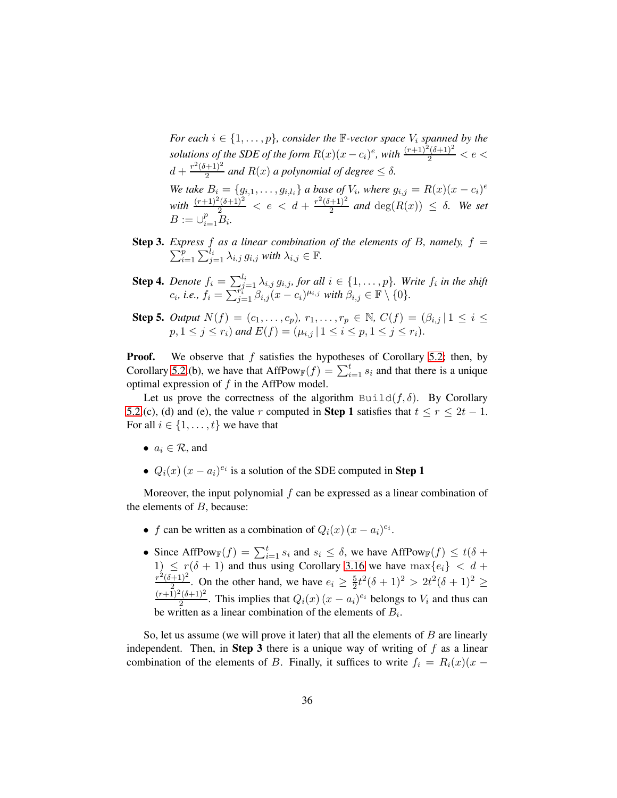*For each*  $i \in \{1, \ldots, p\}$ *, consider the*  $\mathbb{F}\text{-vector space } V_i$  *spanned by the solutions of the SDE of the form*  $R(x)(x - c_i)^e$ , with  $\frac{(r+1)^2(\delta+1)^2}{2} < e <$  $d + \frac{r^2(\delta+1)^2}{2}$  $\frac{(-1)^{2}}{2}$  *and*  $R(x)$  *a polynomial of degree*  $\leq \delta$ *. We take*  $B_i = \{g_{i,1}, \ldots, g_{i,l_i}\}\$ a base of  $V_i$ , where  $g_{i,j} = R(x)(x - c_i)^e$  $\frac{(r+1)^2(\delta+1)^2}{2} < e < d + \frac{r^2(\delta+1)^2}{2}$  $\frac{(-1)^{2}}{2}$  *and*  $\deg(R(x)) \leq \delta$ *. We set*  $B := \cup_{i=1}^{p} B_i.$ 

- Step 3. *Express*  $\sum$ press f as a linear combination of the elements of B, namely,  $f =$ <br> $\sum_i^{p} \sum_{j=1}^{l_i} f(j)$  $_{i=1}^{p}\sum_{j=1}^{l_{i}}\lambda_{i,j} g_{i,j}$  with  $\lambda_{i,j}\in\mathbb{F}$ .
- **Step 4.** *Denote*  $f_i = \sum_{j=1}^{l_i} \lambda_{i,j} g_{i,j}$ , for all  $i \in \{1, \ldots, p\}$ . Write  $f_i$  in the shift  $c_i$ , *i.e.*,  $f_i = \sum_{j=1}^{r_i^j} \beta_{i,j} (x - c_i)^{\mu_{i,j}}$  with  $\beta_{i,j} \in \mathbb{F} \setminus \{0\}.$
- **Step 5.** *Output*  $N(f) = (c_1, ..., c_p), r_1, ..., r_p \in \mathbb{N}, C(f) = (\beta_{i,j} | 1 \le i \le n)$  $p, 1 \leq j \leq r_i)$  and  $E(f) = (\mu_{i,j} | 1 \leq i \leq p, 1 \leq j \leq r_i).$

**Proof.** We observe that  $f$  satisfies the hypotheses of Corollary [5.2;](#page-33-0) then, by Corollary [5.2.](#page-33-0)(b), we have that  $AffPow_\mathbb{F}(f) = \sum_{i=1}^t s_i$  and that there is a unique optimal expression of f in the AffPow model.

Let us prove the correctness of the algorithm Build $(f, \delta)$ . By Corollary [5.2.](#page-33-0)(c), (d) and (e), the value r computed in **Step 1** satisfies that  $t \le r \le 2t - 1$ . For all  $i \in \{1, \ldots, t\}$  we have that

- $a_i \in \mathcal{R}$ , and
- $Q_i(x) (x a_i)^{e_i}$  is a solution of the SDE computed in **Step 1**

Moreover, the input polynomial  $f$  can be expressed as a linear combination of the elements of  $B$ , because:

- f can be written as a combination of  $Q_i(x)$   $(x a_i)^{e_i}$ .
- Since AffPow $f(f) = \sum_{i=1}^t s_i$  and  $s_i \leq \delta$ , we have AffPow $f(f) \leq t(\delta + \delta)$ 1)  $\leq r(\delta + 1)$  and thus using Corollary [3.16](#page-20-1) we have  $\max\{e_i\} < d + r^2(\delta+1)^2$  On the other hand, we have  $e \geq \frac{5t^2(\delta+1)^2}{2} \geq 2t^2(\delta+1)^2$  $\frac{(-1)^2}{2}$ . On the other hand, we have  $e_i \geq \frac{5}{2}$  $\frac{5}{2}t^2(\delta+1)^2 > 2t^2(\delta+1)^2 \ge$  $(r+1)^2(\delta+1)^2$  $\frac{2^{(0+1)^2}}{2}$ . This implies that  $Q_i(x)$   $(x - a_i)^{e_i}$  belongs to  $V_i$  and thus can be written as a linear combination of the elements of  $B_i$ .

So, let us assume (we will prove it later) that all the elements of  $B$  are linearly independent. Then, in Step 3 there is a unique way of writing of  $f$  as a linear combination of the elements of B. Finally, it suffices to write  $f_i = R_i(x)(x -$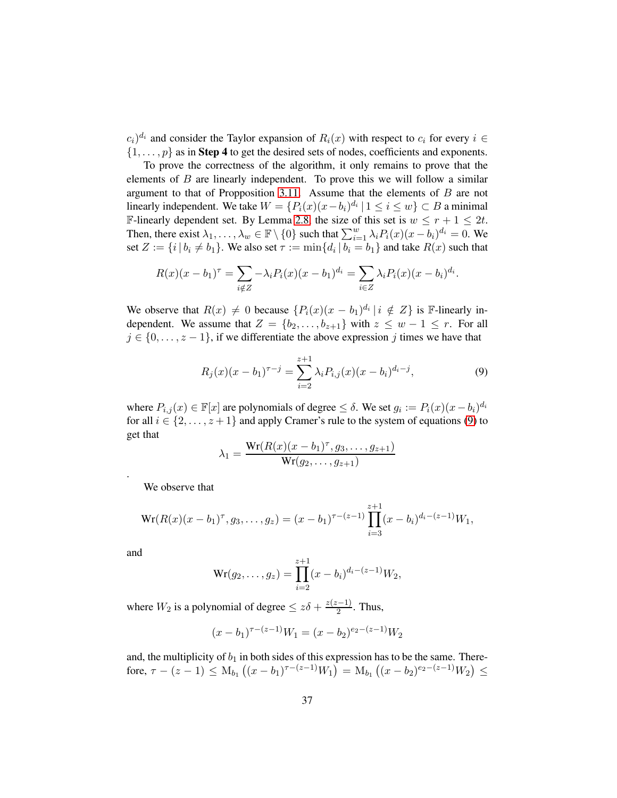$(c_i)^{d_i}$  and consider the Taylor expansion of  $R_i(x)$  with respect to  $c_i$  for every  $i \in$  $\{1, \ldots, p\}$  as in **Step 4** to get the desired sets of nodes, coefficients and exponents.

To prove the correctness of the algorithm, it only remains to prove that the elements of  $B$  are linearly independent. To prove this we will follow a similar argument to that of Propposition [3.11.](#page-17-0) Assume that the elements of  $B$  are not linearly independent. We take  $W = \{P_i(x)(x - b_i)^{d_i} | 1 \le i \le w\} \subset B$  a minimal F-linearly dependent set. By Lemma [2.8,](#page-11-1) the size of this set is  $w \le r + 1 \le 2t$ . Then, there exist  $\lambda_1, \dots, \lambda_w \in \mathbb{F} \setminus \{0\}$  such that  $\sum_{i=1}^w \lambda_i P_i(x) (x - b_i)^{d_i} = 0$ . We set  $Z := \{i \mid b_i \neq b_1\}$ . We also set  $\tau := \min\{d_i \mid b_i = b_1\}$  and take  $R(x)$  such that

$$
R(x)(x - b_1)^{\tau} = \sum_{i \notin Z} -\lambda_i P_i(x)(x - b_1)^{d_i} = \sum_{i \in Z} \lambda_i P_i(x)(x - b_i)^{d_i}.
$$

We observe that  $R(x) \neq 0$  because  $\{P_i(x)(x - b_1)^{d_i} | i \notin Z\}$  is F-linearly independent. We assume that  $Z = \{b_2, \ldots, b_{z+1}\}$  with  $z \leq w - 1 \leq r$ . For all  $j \in \{0, \ldots, z-1\}$ , if we differentiate the above expression j times we have that

<span id="page-36-0"></span>
$$
R_j(x)(x - b_1)^{\tau - j} = \sum_{i=2}^{z+1} \lambda_i P_{i,j}(x)(x - b_i)^{d_i - j},
$$
\n(9)

where  $P_{i,j}(x) \in \mathbb{F}[x]$  are polynomials of degree  $\leq \delta$ . We set  $g_i := P_i(x)(x - b_i)^{d_i}$ for all  $i \in \{2, \ldots, z+1\}$  and apply Cramer's rule to the system of equations [\(9\)](#page-36-0) to get that

$$
\lambda_1 = \frac{\mathbf{Wr}(R(x)(x - b_1)^{\tau}, g_3, \dots, g_{z+1})}{\mathbf{Wr}(g_2, \dots, g_{z+1})}
$$

We observe that

$$
\operatorname{Wr}(R(x)(x-b_1)^{\tau}, g_3, \dots, g_z) = (x-b_1)^{\tau-(z-1)} \prod_{i=3}^{z+1} (x-b_i)^{d_i-(z-1)} W_1,
$$

and

.

$$
\mathrm{Wr}(g_2,\ldots,g_z) = \prod_{i=2}^{z+1} (x-b_i)^{d_i-(z-1)} W_2,
$$

where  $W_2$  is a polynomial of degree  $\leq z\delta + \frac{z(z-1)}{2}$  $\frac{(-1)}{2}$ . Thus,

$$
(x - b1)\tau - (z-1)W1 = (x - b2)e2 - (z-1)W2
$$

and, the multiplicity of  $b_1$  in both sides of this expression has to be the same. Therefore,  $\tau - (z - 1) \leq M_{b_1} ((x - b_1)^{\tau - (z-1)} W_1) = M_{b_1} ((x - b_2)^{e_2 - (z-1)} W_2) \leq$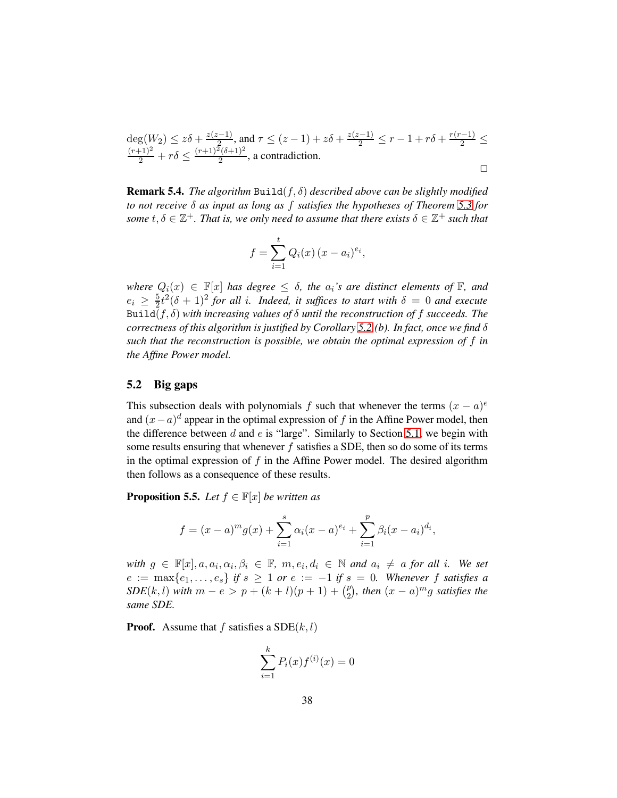$deg(W_2) \leq z\delta + \frac{z(z-1)}{2}$ deg $(W_2) \le z\delta + \frac{z(z-1)}{2}$ , and  $\tau \le (z-1) + z\delta + \frac{z(z-1)}{2} \le r - 1 + r\delta + \frac{r(r-1)}{2} \le \frac{(r+1)^2}{2} + r\delta \le \frac{(r+1)^2(\delta+1)^2}{2}$ , a contradiction.  $\frac{(0+1)^2}{2}$ , a contradiction.  $\Box$ 

Remark 5.4. *The algorithm* Build(f, δ) *described above can be slightly modified to not receive* δ *as input as long as* f *satisfies the hypotheses of Theorem [5.3](#page-34-0) for* some  $t, \delta \in \mathbb{Z}^+$ . That is, we only need to assume that there exists  $\delta \in \mathbb{Z}^+$  such that

$$
f = \sum_{i=1}^{t} Q_i(x) (x - a_i)^{e_i},
$$

*where*  $Q_i(x) \in \mathbb{F}[x]$  *has degree*  $\leq \delta$ *, the*  $a_i$ *'s are distinct elements of*  $\mathbb{F}$ *, and*  $e_i \geq \frac{5}{2}$  $\frac{5}{2}t^2(\delta+1)^2$  for all *i*. Indeed, it suffices to start with  $\delta=0$  and execute Build( $f, \delta$ ) *with increasing values of*  $\delta$  *until the reconstruction of*  $f$  *succeeds. The correctness of this algorithm is justified by Corollary [5.2.](#page-33-0)(b). In fact, once we find* δ *such that the reconstruction is possible, we obtain the optimal expression of* f *in the Affine Power model.*

#### 5.2 Big gaps

This subsection deals with polynomials f such that whenever the terms  $(x - a)^e$ and  $(x-a)^d$  appear in the optimal expression of f in the Affine Power model, then the difference between  $d$  and  $e$  is "large". Similarly to Section [5.1,](#page-31-2) we begin with some results ensuring that whenever f satisfies a SDE, then so do some of its terms in the optimal expression of  $f$  in the Affine Power model. The desired algorithm then follows as a consequence of these results.

<span id="page-37-0"></span>**Proposition 5.5.** *Let*  $f \in \mathbb{F}[x]$  *be written as* 

$$
f = (x - a)^{m} g(x) + \sum_{i=1}^{s} \alpha_{i} (x - a)^{e_{i}} + \sum_{i=1}^{p} \beta_{i} (x - a_{i})^{d_{i}},
$$

 $with g \in \mathbb{F}[x], a, a_i, \alpha_i, \beta_i \in \mathbb{F}, m, e_i, d_i \in \mathbb{N}$  and  $a_i \neq a$  *for all i. We set*  $e := \max\{e_1, \ldots, e_s\}$  *if*  $s \geq 1$  *or*  $e := -1$  *if*  $s = 0$ *. Whenever* f *satisfies a SDE*(*k*, *l*) *with*  $m - e > p + (k + l)(p + 1) + {p \choose 2}$  $\binom{p}{2}$ , then  $(x-a)^{m}g$  satisfies the *same SDE.*

**Proof.** Assume that f satisfies a  $SDE(k, l)$ 

$$
\sum_{i=1}^{k} P_i(x) f^{(i)}(x) = 0
$$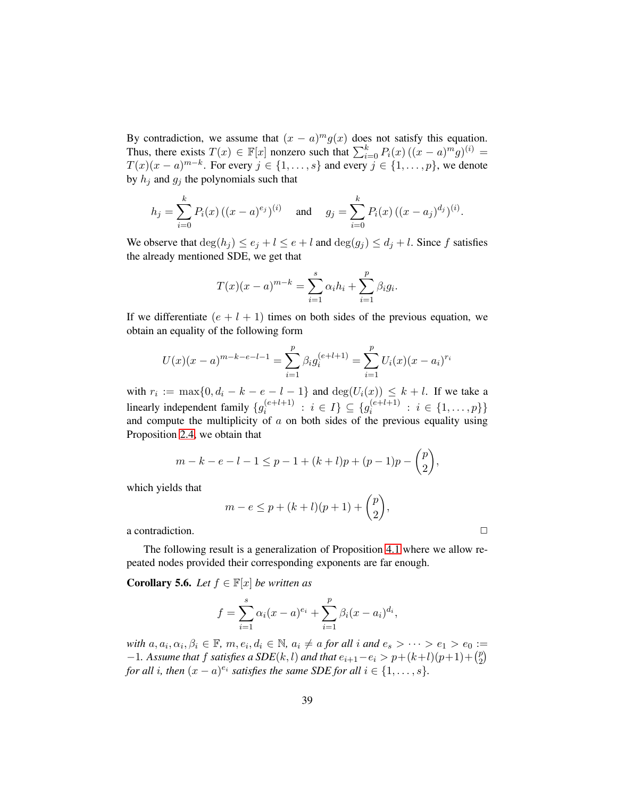By contradiction, we assume that  $(x - a)^m g(x)$  does not satisfy this equation. Thus, there exists  $T(x) \in \mathbb{F}[x]$  nonzero such that  $\sum_{i=0}^{k} P_i(x) ((x-a)^m g)^{(i)} =$  $T(x)(x-a)^{m-k}$ . For every  $j \in \{1, \ldots, s\}$  and every  $j \in \{1, \ldots, p\}$ , we denote by  $h_j$  and  $g_j$  the polynomials such that

$$
h_j = \sum_{i=0}^k P_i(x) \left( (x-a)^{e_j} \right)^{(i)} \quad \text{and} \quad g_j = \sum_{i=0}^k P_i(x) \left( (x-a_j)^{d_j} \right)^{(i)}.
$$

We observe that  $\deg(h_j) \leq e_j + l \leq e + l$  and  $\deg(g_j) \leq d_j + l$ . Since f satisfies the already mentioned SDE, we get that

$$
T(x)(x - a)^{m-k} = \sum_{i=1}^{s} \alpha_i h_i + \sum_{i=1}^{p} \beta_i g_i.
$$

If we differentiate  $(e + l + 1)$  times on both sides of the previous equation, we obtain an equality of the following form

$$
U(x)(x-a)^{m-k-e-l-1} = \sum_{i=1}^{p} \beta_i g_i^{(e+l+1)} = \sum_{i=1}^{p} U_i(x)(x-a_i)^{r_i}
$$

with  $r_i := \max\{0, d_i - k - e - l - 1\}$  and  $\deg(U_i(x)) \leq k + l$ . If we take a linearly independent family  $\{g_i^{(e+l+1)}\}$  $i^{(e+l+1)}$  :  $i \in I$   $\subseteq \{g_i^{(e+l+1)}\}$  $i \in \{1, \ldots, p\}$ and compute the multiplicity of  $a$  on both sides of the previous equality using Proposition [2.4,](#page-9-0) we obtain that

$$
m-k-e-l-1 \le p-1+(k+l)p+(p-1)p-\binom{p}{2},
$$

which yields that

$$
m - e \le p + (k + l)(p + 1) + {p \choose 2},
$$

a contradiction.

The following result is a generalization of Proposition [4.1](#page-22-1) where we allow repeated nodes provided their corresponding exponents are far enough.

<span id="page-38-0"></span>**Corollary 5.6.** *Let*  $f \in \mathbb{F}[x]$  *be written as* 

$$
f = \sum_{i=1}^{s} \alpha_i (x - a)^{e_i} + \sum_{i=1}^{p} \beta_i (x - a_i)^{d_i},
$$

*with*  $a, a_i, \alpha_i, \beta_i \in \mathbb{F}$ ,  $m, e_i, d_i \in \mathbb{N}$ ,  $a_i \neq a$  *for all*  $i$  *and*  $e_s > \cdots > e_1 > e_0 :=$  $-1$ *. Assume that* f *satisfies a SDE*( $k$ ,  $l$ ) *and that*  $e_{i+1} - e_i > p + (k+l)(p+1) + {p \choose 2}$  $\binom{p}{2}$ *for all i*, *then*  $(x - a)^{e_i}$  *satisfies the same SDE for all*  $i \in \{1, \ldots, s\}$ *.*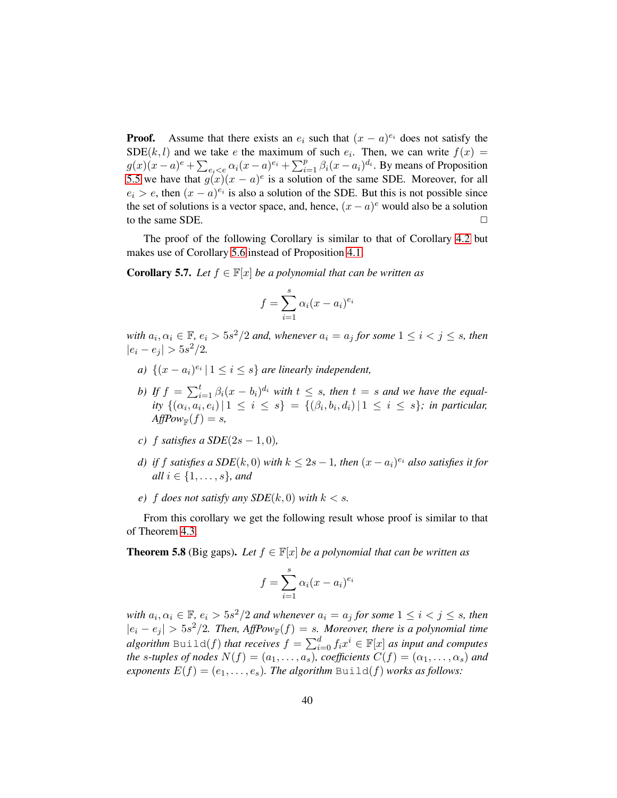**Proof.** Assume that there exists an  $e_i$  such that  $(x - a)^{e_i}$  does not satisfy the  $SDE(k, l)$  and we take e the maximum of such  $e_i$ . Then, we can write  $f(x) =$  $g(x)(x-a)^e + \sum_{e_i < e} \alpha_i (x-a)^{e_i} + \sum_{i=1}^p \beta_i (x-a_i)^{d_i}$ . By means of Proposition [5.5](#page-37-0) we have that  $g(x)(x - a)^e$  is a solution of the same SDE. Moreover, for all  $e_i > e$ , then  $(x - a)^{e_i}$  is also a solution of the SDE. But this is not possible since the set of solutions is a vector space, and, hence,  $(x - a)^e$  would also be a solution to the same SDE.

The proof of the following Corollary is similar to that of Corollary [4.2](#page-23-0) but makes use of Corollary [5.6](#page-38-0) instead of Proposition [4.1.](#page-22-1)

**Corollary 5.7.** *Let*  $f \in \mathbb{F}[x]$  *be a polynomial that can be written as* 

$$
f = \sum_{i=1}^{s} \alpha_i (x - a_i)^{e_i}
$$

with  $a_i, \alpha_i \in \mathbb{F}$ ,  $e_i > 5s^2/2$  and, whenever  $a_i = a_j$  for some  $1 \leq i < j \leq s$ , then  $|e_i - e_j| > 5s^2/2.$ 

- *a*)  $\{(x a_i)^{e_i} | 1 \leq i \leq s\}$  *are linearly independent,*
- *b)* If  $f = \sum_{i=1}^{t} \beta_i (x b_i)^{d_i}$  with  $t \leq s$ , then  $t = s$  and we have the equal*ity*  $\{(\alpha_i, a_i, e_i) | 1 \leq i \leq s\} = \{(\beta_i, b_i, d_i) | 1 \leq i \leq s\}$ ; *in particular*,  $AffPow_{\mathbb{F}}(f) = s$ ,
- *c*) f *satisfies a SDE*( $2s 1, 0$ *)*,
- *d)* if f satisfies a SDE(k, 0) with  $k \leq 2s 1$ , then  $(x a_i)^{e_i}$  also satisfies it for *all*  $i \in \{1, ..., s\}$ *, and*
- *e*) *f does not satisfy any SDE*( $k$ , 0) *with*  $k < s$ .

From this corollary we get the following result whose proof is similar to that of Theorem [4.3.](#page-24-0)

<span id="page-39-0"></span>**Theorem 5.8** (Big gaps). Let  $f \in \mathbb{F}[x]$  *be a polynomial that can be written as* 

$$
f = \sum_{i=1}^{s} \alpha_i (x - a_i)^{e_i}
$$

with  $a_i, \alpha_i \in \mathbb{F}$ ,  $e_i > 5s^2/2$  and whenever  $a_i = a_j$  for some  $1 \leq i < j \leq s$ , then  $|e_i - e_j| > 5s^2/2$ . Then,  $AffPow_{\mathbb{F}}(f) = s$ . Moreover, there is a polynomial time *algorithm* Build(f) *that receives*  $f = \sum_{i=0}^{d} f_i x^i \in \mathbb{F}[x]$  *as input and computes the s-tuples of nodes*  $N(f) = (a_1, \ldots, a_s)$ *, coefficients*  $C(f) = (\alpha_1, \ldots, \alpha_s)$  *and exponents*  $E(f) = (e_1, \ldots, e_s)$ *. The algorithm* Build(f) *works as follows:*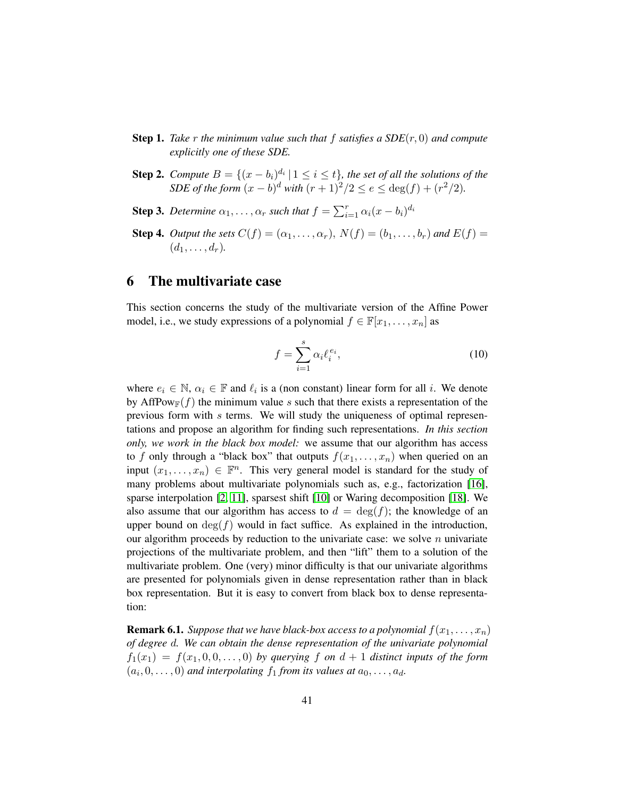- **Step 1.** *Take*  $r$  *the minimum value such that*  $f$  *satisfies a SDE* $(r, 0)$  *and compute explicitly one of these SDE.*
- **Step 2.** *Compute*  $B = \{(x b_i)^{d_i} | 1 \leq i \leq t\}$ , the set of all the solutions of the *SDE of the form*  $(x - b)^d$  *with*  $(r + 1)^2/2 \le e \le deg(f) + (r^2/2)$ *.*
- **Step 3.** Determine  $\alpha_1, \ldots, \alpha_r$  such that  $f = \sum_{i=1}^r \alpha_i (x b_i)^{d_i}$
- **Step 4.** *Output the sets*  $C(f) = (\alpha_1, \dots, \alpha_r)$ ,  $N(f) = (b_1, \dots, b_r)$  and  $E(f) =$  $(d_1, \ldots, d_r)$ .

### <span id="page-40-0"></span>6 The multivariate case

This section concerns the study of the multivariate version of the Affine Power model, i.e., we study expressions of a polynomial  $f \in \mathbb{F}[x_1, \ldots, x_n]$  as

<span id="page-40-2"></span>
$$
f = \sum_{i=1}^{s} \alpha_i \ell_i^{e_i},\tag{10}
$$

where  $e_i \in \mathbb{N}, \alpha_i \in \mathbb{F}$  and  $\ell_i$  is a (non constant) linear form for all i. We denote by AffPow<sub>F</sub>(f) the minimum value s such that there exists a representation of the previous form with s terms. We will study the uniqueness of optimal representations and propose an algorithm for finding such representations. *In this section only, we work in the black box model:* we assume that our algorithm has access to f only through a "black box" that outputs  $f(x_1, \ldots, x_n)$  when queried on an input  $(x_1, \ldots, x_n) \in \mathbb{F}^n$ . This very general model is standard for the study of many problems about multivariate polynomials such as, e.g., factorization [\[16\]](#page-46-12), sparse interpolation [\[2,](#page-46-13) [11\]](#page-46-14), sparsest shift [\[10\]](#page-46-6) or Waring decomposition [\[18\]](#page-47-1). We also assume that our algorithm has access to  $d = \deg(f)$ ; the knowledge of an upper bound on  $deg(f)$  would in fact suffice. As explained in the introduction, our algorithm proceeds by reduction to the univariate case: we solve  $n$  univariate projections of the multivariate problem, and then "lift" them to a solution of the multivariate problem. One (very) minor difficulty is that our univariate algorithms are presented for polynomials given in dense representation rather than in black box representation. But it is easy to convert from black box to dense representation:

<span id="page-40-1"></span>**Remark 6.1.** *Suppose that we have black-box access to a polynomial*  $f(x_1, \ldots, x_n)$ *of degree* d*. We can obtain the dense representation of the univariate polynomial*  $f_1(x_1) = f(x_1, 0, 0, \ldots, 0)$  by querying f on  $d+1$  distinct inputs of the form  $(a_i, 0, \ldots, 0)$  and interpolating  $f_1$  from its values at  $a_0, \ldots, a_d$ .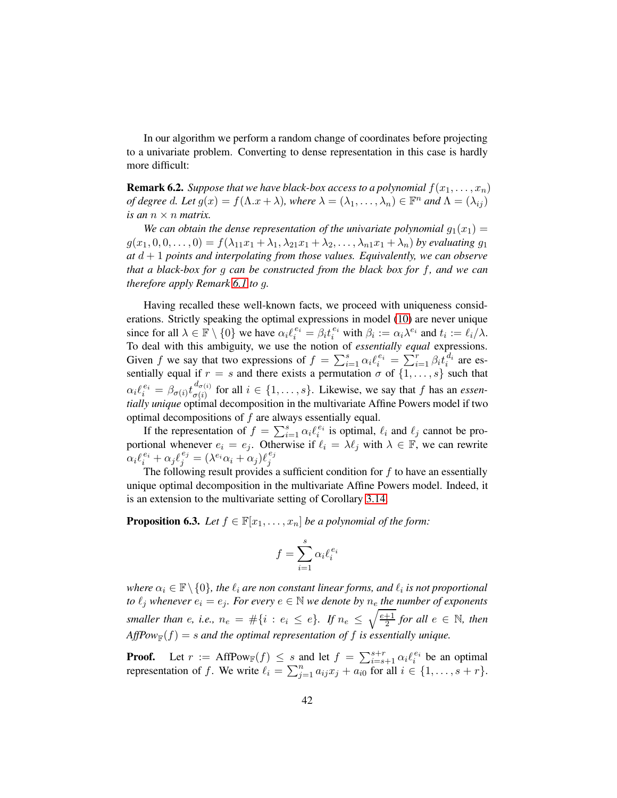In our algorithm we perform a random change of coordinates before projecting to a univariate problem. Converting to dense representation in this case is hardly more difficult:

<span id="page-41-1"></span>**Remark 6.2.** *Suppose that we have black-box access to a polynomial*  $f(x_1, \ldots, x_n)$ *of degree d. Let*  $g(x) = f(\Lambda x + \lambda)$ *, where*  $\lambda = (\lambda_1, \dots, \lambda_n) \in \mathbb{F}^n$  *and*  $\Lambda = (\lambda_{ij})$ *is an*  $n \times n$  *matrix.* 

We can obtain the dense representation of the univariate polynomial  $q_1(x_1)$  =  $g(x_1, 0, 0, \ldots, 0) = f(\lambda_{11}x_1 + \lambda_{1}, \lambda_{21}x_1 + \lambda_{2}, \ldots, \lambda_{n1}x_1 + \lambda_{n})$  by evaluating  $g_1$  $a\bar{b}$  d + 1 *points and interpolating from those values. Equivalently, we can observe that a black-box for* g *can be constructed from the black box for* f*, and we can therefore apply Remark [6.1](#page-40-1) to* g*.*

Having recalled these well-known facts, we proceed with uniqueness considerations. Strictly speaking the optimal expressions in model [\(10\)](#page-40-2) are never unique since for all  $\lambda \in \mathbb{F} \setminus \{0\}$  we have  $\alpha_i \ell_i^{e_i} = \beta_i t_i^{e_i}$  with  $\beta_i := \alpha_i \lambda^{e_i}$  and  $t_i := \ell_i / \lambda$ . To deal with this ambiguity, we use the notion of *essentially equal* expressions. Given f we say that two expressions of  $f = \sum_{i=1}^{s} \alpha_i \ell_i^{e_i} = \sum_{i=1}^{r} \beta_i t_i^{d_i}$  are essentially equal if  $r = s$  and there exists a permutation  $\sigma$  of  $\{1, \ldots, s\}$  such that  $\alpha_i \ell_i^{\,e_i} = \beta_{\sigma(i)} t_{\sigma(i)}^{\,d_{\sigma(i)}}$  $\sigma(i)$  for all  $i \in \{1, \ldots, s\}$ . Likewise, we say that f has an *essentially unique* optimal decomposition in the multivariate Affine Powers model if two optimal decompositions of  $f$  are always essentially equal.

If the representation of  $f = \sum_{i=1}^{s} \alpha_i \ell_i^{e_i}$  is optimal,  $\ell_i$  and  $\ell_j$  cannot be proif the representation of  $j - \sum_{i=1}^{\infty} \alpha_i e_i$  is optimal,  $e_i$  and  $e_j$  cannot be pro-<br>portional whenever  $e_i = e_j$ . Otherwise if  $\ell_i = \lambda \ell_j$  with  $\lambda \in \mathbb{F}$ , we can rewrite  $\alpha_i \ell_i^{e_i} + \alpha_j \ell_j^{e_j} = (\lambda^{e_i} \alpha_i + \alpha_j) \ell_j^{e_j}$ j

The following result provides a sufficient condition for  $f$  to have an essentially unique optimal decomposition in the multivariate Affine Powers model. Indeed, it is an extension to the multivariate setting of Corollary [3.14.](#page-20-0)

<span id="page-41-0"></span>**Proposition 6.3.** *Let*  $f \in \mathbb{F}[x_1, \ldots, x_n]$  *be a polynomial of the form:* 

$$
f = \sum_{i=1}^{s} \alpha_i \ell_i^{e_i}
$$

where  $\alpha_i \in \mathbb{F} \setminus \{0\}$ , the  $\ell_i$  are non constant linear forms, and  $\ell_i$  is not proportional *to*  $\ell_j$  *whenever*  $e_i = e_j$ *. For every*  $e \in \mathbb{N}$  *we denote by*  $n_e$  *the number of exponents smaller than e, i.e.,*  $n_e = #\{i : e_i \leq e\}$ . If  $n_e \leq \sqrt{\frac{e+1}{2}}$  $\frac{+1}{2}$  for all  $e \in \mathbb{N}$ , then  $AffPow_{\mathbb{F}}(f) = s$  and the optimal representation of f is essentially unique.

**Proof.** Let  $r := \text{AffPow}_\mathbb{F}(f) \leq s$  and let  $f = \sum_{i=s+1}^{s+r} \alpha_i \ell_i^{e_i}$  be an optimal representation of f. We write  $\ell_i = \sum_{j=1}^n a_{ij} x_j + a_{i0}^{-\epsilon}$  for all  $i \in \{1, \ldots, s + r\}$ .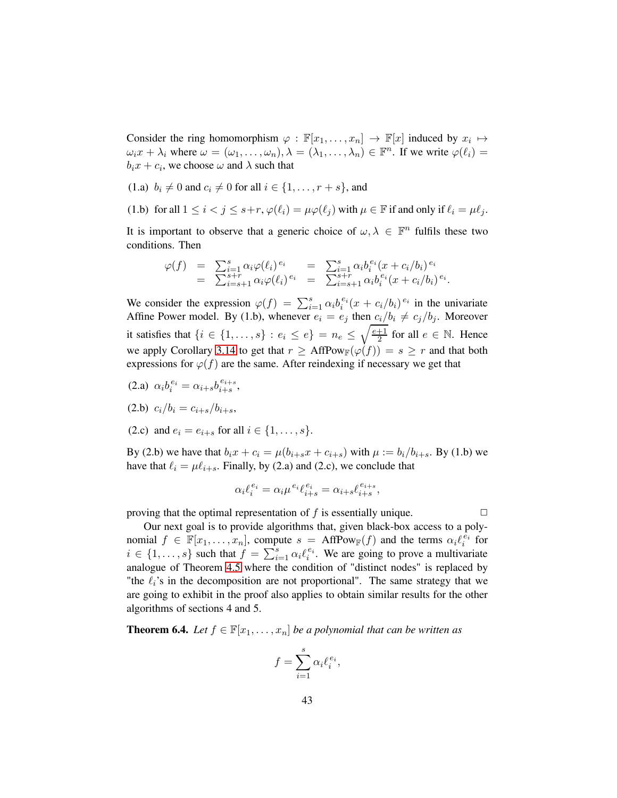Consider the ring homomorphism  $\varphi : \mathbb{F}[x_1, \dots, x_n] \to \mathbb{F}[x]$  induced by  $x_i \mapsto$  $\omega_i x + \lambda_i$  where  $\omega = (\omega_1, \dots, \omega_n), \lambda = (\lambda_1, \dots, \lambda_n) \in \mathbb{F}^n$ . If we write  $\varphi(\ell_i) =$  $b_i x + c_i$ , we choose  $\omega$  and  $\lambda$  such that

(1.a)  $b_i \neq 0$  and  $c_i \neq 0$  for all  $i \in \{1, ..., r + s\}$ , and

(1.b) for all  $1 \leq i < j \leq s+r$ ,  $\varphi(\ell_i) = \mu \varphi(\ell_j)$  with  $\mu \in \mathbb{F}$  if and only if  $\ell_i = \mu \ell_j$ .

It is important to observe that a generic choice of  $\omega, \lambda \in \mathbb{F}^n$  fulfils these two conditions. Then

$$
\varphi(f) = \sum_{i=1}^{s} \alpha_i \varphi(\ell_i)^{e_i} = \sum_{i=s+1}^{s} \alpha_i b_i^{e_i} (x + c_i/b_i)^{e_i} \n= \sum_{i=s+1}^{s+r} \alpha_i \varphi(\ell_i)^{e_i} = \sum_{i=s+1}^{s+r} \alpha_i b_i^{e_i} (x + c_i/b_i)^{e_i}.
$$

We consider the expression  $\varphi(f) = \sum_{i=1}^{s} \alpha_i b_i^{e_i} (x + c_i/b_i)^{e_i}$  in the univariate Affine Power model. By (1.b), whenever  $e_i = e_j$  then  $c_i/b_i \neq c_j/b_j$ . Moreover it satisfies that  $\{i \in \{1, \ldots, s\} : e_i \leq e\} = n_e \leq \sqrt{\frac{e+1}{2}}$  $\frac{+1}{2}$  for all  $e \in \mathbb{N}$ . Hence we apply Corollary [3.14](#page-20-0) to get that  $r \geq AffPow_{\mathbb{F}}(\varphi(f)) = s \geq r$  and that both expressions for  $\varphi(f)$  are the same. After reindexing if necessary we get that

- (2.a)  $\alpha_i b_i^{e_i} = \alpha_{i+s} b_{i+s}^{e_{i+s}}$  $\frac{e_{i+s}}{i+s},$
- (2.b)  $c_i/b_i = c_{i+s}/b_{i+s}$ ,
- (2.c) and  $e_i = e_{i+s}$  for all  $i \in \{1, ..., s\}$ .

By (2.b) we have that  $b_i x + c_i = \mu(b_{i+s} x + c_{i+s})$  with  $\mu := b_i/b_{i+s}$ . By (1.b) we have that  $\ell_i = \mu \ell_{i+s}$ . Finally, by (2.a) and (2.c), we conclude that

$$
\alpha_i \ell_i^{e_i} = \alpha_i \mu^{e_i} \ell_{i+s}^{e_i} = \alpha_{i+s} \ell_{i+s}^{e_{i+s}},
$$

proving that the optimal representation of f is essentially unique.  $\Box$ 

Our next goal is to provide algorithms that, given black-box access to a polynomial  $f \in \mathbb{F}[x_1,\ldots,x_n]$ , compute  $s = \text{AffPow}_{\mathbb{F}}(f)$  and the terms  $\alpha_i \ell_i^{\bar{e_i}}$  for  $i \in \{1, \ldots, s\}$  such that  $f = \sum_{i=1}^{s} \alpha_i \ell_i^{e_i}$ . We are going to prove a multivariate analogue of Theorem [4.5](#page-27-0) where the condition of "distinct nodes" is replaced by "the  $\ell_i$ 's in the decomposition are not proportional". The same strategy that we are going to exhibit in the proof also applies to obtain similar results for the other algorithms of sections 4 and 5.

**Theorem 6.4.** *Let*  $f \in \mathbb{F}[x_1, \ldots, x_n]$  *be a polynomial that can be written as* 

$$
f = \sum_{i=1}^{s} \alpha_i \ell_i^{e_i},
$$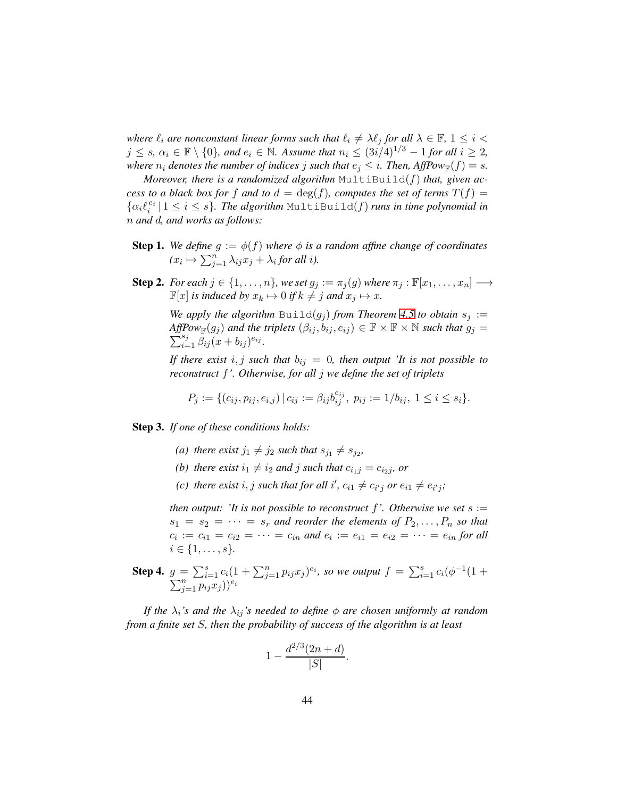*where*  $\ell_i$  *are nonconstant linear forms such that*  $\ell_i \neq \lambda \ell_j$  *for all*  $\lambda \in \mathbb{F}$ ,  $1 \leq i <$  $j \leq s$ ,  $\alpha_i \in \mathbb{F} \setminus \{0\}$ , and  $e_i \in \mathbb{N}$ . Assume that  $n_i \leq (3i/4)^{1/3} - 1$  for all  $i \geq 2$ , *where*  $n_i$  *denotes the number of indices j such that*  $e_j \leq i$ *. Then, AffPow*<sub> $\mathbb{F}(f) = s$ *.*</sub>

*Moreover, there is a randomized algorithm*  $MultiBuilder(f)$  *that, given access to a black box for* f *and to*  $d = \deg(f)$ *, computes the set of terms*  $T(f)$  =  $\{\alpha_i \ell_i^{e_i} \mid 1 \leq i \leq s\}$ . The algorithm MultiBuild(f) runs in time polynomial in n *and* d*, and works as follows:*

- **Step 1.** We define  $g := \phi(f)$  where  $\phi$  is a random affine change of coordinates  $(x_i \mapsto \sum_{j=1}^n \lambda_{ij} x_j + \lambda_i$  for all *i*).
- **Step 2.** *For each*  $j \in \{1, \ldots, n\}$ *, we set*  $g_j := \pi_j(g)$  *where*  $\pi_j : \mathbb{F}[x_1, \ldots, x_n] \longrightarrow$  $\mathbb{F}[x]$  *is induced by*  $x_k \mapsto 0$  *if*  $k \neq j$  *and*  $x_j \mapsto x$ *.*

*We apply the algorithm*  $\text{Build}(g_j)$  *from Theorem [4.5](#page-27-0) to obtain*  $s_j :=$  $\overline{Aff}$ *Pow*<sub> $\mathbb{F}(g_j)$  and the triplets  $(\beta_{ij}, b_{ij}, e_{ij}) \in \mathbb{F} \times \mathbb{F} \times \mathbb{N}$  such that  $g_j =$ </sub>  $\sum_{i=1}^{s_j} \hat{\beta}_{ij} (x + b_{ij})^{e_{ij}}.$ 

*If there exist*  $i, j$  *such that*  $b_{ij} = 0$ *, then output 'It is not possible to reconstruct* f*'. Otherwise, for all* j *we define the set of triplets*

$$
P_j:=\{(c_{ij},p_{ij},e_{i,j})\,|\, c_{ij}:=\beta_{ij}b_{ij}^{e_{ij}},\; p_{ij}:=1/b_{ij},\; 1\leq i\leq s_i\}.
$$

Step 3. *If one of these conditions holds:*

- (a) there exist  $j_1 \neq j_2$  such that  $s_{j_1} \neq s_{j_2}$ ,
- *(b) there exist*  $i_1 \neq i_2$  *and j such that*  $c_{i_1j} = c_{i_2j}$ *, or*
- (*c*) there exist  $i, j$  such that for all  $i', c_{i1} \neq c_{i'j}$  or  $e_{i1} \neq e_{i'j}$ ;

*then output: 'It is not possible to reconstruct* f*'. Otherwise we set* s :=  $s_1 = s_2 = \cdots = s_r$  and reorder the elements of  $P_2, \ldots, P_n$  so that  $c_i := c_{i1} = c_{i2} = \cdots = c_{in}$  and  $e_i := e_{i1} = e_{i2} = \cdots = e_{in}$  for all  $i \in \{1, \ldots, s\}.$ 

**Step 4.**  $g = \sum_{i=1}^{s} c_i (1 + \sum_{j=1}^{n} p_{ij} x_j)^{e_i}$ , so we output  $f = \sum_{i=1}^{s} c_i (\phi^{-1}$  $\sum$  $(\sum_{j=1}^n c_i(1+\sum_{j=1}^n p_{ij}x_j)^{e_i}$ , so we output  $f = \sum_{i=1}^s c_i(\phi^{-1}(1+\phi^{-1}_{j=1}p_{ij}x_j))^{e_i}$ 

*If the*  $\lambda_i$ *'s and the*  $\lambda_{ij}$ *'s needed to define*  $\phi$  *are chosen uniformly at random from a finite set* S*, then the probability of success of the algorithm is at least*

$$
1 - \frac{d^{2/3}(2n + d)}{|S|}.
$$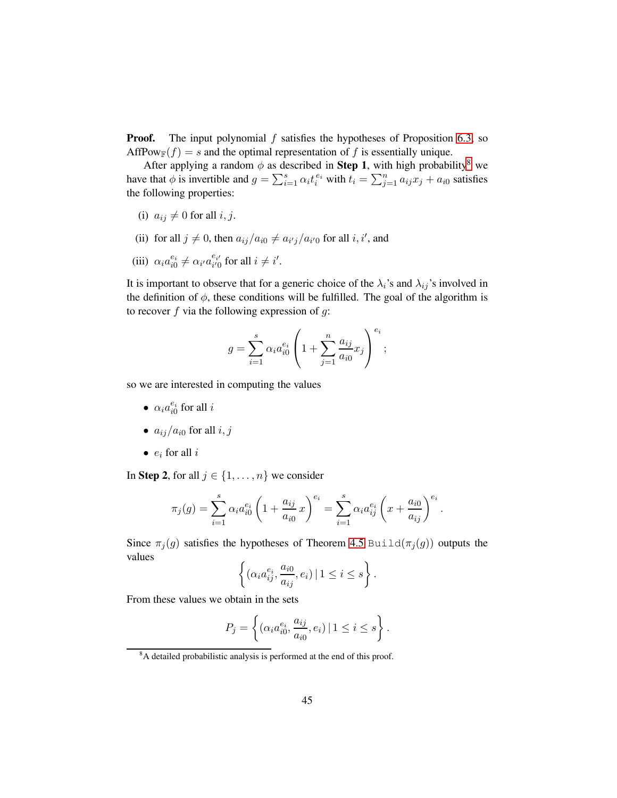**Proof.** The input polynomial  $f$  satisfies the hypotheses of Proposition [6.3,](#page-41-0) so AffPow $g(f) = s$  and the optimal representation of f is essentially unique.

After applying a random  $\phi$  as described in **Step 1**, with high probability<sup>[8](#page-44-0)</sup> we have that  $\phi$  is invertible and  $g = \sum_{i=1}^{s} \alpha_i t_i^{e_i}$  with  $t_i = \sum_{j=1}^{n} a_{ij} x_j + a_{i0}$  satisfies the following properties:

- (i)  $a_{ij} \neq 0$  for all i, j.
- (ii) for all  $j \neq 0$ , then  $a_{ij}/a_{i0} \neq a_{i'j}/a_{i'0}$  for all  $i, i'$ , and
- (iii)  $\alpha_i a_{i0}^{e_i} \neq \alpha_{i'} a_{i'0}^{e_{i'}}$  for all  $i \neq i'$ .

It is important to observe that for a generic choice of the  $\lambda_i$ 's and  $\lambda_{ij}$ 's involved in the definition of  $\phi$ , these conditions will be fulfilled. The goal of the algorithm is to recover  $f$  via the following expression of  $g$ :

$$
g = \sum_{i=1}^{s} \alpha_i a_{i0}^{e_i} \left( 1 + \sum_{j=1}^{n} \frac{a_{ij}}{a_{i0}} x_j \right)^{e_i};
$$

so we are interested in computing the values

- $\alpha_i a_{i0}^{e_i}$  for all *i*
- $a_{ij}/a_{i0}$  for all  $i, j$
- $\bullet$   $e_i$  for all  $i$

In Step 2, for all  $j \in \{1, \ldots, n\}$  we consider

$$
\pi_j(g) = \sum_{i=1}^s \alpha_i a_{i0}^{e_i} \left( 1 + \frac{a_{ij}}{a_{i0}} x \right)^{e_i} = \sum_{i=1}^s \alpha_i a_{ij}^{e_i} \left( x + \frac{a_{i0}}{a_{ij}} \right)^{e_i}.
$$

Since  $\pi_j(g)$  satisfies the hypotheses of Theorem [4.5](#page-27-0) Build( $\pi_j(g)$ ) outputs the values

$$
\left\{(\alpha_i a_{ij}^{e_i}, \frac{a_{i0}}{a_{ij}}, e_i) \mid 1 \leq i \leq s\right\}.
$$

From these values we obtain in the sets

$$
P_j = \left\{ (\alpha_i a_{i0}^{e_i}, \frac{a_{ij}}{a_{i0}}, e_i) \mid 1 \le i \le s \right\}.
$$

<span id="page-44-0"></span><sup>&</sup>lt;sup>8</sup>A detailed probabilistic analysis is performed at the end of this proof.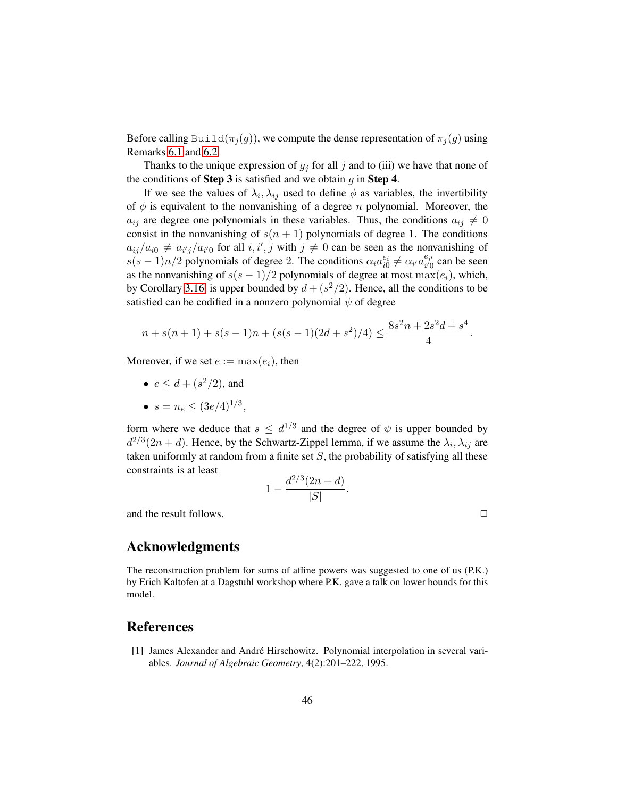Before calling Build( $\pi_i(g)$ ), we compute the dense representation of  $\pi_i(g)$  using Remarks [6.1](#page-40-1) and [6.2.](#page-41-1)

Thanks to the unique expression of  $g_i$  for all j and to (iii) we have that none of the conditions of **Step 3** is satisfied and we obtain  $q$  in **Step 4**.

If we see the values of  $\lambda_i, \lambda_{ij}$  used to define  $\phi$  as variables, the invertibility of  $\phi$  is equivalent to the nonvanishing of a degree *n* polynomial. Moreover, the  $a_{ij}$  are degree one polynomials in these variables. Thus, the conditions  $a_{ij} \neq 0$ consist in the nonvanishing of  $s(n + 1)$  polynomials of degree 1. The conditions  $a_{ij}/a_{i0} \neq a_{i'j}/a_{i'0}$  for all  $i, i', j$  with  $j \neq 0$  can be seen as the nonvanishing of  $s(s-1)n/2$  polynomials of degree 2. The conditions  $\alpha_i a_{i0}^{e_i} \neq \alpha_i a_{i'0}^{e_{i'}}$  can be seen as the nonvanishing of  $s(s - 1)/2$  polynomials of degree at most  $\max(e_i)$ , which, by Corollary [3.16,](#page-20-1) is upper bounded by  $d + (s^2/2)$ . Hence, all the conditions to be satisfied can be codified in a nonzero polynomial  $\psi$  of degree

$$
n + s(n+1) + s(s-1)n + (s(s-1)(2d+s^2)/4) \le \frac{8s^2n + 2s^2d + s^4}{4}.
$$

Moreover, if we set  $e := \max(e_i)$ , then

- $e \leq d + (s^2/2)$ , and
- $s = n_e \leq (3e/4)^{1/3}$ ,

form where we deduce that  $s \leq d^{1/3}$  and the degree of  $\psi$  is upper bounded by  $d^{2/3}(2n+d)$ . Hence, by the Schwartz-Zippel lemma, if we assume the  $\lambda_i, \lambda_{ij}$  are taken uniformly at random from a finite set  $S$ , the probability of satisfying all these constraints is at least

$$
1 - \frac{d^{2/3}(2n + d)}{|S|}.
$$

and the result follows.  $\Box$ 

Acknowledgments

The reconstruction problem for sums of affine powers was suggested to one of us (P.K.) by Erich Kaltofen at a Dagstuhl workshop where P.K. gave a talk on lower bounds for this model.

### <span id="page-45-0"></span>References

[1] James Alexander and André Hirschowitz. Polynomial interpolation in several variables. *Journal of Algebraic Geometry*, 4(2):201–222, 1995.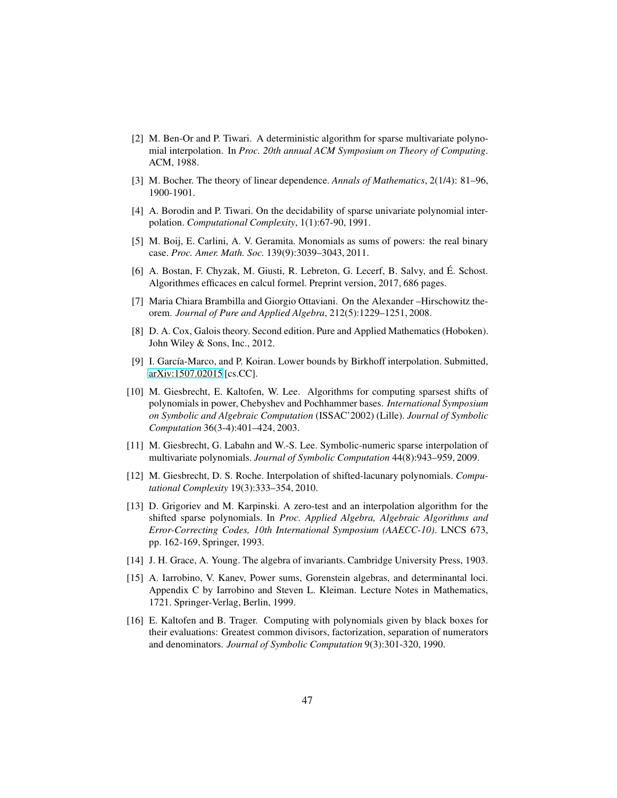- <span id="page-46-13"></span>[2] M. Ben-Or and P. Tiwari. A deterministic algorithm for sparse multivariate polynomial interpolation. In *Proc. 20th annual ACM Symposium on Theory of Computing*. ACM, 1988.
- <span id="page-46-8"></span><span id="page-46-4"></span>[3] M. Bocher. The theory of linear dependence. *Annals of Mathematics*, 2(1/4): 81–96, 1900-1901.
- <span id="page-46-3"></span>[4] A. Borodin and P. Tiwari. On the decidability of sparse univariate polynomial interpolation. *Computational Complexity*, 1(1):67-90, 1991.
- <span id="page-46-10"></span>[5] M. Boij, E. Carlini, A. V. Geramita. Monomials as sums of powers: the real binary case. *Proc. Amer. Math. Soc.* 139(9):3039–3043, 2011.
- [6] A. Bostan, F. Chyzak, M. Giusti, R. Lebreton, G. Lecerf, B. Salvy, and É. Schost. Algorithmes efficaces en calcul formel. Preprint version, 2017, 686 pages.
- <span id="page-46-11"></span><span id="page-46-2"></span>[7] Maria Chiara Brambilla and Giorgio Ottaviani. On the Alexander –Hirschowitz theorem. *Journal of Pure and Applied Algebra*, 212(5):1229–1251, 2008.
- [8] D. A. Cox, Galois theory. Second edition. Pure and Applied Mathematics (Hoboken). John Wiley & Sons, Inc., 2012.
- <span id="page-46-0"></span>[9] I. García-Marco, and P. Koiran. Lower bounds by Birkhoff interpolation. Submitted, [arXiv:1507.02015](http://arxiv.org/abs/1507.02015) [cs.CC].
- <span id="page-46-6"></span>[10] M. Giesbrecht, E. Kaltofen, W. Lee. Algorithms for computing sparsest shifts of polynomials in power, Chebyshev and Pochhammer bases. *International Symposium on Symbolic and Algebraic Computation* (ISSAC'2002) (Lille). *Journal of Symbolic Computation* 36(3-4):401–424, 2003.
- <span id="page-46-14"></span>[11] M. Giesbrecht, G. Labahn and W.-S. Lee. Symbolic-numeric sparse interpolation of multivariate polynomials. *Journal of Symbolic Computation* 44(8):943–959, 2009.
- <span id="page-46-7"></span>[12] M. Giesbrecht, D. S. Roche. Interpolation of shifted-lacunary polynomials. *Computational Complexity* 19(3):333–354, 2010.
- <span id="page-46-5"></span>[13] D. Grigoriev and M. Karpinski. A zero-test and an interpolation algorithm for the shifted sparse polynomials. In *Proc. Applied Algebra, Algebraic Algorithms and Error-Correcting Codes, 10th International Symposium (AAECC-10)*. LNCS 673, pp. 162-169, Springer, 1993.
- <span id="page-46-9"></span><span id="page-46-1"></span>[14] J. H. Grace, A. Young. The algebra of invariants. Cambridge University Press, 1903.
- [15] A. Iarrobino, V. Kanev, Power sums, Gorenstein algebras, and determinantal loci. Appendix C by Iarrobino and Steven L. Kleiman. Lecture Notes in Mathematics, 1721. Springer-Verlag, Berlin, 1999.
- <span id="page-46-12"></span>[16] E. Kaltofen and B. Trager. Computing with polynomials given by black boxes for their evaluations: Greatest common divisors, factorization, separation of numerators and denominators. *Journal of Symbolic Computation* 9(3):301-320, 1990.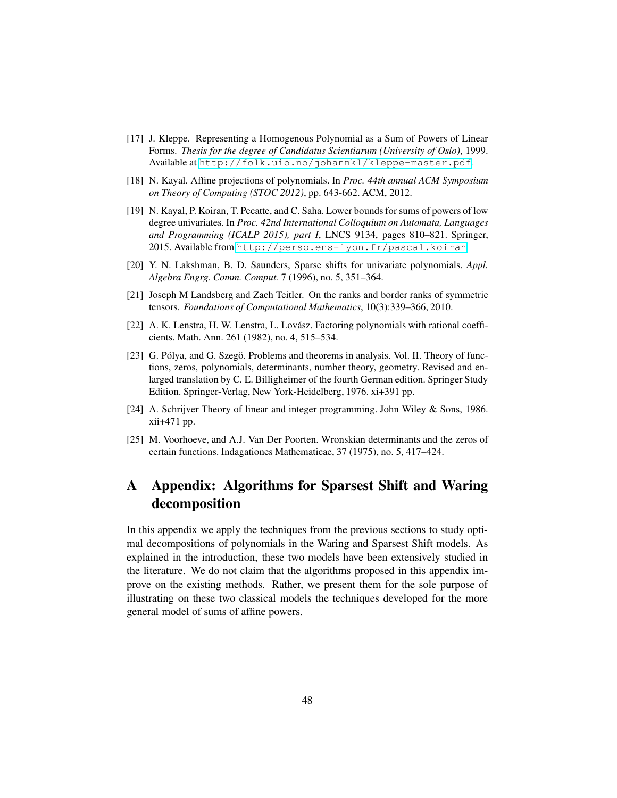- <span id="page-47-0"></span>[17] J. Kleppe. Representing a Homogenous Polynomial as a Sum of Powers of Linear Forms. *Thesis for the degree of Candidatus Scientiarum (University of Oslo)*, 1999. Available at <http://folk.uio.no/johannkl/kleppe-master.pdf>.
- <span id="page-47-4"></span><span id="page-47-1"></span>[18] N. Kayal. Affine projections of polynomials. In *Proc. 44th annual ACM Symposium on Theory of Computing (STOC 2012)*, pp. 643-662. ACM, 2012.
- [19] N. Kayal, P. Koiran, T. Pecatte, and C. Saha. Lower bounds for sums of powers of low degree univariates. In *Proc. 42nd International Colloquium on Automata, Languages and Programming (ICALP 2015), part I*, LNCS 9134, pages 810–821. Springer, 2015. Available from <http://perso.ens-lyon.fr/pascal.koiran>.
- <span id="page-47-3"></span><span id="page-47-2"></span>[20] Y. N. Lakshman, B. D. Saunders, Sparse shifts for univariate polynomials. *Appl. Algebra Engrg. Comm. Comput.* 7 (1996), no. 5, 351–364.
- <span id="page-47-8"></span>[21] Joseph M Landsberg and Zach Teitler. On the ranks and border ranks of symmetric tensors. *Foundations of Computational Mathematics*, 10(3):339–366, 2010.
- <span id="page-47-6"></span>[22] A. K. Lenstra, H. W. Lenstra, L. Lovász. Factoring polynomials with rational coefficients. Math. Ann. 261 (1982), no. 4, 515–534.
- [23] G. Pólya, and G. Szegö. Problems and theorems in analysis. Vol. II. Theory of functions, zeros, polynomials, determinants, number theory, geometry. Revised and enlarged translation by C. E. Billigheimer of the fourth German edition. Springer Study Edition. Springer-Verlag, New York-Heidelberg, 1976. xi+391 pp.
- <span id="page-47-7"></span>[24] A. Schrijver Theory of linear and integer programming. John Wiley & Sons, 1986. xii+471 pp.
- <span id="page-47-5"></span>[25] M. Voorhoeve, and A.J. Van Der Poorten. Wronskian determinants and the zeros of certain functions. Indagationes Mathematicae, 37 (1975), no. 5, 417–424.

## A Appendix: Algorithms for Sparsest Shift and Waring decomposition

In this appendix we apply the techniques from the previous sections to study optimal decompositions of polynomials in the Waring and Sparsest Shift models. As explained in the introduction, these two models have been extensively studied in the literature. We do not claim that the algorithms proposed in this appendix improve on the existing methods. Rather, we present them for the sole purpose of illustrating on these two classical models the techniques developed for the more general model of sums of affine powers.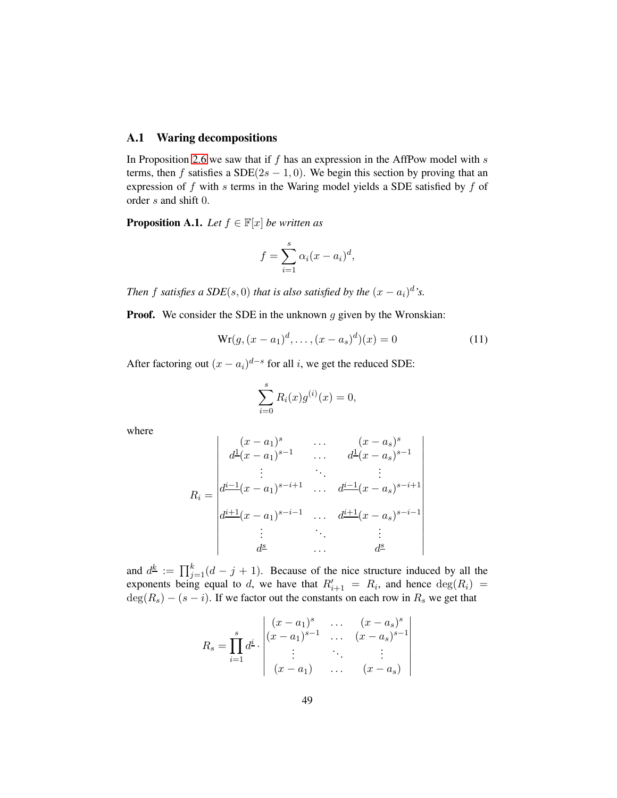#### <span id="page-48-1"></span>A.1 Waring decompositions

In Proposition [2.6](#page-10-0) we saw that if  $f$  has an expression in the AffPow model with  $s$ terms, then f satisfies a SDE( $2s - 1, 0$ ). We begin this section by proving that an expression of  $f$  with  $s$  terms in the Waring model yields a SDE satisfied by  $f$  of order s and shift 0.

<span id="page-48-0"></span>**Proposition A.1.** *Let*  $f \in \mathbb{F}[x]$  *be written as* 

$$
f = \sum_{i=1}^{s} \alpha_i (x - a_i)^d,
$$

*Then* f satisfies a  $SDE(s, 0)$  *that is also satisfied by the*  $(x - a_i)^d$ 's.

**Proof.** We consider the SDE in the unknown  $g$  given by the Wronskian:

$$
\text{Wr}(g, (x - a_1)^d, \dots, (x - a_s)^d)(x) = 0 \tag{11}
$$

After factoring out  $(x - a_i)^{d-s}$  for all *i*, we get the reduced SDE:

$$
\sum_{i=0}^{s} R_i(x)g^{(i)}(x) = 0,
$$

where

$$
R_{i} = \begin{vmatrix} (x - a_{1})^{s} & \cdots & (x - a_{s})^{s} \\ d^{\underline{1}}(x - a_{1})^{s-1} & \cdots & d^{\underline{1}}(x - a_{s})^{s-1} \\ \vdots & \ddots & \vdots \\ d^{\underline{i-1}}(x - a_{1})^{s-i+1} & \cdots & d^{\underline{i-1}}(x - a_{s})^{s-i+1} \\ d^{\underline{i+1}}(x - a_{1})^{s-i-1} & \cdots & d^{\underline{i+1}}(x - a_{s})^{s-i-1} \\ \vdots & \ddots & \vdots \\ d^{\underline{s}} & \cdots & d^{\underline{s}} \end{vmatrix}
$$

and  $d^{\underline{k}} := \prod_{j=1}^{k} (d - j + 1)$ . Because of the nice structure induced by all the exponents being equal to d, we have that  $R'_{i+1} = R_i$ , and hence  $deg(R_i) =$  $deg(R<sub>s</sub>) - (s - i)$ . If we factor out the constants on each row in  $R<sub>s</sub>$  we get that

$$
R_s = \prod_{i=1}^s d^i \cdot \begin{vmatrix} (x-a_1)^s & \dots & (x-a_s)^s \\ (x-a_1)^{s-1} & \dots & (x-a_s)^{s-1} \\ \vdots & \vdots & \ddots & \vdots \\ (x-a_1) & \dots & (x-a_s) \end{vmatrix}
$$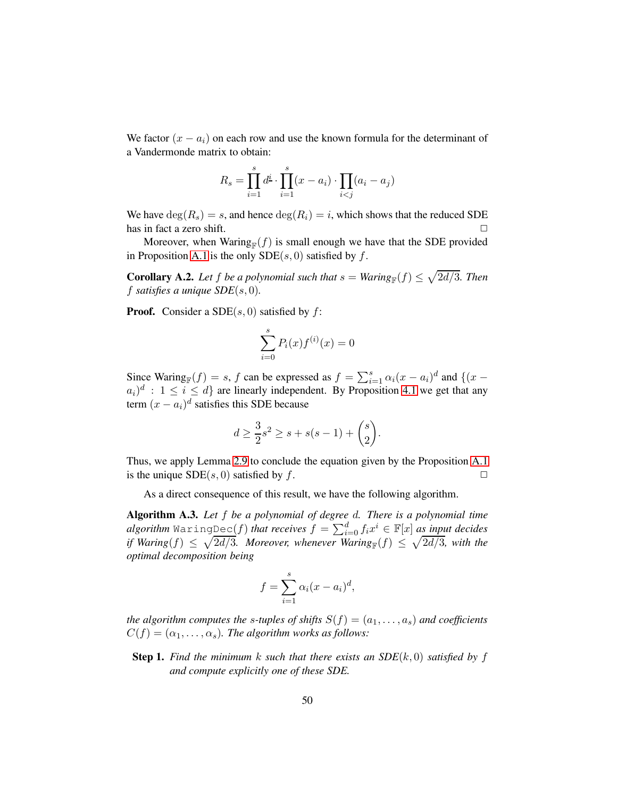We factor  $(x - a_i)$  on each row and use the known formula for the determinant of a Vandermonde matrix to obtain:

$$
R_s = \prod_{i=1}^{s} d^{\underline{i}} \cdot \prod_{i=1}^{s} (x - a_i) \cdot \prod_{i < j} (a_i - a_j)
$$

We have  $deg(R_s) = s$ , and hence  $deg(R_i) = i$ , which shows that the reduced SDE has in fact a zero shift.

Moreover, when Waring  $(f)$  is small enough we have that the SDE provided in Proposition [A.1](#page-48-0) is the only  $SDE(s, 0)$  satisfied by f.

**Corollary A.2.** Let f be a polynomial such that  $s = \text{Waring}_{\mathbb{F}}(f) \leq \sqrt{2d/3}$ . Then f *satisfies a unique SDE*(s, 0)*.*

**Proof.** Consider a SDE $(s, 0)$  satisfied by  $f$ :

$$
\sum_{i=0}^{s} P_i(x) f^{(i)}(x) = 0
$$

Since Waring<sub>F</sub> $(f) = s$ , f can be expressed as  $f = \sum_{i=1}^{s} \alpha_i (x - a_i)^d$  and  $\{(x - a_i)^d : s \in \mathbb{R}^d : |f| \leq s \}$  $(a_i)^d$ :  $1 \leq i \leq d$  are linearly independent. By Proposition [4.1](#page-22-1) we get that any term  $(x - a_i)^d$  satisfies this SDE because

$$
d \ge \frac{3}{2}s^2 \ge s + s(s-1) + \binom{s}{2}.
$$

Thus, we apply Lemma [2.9](#page-11-2) to conclude the equation given by the Proposition [A.1](#page-48-0) is the unique  $SDE(s, 0)$  satisfied by f.  $\square$ 

As a direct consequence of this result, we have the following algorithm.

Algorithm A.3. *Let* f *be a polynomial of degree* d*. There is a polynomial time*  $algorithm$   $\mathtt{WaringDec}(f)$  *that receives*  $f = \sum_{i=0}^d f_i x^i \in \mathbb{F}[x]$  *a<u>s inp</u>ut decides if* Waring(f)  $\leq \sqrt{2d/3}$ . Moreover, whenever Waring<sub>F</sub>(f)  $\leq \sqrt{2d/3}$ , with the *optimal decomposition being*

$$
f = \sum_{i=1}^{s} \alpha_i (x - a_i)^d,
$$

*the algorithm computes the s-tuples of shifts*  $S(f) = (a_1, \ldots, a_s)$  *and coefficients*  $C(f) = (\alpha_1, \ldots, \alpha_s)$ . The algorithm works as follows:

**Step 1.** Find the minimum k such that there exists an  $SDE(k, 0)$  satisfied by f *and compute explicitly one of these SDE.*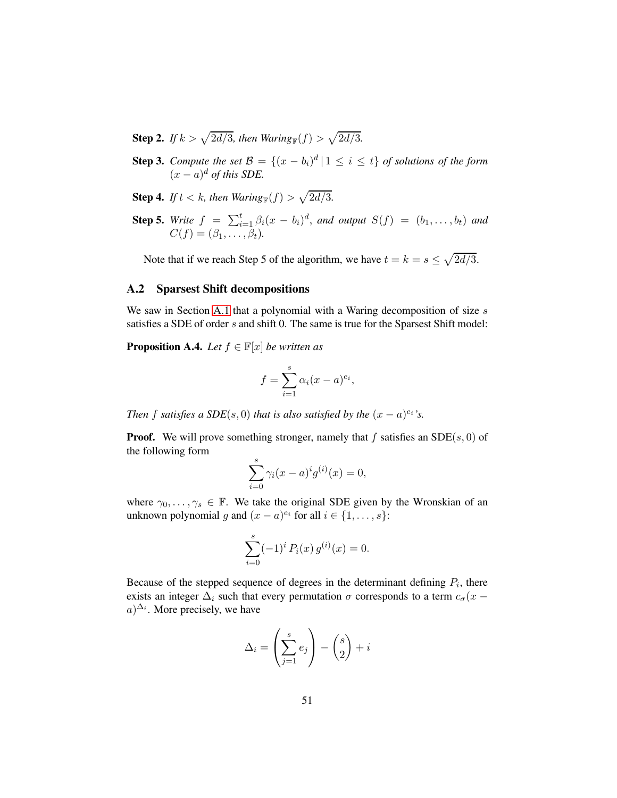- **Step 2.** If  $k > \sqrt{2d/3}$ , then Waring<sub>F</sub> $(f) > \sqrt{2d/3}$ .
- **Step 3.** *Compute the set*  $\mathcal{B} = \{(x b_i)^d | 1 \le i \le t\}$  *of solutions of the form*  $(x-a)^d$  *of this SDE.*
- **Step 4.** If  $t < k$ , then  $\text{Waring}_{\mathbb{F}}(f) > \sqrt{2d/3}$ .
- **Step 5.** *Write*  $f = \sum_{i=1}^{t} \beta_i (x b_i)^d$ , and output  $S(f) = (b_1, \ldots, b_t)$  and  $C(f) = (\beta_1, \ldots, \beta_t).$

Note that if we reach Step 5 of the algorithm, we have  $t = k = s \leq \sqrt{2d/3}$ .

#### A.2 Sparsest Shift decompositions

We saw in Section [A.1](#page-48-1) that a polynomial with a Waring decomposition of size  $s$ satisfies a SDE of order s and shift 0. The same is true for the Sparsest Shift model:

**Proposition A.4.** *Let*  $f \in \mathbb{F}[x]$  *be written as* 

$$
f = \sum_{i=1}^{s} \alpha_i (x - a)^{e_i},
$$

*Then f satisfies* a  $SDE(s, 0)$  *that is also satisfied by the*  $(x - a)^{e_i}$ 's.

**Proof.** We will prove something stronger, namely that f satisfies an  $SDE(s, 0)$  of the following form

$$
\sum_{i=0}^{s} \gamma_i (x - a)^i g^{(i)}(x) = 0,
$$

where  $\gamma_0, \ldots, \gamma_s \in \mathbb{F}$ . We take the original SDE given by the Wronskian of an unknown polynomial g and  $(x - a)^{e_i}$  for all  $i \in \{1, \ldots, s\}$ :

$$
\sum_{i=0}^{s} (-1)^{i} P_{i}(x) g^{(i)}(x) = 0.
$$

Because of the stepped sequence of degrees in the determinant defining  $P_i$ , there exists an integer  $\Delta_i$  such that every permutation  $\sigma$  corresponds to a term  $c_{\sigma}(x (a)^{\Delta_i}$ . More precisely, we have

$$
\Delta_i = \left(\sum_{j=1}^s e_j\right) - \binom{s}{2} + i
$$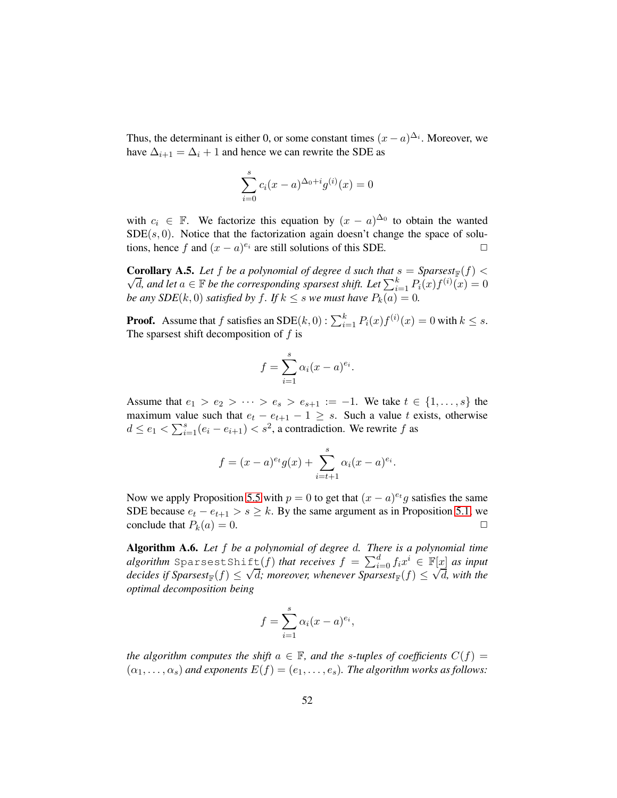Thus, the determinant is either 0, or some constant times  $(x - a)^{\Delta_i}$ . Moreover, we have  $\Delta_{i+1} = \Delta_i + 1$  and hence we can rewrite the SDE as

$$
\sum_{i=0}^{s} c_i (x - a)^{\Delta_0 + i} g^{(i)}(x) = 0
$$

with  $c_i \in \mathbb{F}$ . We factorize this equation by  $(x - a)^{\Delta_0}$  to obtain the wanted  $SDE(s, 0)$ . Notice that the factorization again doesn't change the space of solutions, hence f and  $(x - a)^{e_i}$  are still solutions of this SDE.  $\Box$ 

**Corollary A.5.** Let f be a polynomial of degree d such that  $s =$  Sparsest<sub>F</sub>(f)  $\lt$  $\sqrt{d}$ , and let  $a \in \mathbb{F}$  be the corresponding sparsest shift. Let  $\sum_{i=1}^{k} P_i(x) f^{(i)}(x) = 0$ *be any SDE*( $k$ , 0) *satisfied by*  $f$ *. If*  $k \leq s$  *we must have*  $P_k(a) = 0$ *.* 

**Proof.** Assume that f satisfies an SDE $(k, 0)$ :  $\sum_{i=1}^{k} P_i(x) f^{(i)}(x) = 0$  with  $k \leq s$ . The sparsest shift decomposition of  $f$  is

$$
f = \sum_{i=1}^{s} \alpha_i (x - a)^{e_i}.
$$

Assume that  $e_1 > e_2 > \cdots > e_s > e_{s+1} := -1$ . We take  $t \in \{1, ..., s\}$  the maximum value such that  $e_t - e_{t+1} - 1 \geq s$ . Such a value t exists, otherwise  $d \le e_1 < \sum_{i=1}^s (e_i - e_{i+1}) < s^2$ , a contradiction. We rewrite f as

$$
f = (x - a)^{e_t} g(x) + \sum_{i=t+1}^{s} \alpha_i (x - a)^{e_i}.
$$

Now we apply Proposition [5.5](#page-37-0) with  $p = 0$  to get that  $(x - a)^{e}$  g satisfies the same SDE because  $e_t - e_{t+1} > s \ge k$ . By the same argument as in Proposition [5.1,](#page-31-1) we conclude that  $P_k(a) = 0$ . conclude that  $P_k(a) = 0$ .

Algorithm A.6. *Let* f *be a polynomial of degree* d*. There is a polynomial time*  $algorithm$  SparsestShift $(f)$  *that receives*  $f = \sum_{i=0}^d f_i x^i \in \mathbb{F}[x]$  *as input*  $\frac{\sum_{i=0}^{n} f_i x_i}{\sum_{i=0}^{n} f_i x_i} \leq \frac{f_i}{f}$  as  $n \in \mathbb{N}$  and  $\sum_{i=0}^{n} f_i x_i$  if  $\sum_{i=0}^{n} f_i x_i$  with the *optimal decomposition being*

$$
f = \sum_{i=1}^{s} \alpha_i (x - a)^{e_i},
$$

*the algorithm computes the shift*  $a \in \mathbb{F}$ *, and the s-tuples of coefficients*  $C(f)$  =  $(\alpha_1, \ldots, \alpha_s)$  *and exponents*  $E(f) = (e_1, \ldots, e_s)$ *. The algorithm works as follows:*